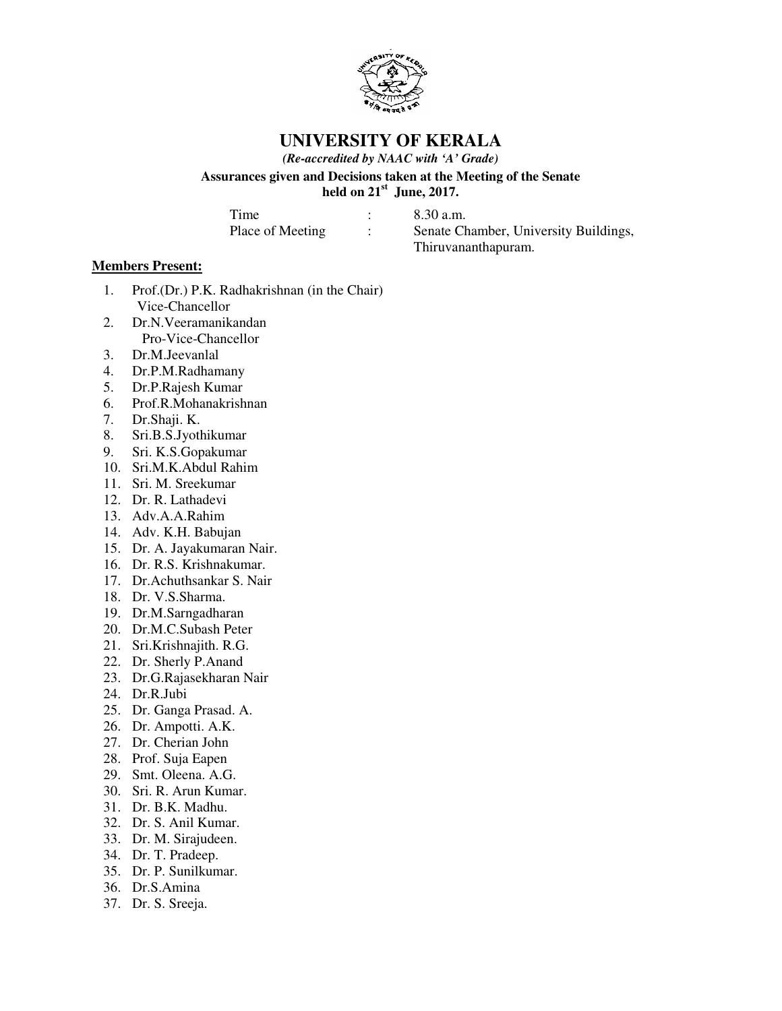

**UNIVERSITY OF KERALA**

*(Re-accredited by NAAC with 'A' Grade)*

**Assurances given and Decisions taken at the Meeting of the Senate held on 21st June, 2017.**

Time : 8.30 a.m.

Place of Meeting : Senate Chamber, University Buildings, Thiruvananthapuram.

# **Members Present:**

- 1. Prof.(Dr.) P.K. Radhakrishnan (in the Chair) Vice-Chancellor
- 2. Dr.N.Veeramanikandan Pro-Vice-Chancellor
- 3. Dr.M.Jeevanlal
- 4. Dr.P.M.Radhamany
- 5. Dr.P.Rajesh Kumar
- 6. Prof.R.Mohanakrishnan
- 7. Dr.Shaji. K.
- 8. Sri.B.S.Jyothikumar
- 9. Sri. K.S.Gopakumar
- 10. Sri.M.K.Abdul Rahim
- 11. Sri. M. Sreekumar
- 12. Dr. R. Lathadevi
- 13. Adv.A.A.Rahim
- 14. Adv. K.H. Babujan
- 15. Dr. A. Jayakumaran Nair.
- 16. Dr. R.S. Krishnakumar.
- 17. Dr.Achuthsankar S. Nair
- 18. Dr. V.S.Sharma.
- 19. Dr.M.Sarngadharan
- 20. Dr.M.C.Subash Peter
- 21. Sri.Krishnajith. R.G.
- 22. Dr. Sherly P.Anand
- 23. Dr.G.Rajasekharan Nair
- 24. Dr.R.Jubi
- 25. Dr. Ganga Prasad. A.
- 26. Dr. Ampotti. A.K.
- 27. Dr. Cherian John
- 28. Prof. Suja Eapen
- 29. Smt. Oleena. A.G.
- 30. Sri. R. Arun Kumar.
- 31. Dr. B.K. Madhu.
- 32. Dr. S. Anil Kumar.
- 33. Dr. M. Sirajudeen.
- 34. Dr. T. Pradeep.
- 35. Dr. P. Sunilkumar.
- 36. Dr.S.Amina
- 37. Dr. S. Sreeja.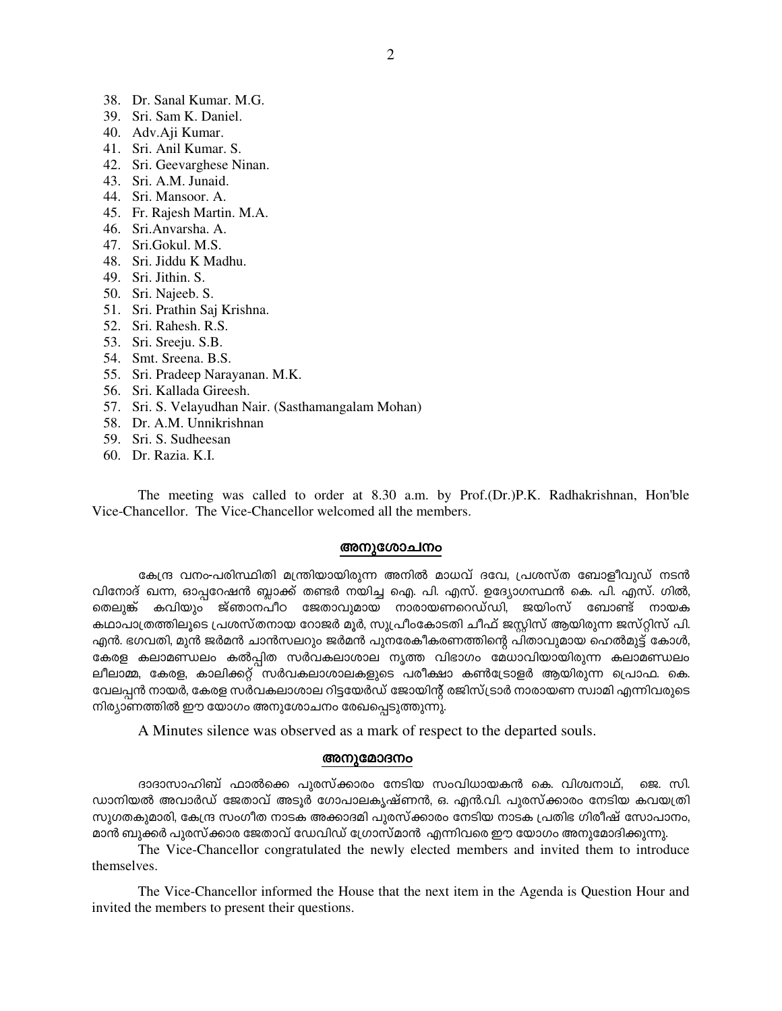- 38. Dr. Sanal Kumar. M.G.
- 39. Sri. Sam K. Daniel.
- 40. Adv.Aji Kumar.
- 41. Sri. Anil Kumar. S.
- 42. Sri. Geevarghese Ninan.
- 43. Sri. A.M. Junaid.
- 44. Sri. Mansoor. A.
- 45. Fr. Rajesh Martin. M.A.
- 46. Sri.Anvarsha. A.
- 47. Sri.Gokul. M.S.
- 48. Sri. Jiddu K Madhu.
- 49. Sri. Jithin. S.
- 50. Sri. Najeeb. S.
- 51. Sri. Prathin Saj Krishna.
- 52. Sri. Rahesh, R.S.
- 53. Sri. Sreeju. S.B.
- 54. Smt. Sreena. B.S.
- 55. Sri. Pradeep Narayanan. M.K.
- 56. Sri. Kallada Gireesh.
- 57. Sri. S. Velayudhan Nair. (Sasthamangalam Mohan)
- 58. Dr. A.M. Unnikrishnan
- 59. Sri. S. Sudheesan
- 60. Dr. Razia, K.I.

The meeting was called to order at 8.30 a.m. by Prof.(Dr.)P.K. Radhakrishnan, Hon'ble Vice-Chancellor. The Vice-Chancellor welcomed all the members.

#### അനുശോചനം

കേന്ദ്ര വനം-പരിസ്ഥിതി മന്ത്രിയായിരുന്ന അനിൽ മാധവ് ദവേ, പ്രശസ്ത ബോളീവുഡ് നടൻ വിനോദ് ഖന്ന, ഓപ്പറേഷൻ ബ്ലാക്ക് തണ്ടർ നയിച്ച ഐ. പി. എസ്. ഉദ്യോഗസ്ഥൻ കെ. പി. എസ്. ഗിൽ, മെലുങ്ക് കവിയും ജ്ഞാനപീഠ ജേതാവുമായ നാരായണറെഡ്ഡി, ജയിംസ് ബോണ്ട് നായക കഥാപാത്രത്തിലൂടെ പ്രശസ്തനായ റോജർ മൂർ, സുപ്രീംകോടതി ചീഫ് ജസ്റ്റിസ് ആയിരുന്ന ജസ്റ്റിസ് പി. എൻ. ഭഗവതി, മുൻ ജർമൻ ചാൻസലറും ജർമൻ പുനരേകീകരണത്തിന്റെ പിതാവുമായ ഹെൽമുട്ട് കോൾ, കേരള കലാമണ്ഡലം കൽപ്പിത സർവകലാശാല നൃത്ത വിഭാഗം മേധാവിയായിരുന്ന കലാമണ്ഡലം ലീലാമ്മ, കേരള, കാലിക്കറ്റ് സർവകലാശാലകളുടെ പരീക്ഷാ കൺട്രോളർ ആയിരുന്ന പ്രൊഫ. കെ. വേലപ്പൻ നായർ, കേരള സർവകലാശാല റിട്ടയേർഡ് ജോയിന്റ് രജിസ്ട്രാർ നാരായണ സ്വാമി എന്നിവരുടെ നിര്യാണത്തിൽ ഈ യോഗം അനുശോചനം രേഖപ്പെടുത്തുന്നു.

A Minutes silence was observed as a mark of respect to the departed souls.

#### അനുമോദനം

ദാദാസാഹിബ് ഫാൽക്കെ പുരസ്ക്കാരം നേടിയ സംവിധായകൻ കെ. വിശ്വനാഥ്, ജെ. സി. ഡാനിയൽ അവാർഡ് ജേതാവ് അടൂർ ഗോപാലകൃഷ്ണൻ, ഒ. എൻ.വി. പുരസ്ക്കാരം നേടിയ കവയത്രി സുഗതകുമാരി, കേന്ദ്ര സംഗീത നാടക അക്കാദമി പുരസ്ക്കാരം നേടിയ നാടക പ്രതിഭ ഗിരീഷ് സോപാനം, മാൻ ബുക്കർ പുരസ്ക്കാര ജേതാവ് ഡേവിഡ് ഗ്രോസ്മാൻ എന്നിവരെ ഈ യോഗം അനുമോദിക്കുന്നു.

The Vice-Chancellor congratulated the newly elected members and invited them to introduce themselves.

The Vice-Chancellor informed the House that the next item in the Agenda is Question Hour and invited the members to present their questions.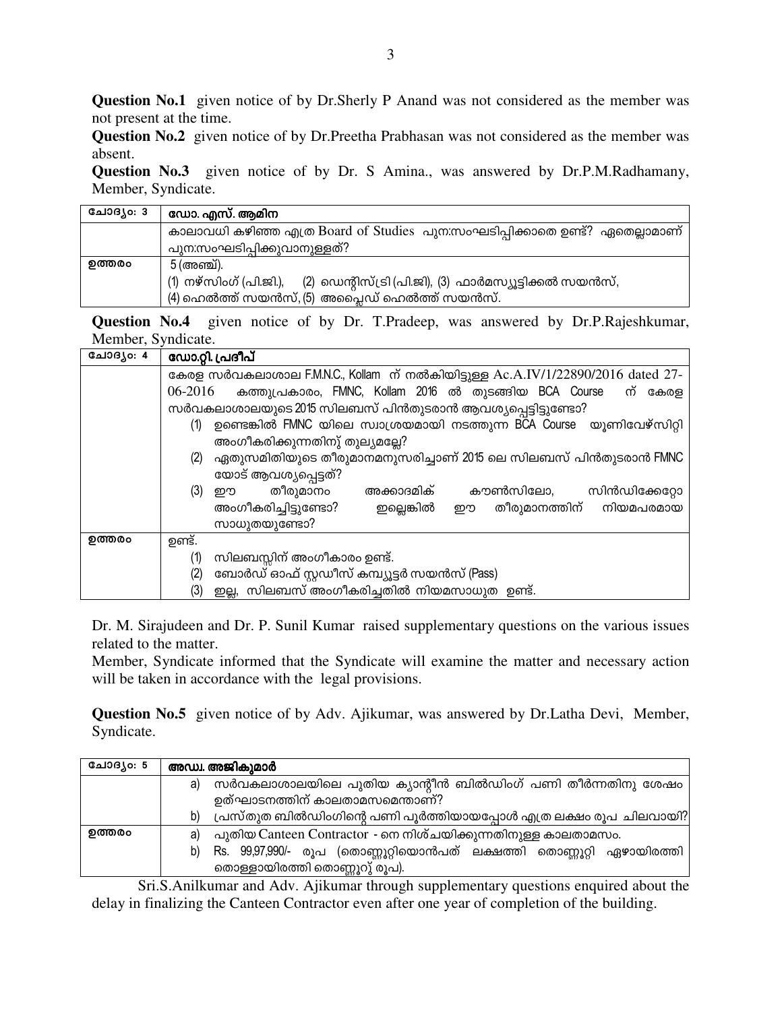**Question No.1** given notice of by Dr.Sherly P Anand was not considered as the member was not present at the time.

**Question No.2** given notice of by Dr.Preetha Prabhasan was not considered as the member was absent.

**Question No.3** given notice of by Dr. S Amina., was answered by Dr.P.M.Radhamany, Member, Syndicate.

| ചോദൃം: 3 | ഡോ. എസ്. ആമിന                                                                   |
|----------|---------------------------------------------------------------------------------|
|          | കാലാവധി കഴിഞ്ഞ എത്ര Board of Studies പുന:സംഘടിപ്പിക്കാതെ ഉണ്ട്? ഏതെല്ലാമാണ്     |
|          | പുന:സംഘടിപ്പിക്കുവാനുള്ളത്?                                                     |
| ഉത്തരം   | 5 (അഞ്ച്).                                                                      |
|          | (1) നഴ്സിംഗ് (പി.ജി.),<br>(2) ഡെന്റിസ്ട്രി (പി.ജി), (3) ഫാർമസ്യൂട്ടിക്കൽ സയൻസ്, |
|          | (4) ഹെൽത്ത് സയൻസ്, (5) അപ്ലൈഡ് ഹെൽത്ത് സയൻസ്.                                   |

**Question No.4** given notice of by Dr. T.Pradeep, was answered by Dr.P.Rajeshkumar, Member, Syndicate.

| ചോദൃം: 4 | ഡോ.റ്റി. പ്രദീപ്                                                                |  |  |  |  |  |
|----------|---------------------------------------------------------------------------------|--|--|--|--|--|
|          | കേരള സർവകലാശാല F.M.N.C., Kollam ന് നൽകിയിട്ടുള്ള Ac.A.IV/1/22890/2016 dated 27- |  |  |  |  |  |
|          | കത്തുപ്രകാരം, FMNC, Kollam 2016 ൽ തുടങ്ങിയ BCA Course ന്<br>06-2016<br>കേരള     |  |  |  |  |  |
|          | സർവകലാശാലയുടെ 2015 സിലബസ് പിൻതുടരാൻ ആവശ്യപ്പെട്ടിട്ടുണ്ടോ?                      |  |  |  |  |  |
|          | ഉണ്ടെങ്കിൽ FMNC യിലെ സ്വാശ്രയമായി നടത്തുന്ന BCA Course യൂണിവേഴ്സിറ്റി<br>(1)    |  |  |  |  |  |
|          | അംഗീകരിക്കുന്നതിനു് തുല്യമല്ലേ?                                                 |  |  |  |  |  |
|          | ഏതുസമിതിയുടെ തീരുമാനമനുസരിച്ചാണ് 2015 ലെ സിലബസ് പിൻതുടരാൻ FMNC<br>(2)           |  |  |  |  |  |
|          | യോട് ആവശ്യപ്പെട്ടത്?                                                            |  |  |  |  |  |
|          | തീരുമാനം<br>അക്കാദമിക്<br>കൗൺസിലോ,<br>(3) ഈ<br>സിൻഡിക്കേറ്റോ                    |  |  |  |  |  |
|          | അംഗീകരിച്ചിട്ടുണ്ടോ?<br>ഈ തീരുമാനത്തിന് നിയമപരമായ<br>ഇല്ലെങ്കിൽ                 |  |  |  |  |  |
|          | സാധുതയുണ്ടോ?                                                                    |  |  |  |  |  |
| ഉത്തരം   | ഉണ്ട്.                                                                          |  |  |  |  |  |
|          | സിലബസ്സിന് അംഗീകാരം ഉണ്ട്.<br>(1)                                               |  |  |  |  |  |
|          | ബോർഡ് ഓഫ് സ്റ്റഡീസ് കമ്പ്യൂട്ടർ സയൻസ് (Pass)<br>(2)                             |  |  |  |  |  |
|          | ഇല്ല, സിലബസ് അംഗീകരിച്ചതിൽ നിയമസാധുത ഉണ്ട്.<br>(3)                              |  |  |  |  |  |

Dr. M. Sirajudeen and Dr. P. Sunil Kumar raised supplementary questions on the various issues related to the matter.

Member, Syndicate informed that the Syndicate will examine the matter and necessary action will be taken in accordance with the legal provisions.

**Question No.5** given notice of by Adv. Ajikumar, was answered by Dr.Latha Devi, Member, Syndicate.

| ചോദൃം: 5 | അഡ്വ. അജികുമാർ                                                             |
|----------|----------------------------------------------------------------------------|
|          | സർവകലാശാലയിലെ പുതിയ ക്യാന്റീൻ ബിൽഡിംഗ് പണി തീർന്നതിനു ശേഷം<br>a)           |
|          | ഉത്ഘാടനത്തിന് കാലതാമസമെന്താണ്?                                             |
|          | പ്രസ്തുത ബിൽഡിംഗിന്റെ പണി പൂർത്തിയായപ്പോൾ എത്ര ലക്ഷം രൂപ ചിലവായി?<br>b)    |
| ഉത്തരം   | പുതിയ Canteen Contractor - നെ നിശ്ചയിക്കുന്നതിനുള്ള കാലതാമസം.<br>a)        |
|          | Rs. 99,97,990/- രൂപ (തൊണ്ണൂറ്റിയൊൻപത് ലക്ഷത്തി തൊണ്ണൂറ്റി ഏഴായിരത്തി<br>b) |
|          | തൊള്ളായിരത്തി തൊണ്ണൂറു് രൂപ).                                              |

Sri.S.Anilkumar and Adv. Ajikumar through supplementary questions enquired about the delay in finalizing the Canteen Contractor even after one year of completion of the building.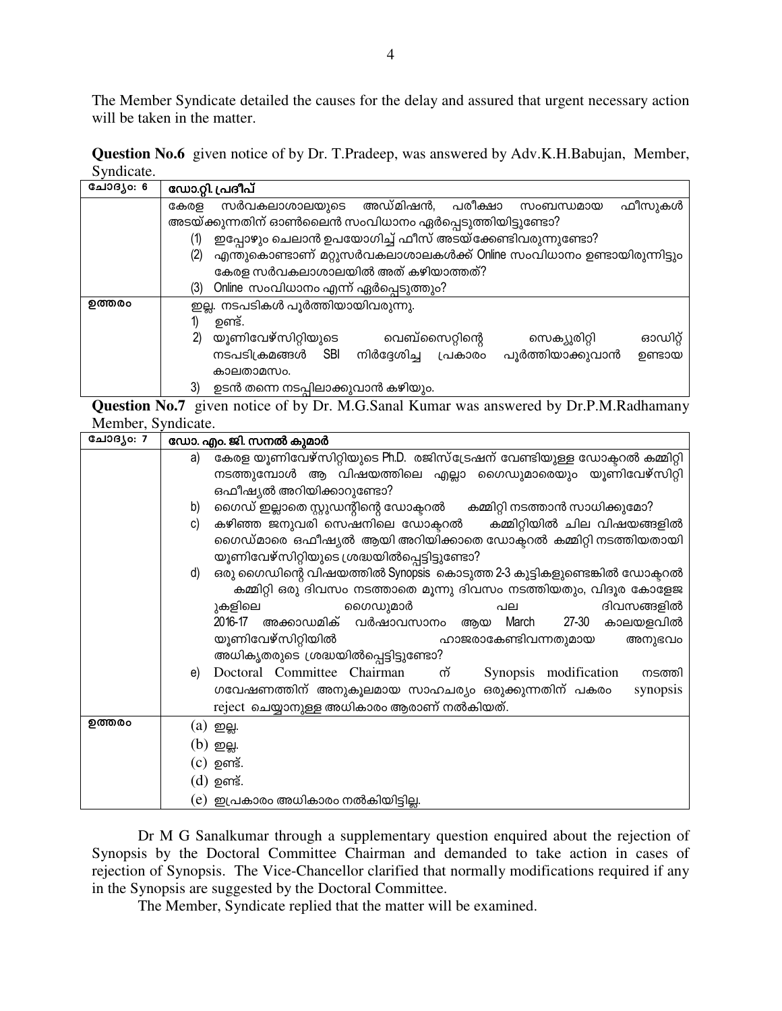The Member Syndicate detailed the causes for the delay and assured that urgent necessary action will be taken in the matter.

Question No.6 given notice of by Dr. T.Pradeep, was answered by Adv.K.H.Babujan, Member, Syndicate.

| ചോദൃം: 6 | ഡോ.റ്റി. പ്രദീപ്                                                             |  |  |  |  |
|----------|------------------------------------------------------------------------------|--|--|--|--|
|          | അഡ്മിഷൻ,<br>പരീക്ഷാ<br>സർവകലാശാലയുടെ<br>ഫീസുകൾ<br>കേരള<br>സംബന്ധമായ          |  |  |  |  |
|          | അടയ്ക്കുന്നതിന് ഓൺലൈൻ സംവിധാനം ഏർപ്പെടുത്തിയിട്ടുണ്ടോ?                       |  |  |  |  |
|          | ഇപ്പോഴും ചെലാൻ ഉപയോഗിച്ച് ഫീസ് അടയ്ക്കേണ്ടിവരുന്നുണ്ടോ?<br>(1)               |  |  |  |  |
|          | എന്തുകൊണ്ടാണ് മറ്റുസർവകലാശാലകൾക്ക് Online സംവിധാനം ഉണ്ടായിരുന്നിട്ടും<br>(2) |  |  |  |  |
|          | കേരള സർവകലാശാലയിൽ അത് കഴിയാത്തത്?                                            |  |  |  |  |
|          | Online സംവിധാനം എന്ന് ഏർപ്പെടുത്തും?<br>(3)                                  |  |  |  |  |
| ഉത്തരം   | ഇല്ല. നടപടികൾ പൂർത്തിയായിവരുന്നു.                                            |  |  |  |  |
|          | ഉണ്ട്.                                                                       |  |  |  |  |
|          | യൂണിവേഴ്സിറ്റിയുടെ<br>2)<br>വെബ്സൈറ്റിന്റെ<br>ഓഡിറ്റ്<br>സെക്യുരിറ്റി        |  |  |  |  |
|          | പൂർത്തിയാക്കുവാൻ<br>നടപടിക്രമങ്ങൾ<br>നിർദേശിച്ച<br>പ്രകാരം<br>SBI<br>ഉണ്ടായ  |  |  |  |  |
|          | കാലതാമസം.                                                                    |  |  |  |  |
|          | 3)<br>ഉടൻ തന്നെ നടപ്പിലാക്കുവാൻ കഴിയും.                                      |  |  |  |  |

Question No.7 given notice of by Dr. M.G.Sanal Kumar was answered by Dr.P.M.Radhamany Member, Syndicate.

| കേരള യൂണിവേഴ്സിറ്റിയുടെ Ph.D. രജിസ്ട്രേഷന് വേണ്ടിയുള്ള ഡോക്ലറൽ കമ്മിറ്റി<br>a)<br>നടത്തുമ്പോൾ ആ വിഷയത്തിലെ എല്ലാ ഗൈഡുമാരെയും യൂണിവേഴ്സിറ്റി<br>ഒഫീഷ്യൽ അറിയിക്കാറുണ്ടോ?<br>ഗൈഡ് ഇല്ലാതെ സ്റ്റുഡന്റിന്റെ ഡോക്ടറൽ കമ്മിറ്റി നടത്താൻ സാധിക്കുമോ?<br>b)<br>കഴിഞ്ഞ ജനുവരി സെഷനിലെ ഡോക്ടറൽ   കമ്മിറ്റിയിൽ ചില വിഷയങ്ങളിൽ<br>c)<br>ഗൈഡ്മാരെ ഒഫീഷ്യൽ ആയി അറിയിക്കാതെ ഡോക്ലറൽ കമ്മിറ്റി നടത്തിയതായി<br>യൂണിവേഴ്സിറ്റിയുടെ ശ്രദ്ധയിൽപ്പെട്ടിട്ടുണ്ടോ?<br>ഒരു ഗൈഡിന്റെ വിഷയത്തിൽ Synopsis കൊടുത്ത 2-3 കുട്ടികളുണ്ടെങ്കിൽ ഡോക്ടറൽ<br>d)<br>കമ്മിറ്റി ഒരു ദിവസം നടത്താതെ മൂന്നു ദിവസം നടത്തിയതും, വിദൂര കോളേജ<br>ഗൈഡുമാർ<br>ദിവസങ്ങളിൽ<br>ുകളിലെ<br>പല<br>2016-17 അക്കാഡമിക് വർഷാവസാനം ആയ March<br>27-30 കാലയളവിൽ<br>യൂണിവേഴ്സിറ്റിയിൽ<br>ഹാജരാകേണ്ടിവന്നതുമായ<br>അനുഭവം<br>അധികൃതരുടെ ശ്രദ്ധയിൽപ്പെട്ടിട്ടുണ്ടോ?<br>Doctoral Committee Chairman m<br>Synopsis modification<br>നടത്തി<br>e)<br>ഗവേഷണത്തിന് അനുകൂലമായ സാഹചര്യം ഒരുക്കുന്നതിന് പകരം<br>synopsis |
|--------------------------------------------------------------------------------------------------------------------------------------------------------------------------------------------------------------------------------------------------------------------------------------------------------------------------------------------------------------------------------------------------------------------------------------------------------------------------------------------------------------------------------------------------------------------------------------------------------------------------------------------------------------------------------------------------------------------------------------------------------------------------------------------------------------------------------------------------------------------------------------------------------------------------------------------------|
|                                                                                                                                                                                                                                                                                                                                                                                                                                                                                                                                                                                                                                                                                                                                                                                                                                                                                                                                                  |
|                                                                                                                                                                                                                                                                                                                                                                                                                                                                                                                                                                                                                                                                                                                                                                                                                                                                                                                                                  |
|                                                                                                                                                                                                                                                                                                                                                                                                                                                                                                                                                                                                                                                                                                                                                                                                                                                                                                                                                  |
|                                                                                                                                                                                                                                                                                                                                                                                                                                                                                                                                                                                                                                                                                                                                                                                                                                                                                                                                                  |
|                                                                                                                                                                                                                                                                                                                                                                                                                                                                                                                                                                                                                                                                                                                                                                                                                                                                                                                                                  |
|                                                                                                                                                                                                                                                                                                                                                                                                                                                                                                                                                                                                                                                                                                                                                                                                                                                                                                                                                  |
|                                                                                                                                                                                                                                                                                                                                                                                                                                                                                                                                                                                                                                                                                                                                                                                                                                                                                                                                                  |
|                                                                                                                                                                                                                                                                                                                                                                                                                                                                                                                                                                                                                                                                                                                                                                                                                                                                                                                                                  |
|                                                                                                                                                                                                                                                                                                                                                                                                                                                                                                                                                                                                                                                                                                                                                                                                                                                                                                                                                  |
|                                                                                                                                                                                                                                                                                                                                                                                                                                                                                                                                                                                                                                                                                                                                                                                                                                                                                                                                                  |
|                                                                                                                                                                                                                                                                                                                                                                                                                                                                                                                                                                                                                                                                                                                                                                                                                                                                                                                                                  |
|                                                                                                                                                                                                                                                                                                                                                                                                                                                                                                                                                                                                                                                                                                                                                                                                                                                                                                                                                  |
|                                                                                                                                                                                                                                                                                                                                                                                                                                                                                                                                                                                                                                                                                                                                                                                                                                                                                                                                                  |
|                                                                                                                                                                                                                                                                                                                                                                                                                                                                                                                                                                                                                                                                                                                                                                                                                                                                                                                                                  |
|                                                                                                                                                                                                                                                                                                                                                                                                                                                                                                                                                                                                                                                                                                                                                                                                                                                                                                                                                  |
| reject ചെയ്യാനുള്ള അധികാരം ആരാണ് നൽകിയത്.                                                                                                                                                                                                                                                                                                                                                                                                                                                                                                                                                                                                                                                                                                                                                                                                                                                                                                        |
| ഉത്തരം<br>(a) ഇല്ല.                                                                                                                                                                                                                                                                                                                                                                                                                                                                                                                                                                                                                                                                                                                                                                                                                                                                                                                              |
| $(b)$ ഇല്ല.                                                                                                                                                                                                                                                                                                                                                                                                                                                                                                                                                                                                                                                                                                                                                                                                                                                                                                                                      |
| (c) ഉണ്ട്.                                                                                                                                                                                                                                                                                                                                                                                                                                                                                                                                                                                                                                                                                                                                                                                                                                                                                                                                       |
| (d) ഉണ്ട്.                                                                                                                                                                                                                                                                                                                                                                                                                                                                                                                                                                                                                                                                                                                                                                                                                                                                                                                                       |
| (e)  ഇപ്രകാരം അധികാരം നൽകിയിട്ടില്ല.                                                                                                                                                                                                                                                                                                                                                                                                                                                                                                                                                                                                                                                                                                                                                                                                                                                                                                             |

Dr M G Sanalkumar through a supplementary question enquired about the rejection of Synopsis by the Doctoral Committee Chairman and demanded to take action in cases of rejection of Synopsis. The Vice-Chancellor clarified that normally modifications required if any in the Synopsis are suggested by the Doctoral Committee.

The Member, Syndicate replied that the matter will be examined.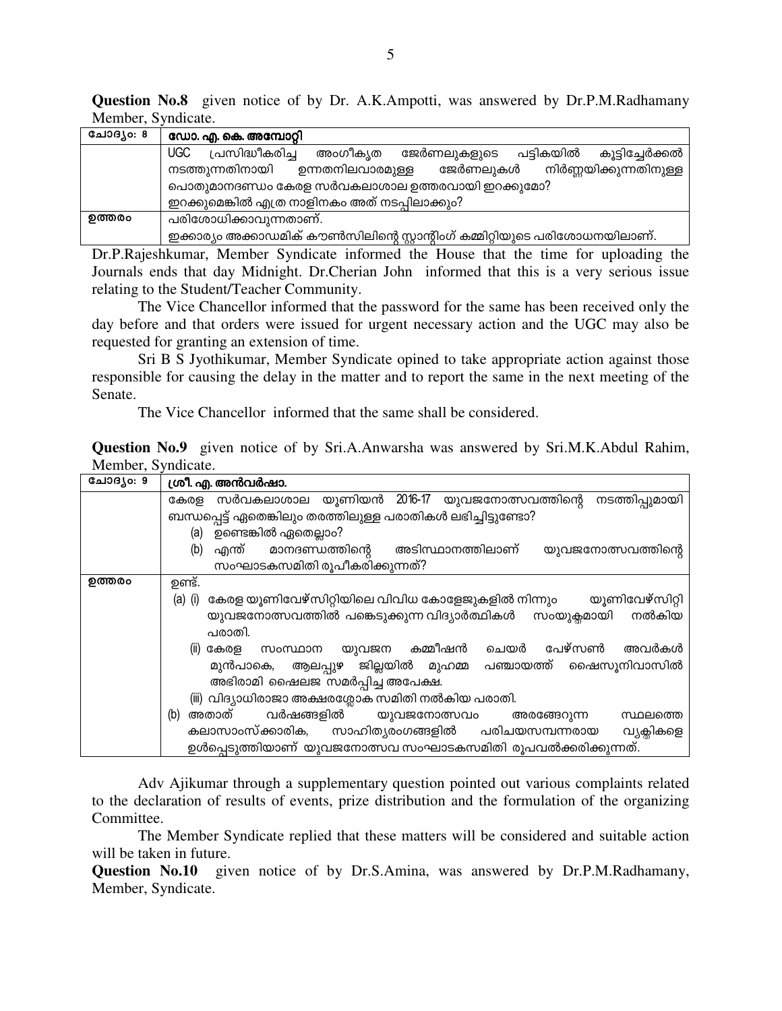**Question No.8** given notice of by Dr. A.K.Ampotti, was answered by Dr.P.M.Radhamany Member, Syndicate.

| ചോദൃം: 8 | ഡോ. എ. കെ. അമ്പോറ്റി                                                           |  |  |  |  |  |
|----------|--------------------------------------------------------------------------------|--|--|--|--|--|
|          | UGC<br>പ്രസിദ്ധീകരിച്ച<br>അംഗീക്യത<br>ജേർണലുകളുടെ പട്ടികയിൽ<br>കൂട്ടിച്ചേർക്കൽ |  |  |  |  |  |
|          | നിർണ്ണയിക്കുന്നതിനുള്ള<br>നടത്തുന്നതിനായി<br>ഉന്നതനിലവാരമുള്ള<br>ജേർണലുകൾ      |  |  |  |  |  |
|          | പൊതുമാനദണ്ഡം കേരള സർവകലാശാല ഉത്തരവായി ഇറക്കുമോ?                                |  |  |  |  |  |
|          | ഇറക്കുമെങ്കിൽ എത്ര നാളിനകം അത് നടപ്പിലാക്കും?                                  |  |  |  |  |  |
| ഉത്തരം   | പരിശോധിക്കാവുന്നതാണ്.                                                          |  |  |  |  |  |
|          | ഇക്കാര്യം അക്കാഡമിക് കൗൺസിലിന്റെ സ്റ്റാന്റിംഗ് കമ്മിറ്റിയുടെ പരിശോധനയിലാണ്.    |  |  |  |  |  |

Dr.P.Rajeshkumar, Member Syndicate informed the House that the time for uploading the Journals ends that day Midnight. Dr.Cherian John informed that this is a very serious issue relating to the Student/Teacher Community.

The Vice Chancellor informed that the password for the same has been received only the day before and that orders were issued for urgent necessary action and the UGC may also be requested for granting an extension of time.

 Sri B S Jyothikumar, Member Syndicate opined to take appropriate action against those responsible for causing the delay in the matter and to report the same in the next meeting of the Senate.

The Vice Chancellor informed that the same shall be considered.

**Question No.9** given notice of by Sri.A.Anwarsha was answered by Sri.M.K.Abdul Rahim, Member, Syndicate.

| ചോദൃം: 9 | ശ്രീ. എ. അൻവർഷാ.                                                             |  |  |  |
|----------|------------------------------------------------------------------------------|--|--|--|
|          | കേരള സർവകലാശാല യൂണിയൻ 2016-17 യുവജനോത്സവത്തിന്റെ<br>നടത്തിപ്പുമായി           |  |  |  |
|          | ബന്ധപ്പെട്ട് ഏതെങ്കിലും തരത്തിലുള്ള പരാതികൾ ലഭിച്ചിട്ടുണ്ടോ?                 |  |  |  |
|          | (a) ഉണ്ടെങ്കിൽ ഏതെല്ലാം?                                                     |  |  |  |
|          | അടിസ്ഥാനത്തിലാണ്<br>എന്ത് മാനദണ്ഡത്തിന്റെ<br>(b)<br>യുവജനോത്സവത്തിന്റെ       |  |  |  |
|          | സംഘാടകസമിതി രൂപീകരിക്കുന്നത്?                                                |  |  |  |
| ഉത്തരം   | ഉണ്ട്.                                                                       |  |  |  |
|          | കേരള യൂണിവേഴ്സിറ്റിയിലെ വിവിധ കോളേജുകളിൽ നിന്നും യൂണിവേഴ്സിറ്റി<br>$(a)$ (i) |  |  |  |
|          | നൽകിയ<br>യുവജനോത്സവത്തിൽ പങ്കെടുക്കുന്ന വിദ്യാർത്ഥികൾ സംയുക്ലമായി            |  |  |  |
|          | പരാതി.                                                                       |  |  |  |
|          | സംസ്ഥാന യുവജന കമ്മീഷൻ<br>ചെയർ പേഴ്സൺ<br>അവർകൾ<br>(ii) കേരള                   |  |  |  |
|          | മുൻപാകെ, ആലപ്പുഴ ജില്ലയിൽ മുഹമ്മ പഞ്ചായത്ത് ഷൈസൂനിവാസിൽ                      |  |  |  |
|          | അഭിരാമി ഷൈലജ സമർപ്പിച്ച അപേക്ഷ.                                              |  |  |  |
|          | (iii) വിദ്യാധിരാജാ അക്ഷരശ്ലോക സമിതി നൽകിയ പരാതി.                             |  |  |  |
|          | വർഷങ്ങളിൽ യുവജനോത്സവം<br>അതാത്<br>(b)<br>അരങ്ങേറുന്ന<br>സ്ഥലത്തെ             |  |  |  |
|          | കലാസാംസ്ക്കാരിക, സാഹിത്യരംഗങ്ങളിൽ പരിചയസമ്പന്നരായ<br>വ്യക്സികളെ              |  |  |  |
|          | ഉൾപ്പെടുത്തിയാണ് യുവജനോത്സവ സംഘാടകസമിതി രൂപവൽക്കരിക്കുന്നത്.                 |  |  |  |

Adv Ajikumar through a supplementary question pointed out various complaints related to the declaration of results of events, prize distribution and the formulation of the organizing Committee.

 The Member Syndicate replied that these matters will be considered and suitable action will be taken in future.

**Question No.10** given notice of by Dr.S.Amina, was answered by Dr.P.M.Radhamany, Member, Syndicate.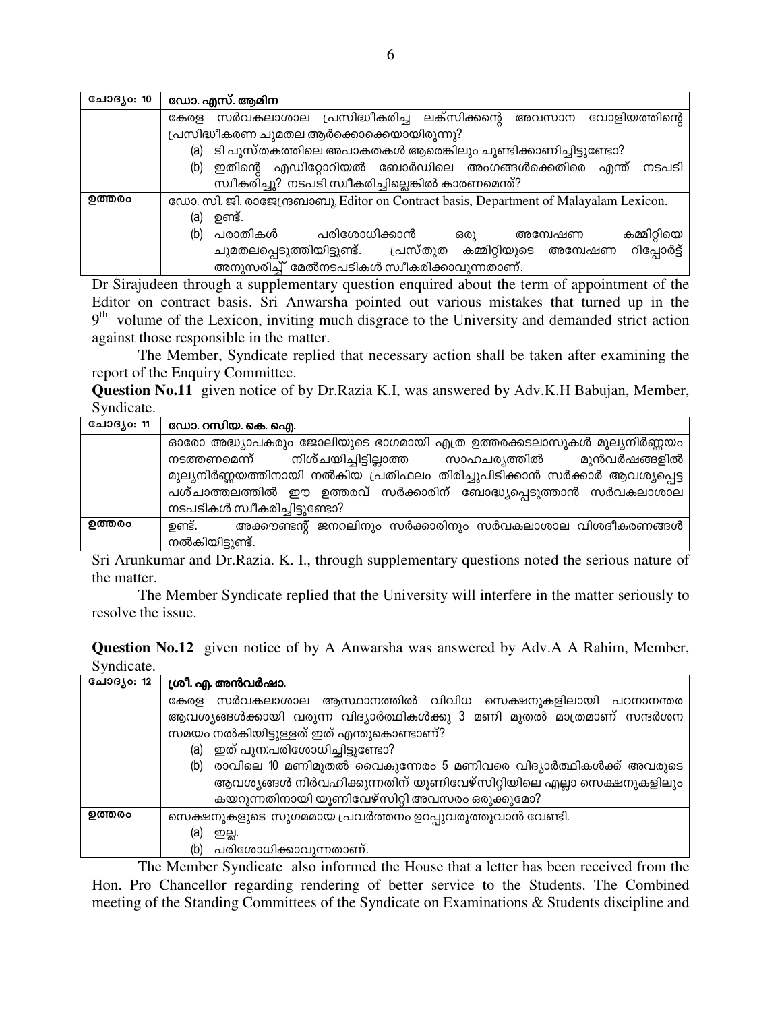| ചോദൃം: 10 | ഡോ. എസ്. ആമിന                                                                         |  |  |  |  |
|-----------|---------------------------------------------------------------------------------------|--|--|--|--|
|           | സർവകലാശാല പ്രസിദ്ധീകരിച്ച ലക്സിക്കന്റെ അവസാന വോളിയത്തിന്റെ<br>കേരള                    |  |  |  |  |
|           | പ്രസിദ്ധീകരണ ചുമതല ആർക്കൊക്കെയായിരുന്നു?                                              |  |  |  |  |
|           | ടി പുസ്തകത്തിലെ അപാകതകൾ ആരെങ്കിലും ചൂണ്ടിക്കാണിച്ചിട്ടുണ്ടോ?<br>(a)                   |  |  |  |  |
|           | ഇതിന്റെ എഡിറ്റോറിയൽ ബോർഡിലെ അംഗങ്ങൾക്കെതിരെ എന്ത്<br>(b)<br>നടപടി                     |  |  |  |  |
|           | സ്വീകരിച്ചു? നടപടി സ്വീകരിച്ചില്ലെങ്കിൽ കാരണമെന്ത്?                                   |  |  |  |  |
| ഉത്തരം    | ഡോ. സി. ജി. രാജേന്ദ്രബാബു, Editor on Contract basis, Department of Malayalam Lexicon. |  |  |  |  |
|           | ഉണ്ട്.<br>(a)                                                                         |  |  |  |  |
|           | പരിശോധിക്കാൻ<br>പരാതികൾ<br>(b)<br>കമ്മിറ്റിയെ<br>ഒരു<br>അന്വേഷണ                       |  |  |  |  |
|           | റിപ്പോർട്ട്<br>ചുമതലപ്പെടുത്തിയിട്ടുണ്ട്. പ്രസ്തുത കമ്മിറ്റിയുടെ<br>അന്വേഷണ           |  |  |  |  |
|           | അനുസരിച്ച് മേൽനടപടികൾ സ്വീകരിക്കാവുന്നതാണ്.                                           |  |  |  |  |

Dr Sirajudeen through a supplementary question enquired about the term of appointment of the Editor on contract basis. Sri Anwarsha pointed out various mistakes that turned up in the  $9<sup>th</sup>$  volume of the Lexicon, inviting much disgrace to the University and demanded strict action against those responsible in the matter.

The Member, Syndicate replied that necessary action shall be taken after examining the report of the Enquiry Committee.

Question No.11 given notice of by Dr.Razia K.I, was answered by Adv.K.H Babujan, Member, Syndicate.

| ചോദൃം: 11 | ഡോ. റസിയ. കെ. ഐ.                                                           |
|-----------|----------------------------------------------------------------------------|
|           | ഓരോ അദ്ധ്യാപകരും ജോലിയുടെ ഭാഗമായി എത്ര ഉത്തരക്കടലാസുകൾ മൂല്യനിർണ്ണയം       |
|           | നടത്തണമെന്ന് നിശ്ചയിച്ചിട്ടില്ലാത്ത സാഹചര്യത്തിൽ മുൻവർഷങ്ങളിൽ              |
|           | മൂല്യനിർണ്ണയത്തിനായി നൽകിയ പ്രതിഫലം തിരിച്ചുപിടിക്കാൻ സർക്കാർ ആവശ്യപ്പെട്ട |
|           | പശ്ചാത്തലത്തിൽ ഈ ഉത്തരവ് സർക്കാരിന് ബോദ്ധ്യപ്പെടുത്താൻ സർവകലാശാല           |
|           | നടപടികൾ സ്വീകരിച്ചിട്ടുണ്ടോ?                                               |
| ഉത്തരം    | ഉണ്ട്.<br>അക്കൗണ്ടന്റ് ജനറലിനും സർക്കാരിനും സർവകലാശാല വിശദീകരണങ്ങൾ         |
|           | നൽകിയിട്ടുണ്ട്.                                                            |

Sri Arunkumar and Dr.Razia. K. I., through supplementary questions noted the serious nature of the matter.

The Member Syndicate replied that the University will interfere in the matter seriously to resolve the issue.

|            | <b>Question No.12</b> given notice of by A Anwarsha was answered by Adv.A A Rahim, Member, |  |  |  |
|------------|--------------------------------------------------------------------------------------------|--|--|--|
| Syndicate. |                                                                                            |  |  |  |

| ചോദൃം: 12 | ശ്രീ. എ. അൻവർഷാ.                                                      |  |  |  |  |
|-----------|-----------------------------------------------------------------------|--|--|--|--|
|           | കേരള സർവകലാശാല ആസ്ഥാനത്തിൽ വിവിധ സെക്ഷനുകളിലായി പഠനാനന്തര             |  |  |  |  |
|           | ആവശ്യങ്ങൾക്കായി വരുന്ന വിദ്യാർത്ഥികൾക്കു 3 മണി മുതൽ മാത്രമാണ് സന്ദർശന |  |  |  |  |
|           | സമയം നൽകിയിട്ടുള്ളത് ഇത് എന്തുകൊണ്ടാണ്?                               |  |  |  |  |
|           | ഇത് പുന:പരിശോധിച്ചിട്ടുണ്ടോ?<br>(a)                                   |  |  |  |  |
|           | രാവിലെ 10 മണിമുതൽ വൈകുന്നേരം 5 മണിവരെ വിദ്യാർത്ഥികൾക്ക് അവരുടെ<br>(b) |  |  |  |  |
|           | ആവശ്യങ്ങൾ നിർവഹിക്കുന്നതിന് യൂണിവേഴ്സിറ്റിയിലെ എല്ലാ സെക്ഷനുകളിലും    |  |  |  |  |
|           | കയറുന്നതിനായി യൂണിവേഴ്സിറ്റി അവസരം ഒരുക്കുമോ?                         |  |  |  |  |
| ഉത്തരം    | സെക്ഷനുകളുടെ സുഗമമായ പ്രവർത്തനം ഉറപ്പുവരുത്തുവാൻ വേണ്ടി.              |  |  |  |  |
|           | (a)<br>ഇല്ല.                                                          |  |  |  |  |
|           | (b)<br>പരിശോധിക്കാവുന്നതാണ്.                                          |  |  |  |  |

The Member Syndicate also informed the House that a letter has been received from the Hon. Pro Chancellor regarding rendering of better service to the Students. The Combined meeting of the Standing Committees of the Syndicate on Examinations & Students discipline and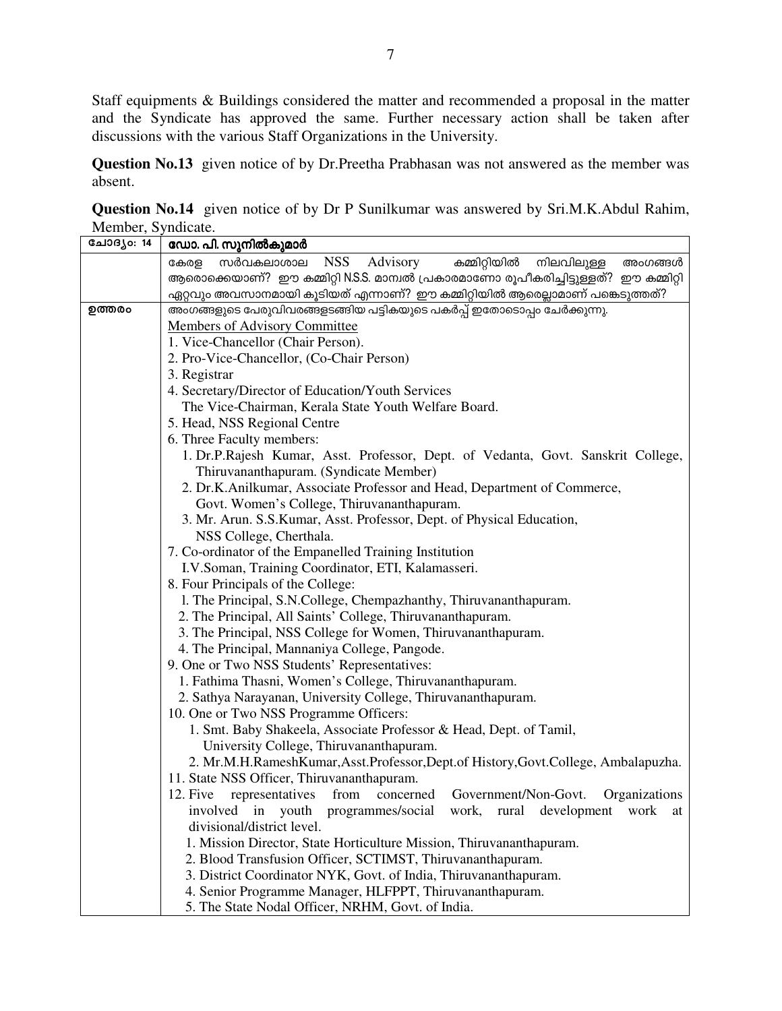Staff equipments & Buildings considered the matter and recommended a proposal in the matter and the Syndicate has approved the same. Further necessary action shall be taken after discussions with the various Staff Organizations in the University.

Question No.13 given notice of by Dr. Preetha Prabhasan was not answered as the member was absent.

Question No.14 given notice of by Dr P Sunilkumar was answered by Sri.M.K.Abdul Rahim, Member, Syndicate.

| ചോദ്യം: 14 | ഡോ. പി. സുനിൽകുമാർ                                                                                                           |  |  |  |
|------------|------------------------------------------------------------------------------------------------------------------------------|--|--|--|
|            | <b>NSS</b><br>സർവകലാശാല<br>Advisory<br>കമ്മിറ്റിയിൽ<br>കേരള<br>നിലവിലുള്ള<br>അംഗങ്ങൾ                                         |  |  |  |
|            | ആരൊക്കെയാണ്? ഈ കമ്മിറ്റി N.S.S. മാമ്പൽ പ്രകാരമാണോ രൂപീകരിച്ചിട്ടുള്ളത്? ഈ കമ്മിറ്റി                                          |  |  |  |
|            | ഏറ്റവും അവസാനമായി കൂടിയത് എന്നാണ്? ഈ കമ്മിറ്റിയിൽ ആരെല്ലാമാണ് പങ്കെടുത്തത്?                                                  |  |  |  |
| ഉത്തരം     | അംഗങ്ങളുടെ പേരുവിവരങ്ങളടങ്ങിയ പട്ടികയുടെ പകർപ്പ് ഇതോടൊപ്പം ചേർക്കുന്നു.                                                      |  |  |  |
|            | <b>Members of Advisory Committee</b>                                                                                         |  |  |  |
|            | 1. Vice-Chancellor (Chair Person).                                                                                           |  |  |  |
|            | 2. Pro-Vice-Chancellor, (Co-Chair Person)                                                                                    |  |  |  |
|            | 3. Registrar                                                                                                                 |  |  |  |
|            | 4. Secretary/Director of Education/Youth Services                                                                            |  |  |  |
|            | The Vice-Chairman, Kerala State Youth Welfare Board.                                                                         |  |  |  |
|            | 5. Head, NSS Regional Centre                                                                                                 |  |  |  |
|            | 6. Three Faculty members:                                                                                                    |  |  |  |
|            | 1. Dr.P.Rajesh Kumar, Asst. Professor, Dept. of Vedanta, Govt. Sanskrit College,                                             |  |  |  |
|            | Thiruvananthapuram. (Syndicate Member)                                                                                       |  |  |  |
|            | 2. Dr.K.Anilkumar, Associate Professor and Head, Department of Commerce,                                                     |  |  |  |
|            | Govt. Women's College, Thiruvananthapuram.                                                                                   |  |  |  |
|            | 3. Mr. Arun. S.S.Kumar, Asst. Professor, Dept. of Physical Education,                                                        |  |  |  |
|            | NSS College, Cherthala.                                                                                                      |  |  |  |
|            | 7. Co-ordinator of the Empanelled Training Institution                                                                       |  |  |  |
|            | I.V.Soman, Training Coordinator, ETI, Kalamasseri.                                                                           |  |  |  |
|            | 8. Four Principals of the College:                                                                                           |  |  |  |
|            | 1. The Principal, S.N.College, Chempazhanthy, Thiruvananthapuram.                                                            |  |  |  |
|            | 2. The Principal, All Saints' College, Thiruvananthapuram.                                                                   |  |  |  |
|            | 3. The Principal, NSS College for Women, Thiruvananthapuram.                                                                 |  |  |  |
|            | 4. The Principal, Mannaniya College, Pangode.                                                                                |  |  |  |
|            | 9. One or Two NSS Students' Representatives:                                                                                 |  |  |  |
|            | 1. Fathima Thasni, Women's College, Thiruvananthapuram.                                                                      |  |  |  |
|            | 2. Sathya Narayanan, University College, Thiruvananthapuram.                                                                 |  |  |  |
|            | 10. One or Two NSS Programme Officers:                                                                                       |  |  |  |
|            | 1. Smt. Baby Shakeela, Associate Professor & Head, Dept. of Tamil,                                                           |  |  |  |
|            | University College, Thiruvananthapuram.                                                                                      |  |  |  |
|            | 2. Mr.M.H.RameshKumar,Asst.Professor,Dept.of History,Govt.College, Ambalapuzha.                                              |  |  |  |
|            | 11. State NSS Officer, Thiruvananthapuram.                                                                                   |  |  |  |
|            | 12. Five representatives from concerned Government/Non-Govt.<br>Organizations                                                |  |  |  |
|            | involved in youth programmes/social work, rural development work at                                                          |  |  |  |
|            |                                                                                                                              |  |  |  |
|            | divisional/district level.                                                                                                   |  |  |  |
|            | 1. Mission Director, State Horticulture Mission, Thiruvananthapuram.                                                         |  |  |  |
|            | 2. Blood Transfusion Officer, SCTIMST, Thiruvananthapuram.                                                                   |  |  |  |
|            | 3. District Coordinator NYK, Govt. of India, Thiruvananthapuram.<br>4. Senior Programme Manager, HLFPPT, Thiruvananthapuram. |  |  |  |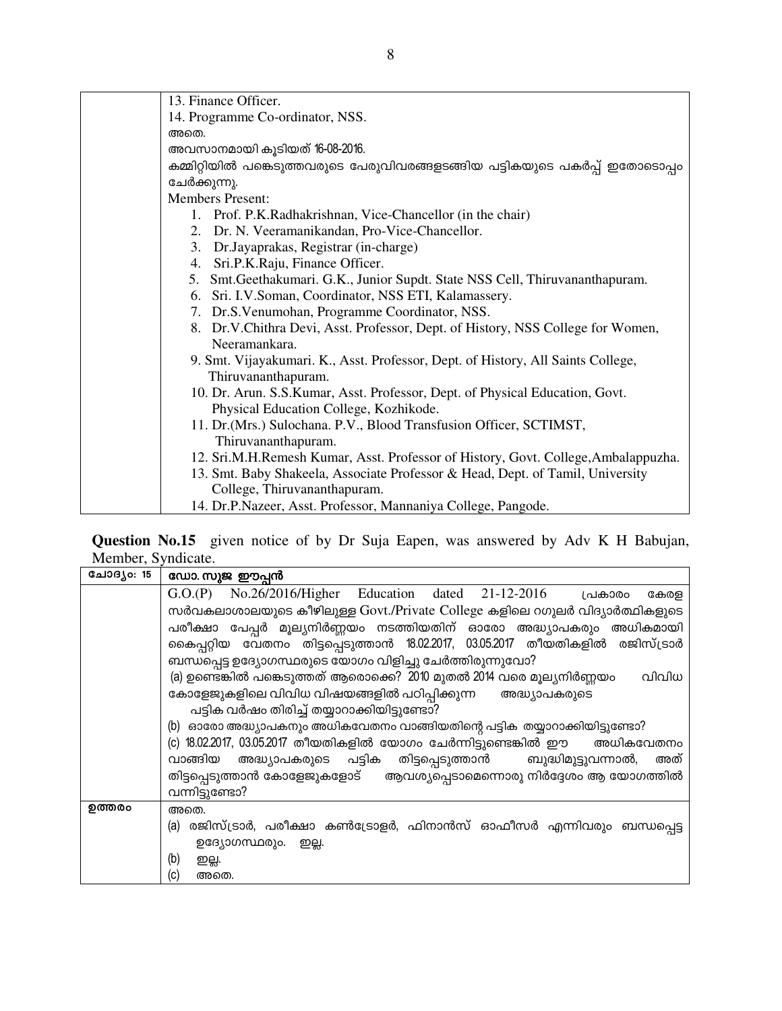| 13. Finance Officer.                                                                                    |
|---------------------------------------------------------------------------------------------------------|
| 14. Programme Co-ordinator, NSS.                                                                        |
| അതെ.                                                                                                    |
| അവസാനമായി കൂടിയത് 16-08-2016.                                                                           |
| കമ്മിറ്റിയിൽ പങ്കെടുത്തവരുടെ പേരുവിവരങ്ങളടങ്ങിയ പട്ടികയുടെ പകർപ്പ് ഇതോടൊപ്പം                            |
| ചേർക്കുന്നു.                                                                                            |
| <b>Members Present:</b>                                                                                 |
| 1. Prof. P.K.Radhakrishnan, Vice-Chancellor (in the chair)                                              |
| 2. Dr. N. Veeramanikandan, Pro-Vice-Chancellor.                                                         |
| 3. Dr. Jayaprakas, Registrar (in-charge)                                                                |
| 4. Sri.P.K.Raju, Finance Officer.                                                                       |
| 5. Smt. Geethakumari. G.K., Junior Supdt. State NSS Cell, Thiruvananthapuram.                           |
| 6. Sri. I.V.Soman, Coordinator, NSS ETI, Kalamassery.                                                   |
| 7. Dr.S.Venumohan, Programme Coordinator, NSS.                                                          |
| 8. Dr.V.Chithra Devi, Asst. Professor, Dept. of History, NSS College for Women,                         |
| Neeramankara.                                                                                           |
| 9. Smt. Vijayakumari. K., Asst. Professor, Dept. of History, All Saints College,<br>Thiruvananthapuram. |
| 10. Dr. Arun. S.S.Kumar, Asst. Professor, Dept. of Physical Education, Govt.                            |
| Physical Education College, Kozhikode.                                                                  |
| 11. Dr. (Mrs.) Sulochana. P.V., Blood Transfusion Officer, SCTIMST,                                     |
| Thiruvananthapuram.                                                                                     |
| 12. Sri.M.H.Remesh Kumar, Asst. Professor of History, Govt. College, Ambalappuzha.                      |
| 13. Smt. Baby Shakeela, Associate Professor & Head, Dept. of Tamil, University                          |
| College, Thiruvananthapuram.                                                                            |
| 14. Dr.P.Nazeer, Asst. Professor, Mannaniya College, Pangode.                                           |

Question No.15 given notice of by Dr Suja Eapen, was answered by Adv K H Babujan, Member, Syndicate.

| ചോദൃം: 15 | ഡോ. സുജ ഈപ്പൻ                                                                  |  |  |  |  |  |  |
|-----------|--------------------------------------------------------------------------------|--|--|--|--|--|--|
|           | G.O.(P) No.26/2016/Higher Education dated 21-12-2016<br>പ്രകാരം<br>കേരള        |  |  |  |  |  |  |
|           | സർവകലാശാലയുടെ കീഴിലുള്ള Govt./Private College കളിലെ റഗുലർ വിദ്യാർത്ഥികളുടെ     |  |  |  |  |  |  |
|           | പരീക്ഷാ പേപ്പർ മൂല്യനിർണ്ണയം നടത്തിയതിന് ഓരോ അദ്ധ്യാപകരും അധികമായി             |  |  |  |  |  |  |
|           | കൈപ്പറ്റിയ വേതനം തിട്ടപ്പെടുത്താൻ 18.02.2017, 03.05.2017 തീയതികളിൽ രജിസ്ട്രാർ  |  |  |  |  |  |  |
|           | ബന്ധപ്പെട്ട ഉദ്യോഗസ്ഥരുടെ യോഗം വിളിച്ചു ചേർത്തിരുന്നുവോ?                       |  |  |  |  |  |  |
|           | (a) ഉണ്ടെങ്കിൽ പങ്കെടുത്തത് ആരൊക്കെ? 2010 മുതൽ 2014 വരെ മൂല്യനിർണ്ണയം<br>വിവിധ |  |  |  |  |  |  |
|           | കോളേജുകളിലെ വിവിധ വിഷയങ്ങളിൽ പഠിപ്പിക്കുന്ന അദ്ധ്യാപകരുടെ                      |  |  |  |  |  |  |
|           | പട്ടിക വർഷം തിരിച്ച് തയ്യാറാക്കിയിട്ടുണ്ടോ?                                    |  |  |  |  |  |  |
|           | (b) ഓരോ അദ്ധ്യാപകനും അധികവേതനം വാങ്ങിയതിന്റെ പട്ടിക തയ്യാറാക്കിയിട്ടുണ്ടോ?     |  |  |  |  |  |  |
|           | (c) 18.02.2017, 03.05.2017 തീയതികളിൽ യോഗം ചേർന്നിട്ടുണ്ടെങ്കിൽ ഈ    അധികവേതനം  |  |  |  |  |  |  |
|           | വാങ്ങിയ അദ്ധ്യാപകരുടെ പട്ടിക തിട്ടപ്പെടുത്താൻ  ബുദ്ധിമുട്ടുവന്നാൽ,<br>അത്      |  |  |  |  |  |  |
|           | തിട്ടപ്പെടുത്താൻ കോളേജുകളോട് ആവശ്യപ്പെടാമെന്നൊരു നിർദ്ദേശം ആ യോഗത്തിൽ          |  |  |  |  |  |  |
|           | വന്നിട്ടുണ്ടോ?                                                                 |  |  |  |  |  |  |
| ഉത്തരം    | അതെ.                                                                           |  |  |  |  |  |  |
|           | (a) രജിസ്ട്രാർ, പരീക്ഷാ കൺട്രോളർ, ഫിനാൻസ് ഓഫീസർ എന്നിവരും ബന്ധപ്പെട്ട          |  |  |  |  |  |  |
|           | ഉദ്യോഗസ്ഥരും. ഇല്ല.                                                            |  |  |  |  |  |  |
|           | (b)<br>ഇല്ല.                                                                   |  |  |  |  |  |  |
|           | (c)<br>അതെ.                                                                    |  |  |  |  |  |  |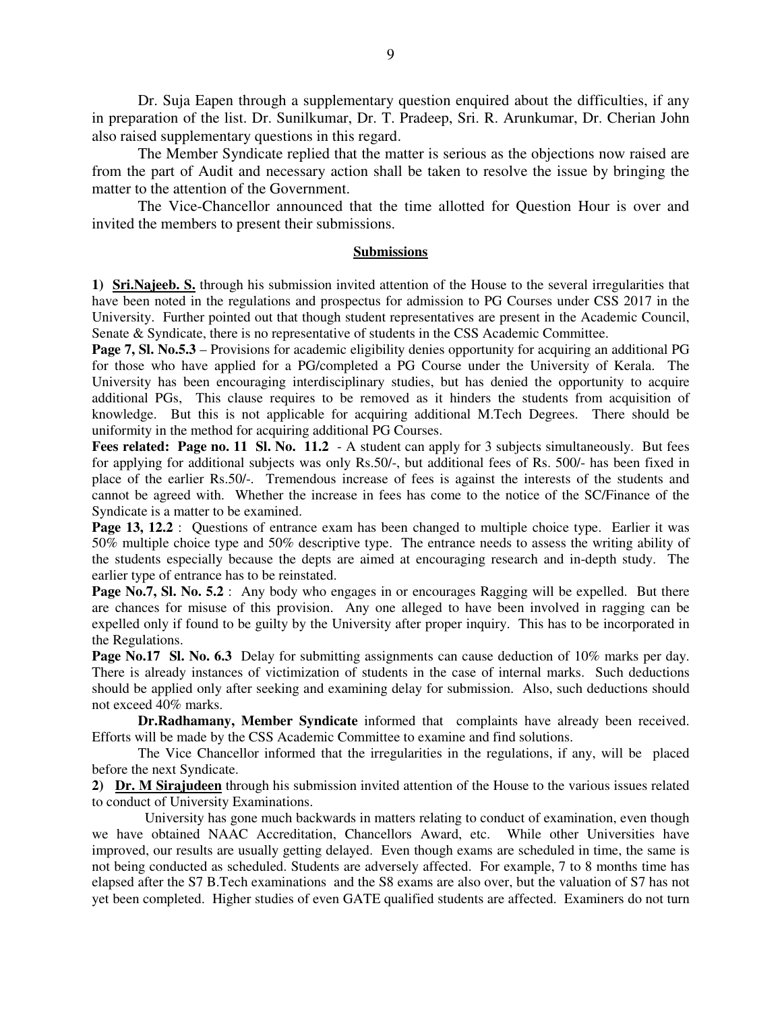Dr. Suja Eapen through a supplementary question enquired about the difficulties, if any in preparation of the list. Dr. Sunilkumar, Dr. T. Pradeep, Sri. R. Arunkumar, Dr. Cherian John also raised supplementary questions in this regard.

 The Member Syndicate replied that the matter is serious as the objections now raised are from the part of Audit and necessary action shall be taken to resolve the issue by bringing the matter to the attention of the Government.

 The Vice-Chancellor announced that the time allotted for Question Hour is over and invited the members to present their submissions.

### **Submissions**

**1) Sri.Najeeb. S.** through his submission invited attention of the House to the several irregularities that have been noted in the regulations and prospectus for admission to PG Courses under CSS 2017 in the University. Further pointed out that though student representatives are present in the Academic Council, Senate & Syndicate, there is no representative of students in the CSS Academic Committee.

**Page 7, Sl. No.5.3** – Provisions for academic eligibility denies opportunity for acquiring an additional PG for those who have applied for a PG/completed a PG Course under the University of Kerala. The University has been encouraging interdisciplinary studies, but has denied the opportunity to acquire additional PGs, This clause requires to be removed as it hinders the students from acquisition of knowledge. But this is not applicable for acquiring additional M.Tech Degrees. There should be uniformity in the method for acquiring additional PG Courses.

**Fees related: Page no. 11 Sl. No. 11.2** - A student can apply for 3 subjects simultaneously. But fees for applying for additional subjects was only Rs.50/-, but additional fees of Rs. 500/- has been fixed in place of the earlier Rs.50/-. Tremendous increase of fees is against the interests of the students and cannot be agreed with. Whether the increase in fees has come to the notice of the SC/Finance of the Syndicate is a matter to be examined.

Page 13, 12.2 : Questions of entrance exam has been changed to multiple choice type. Earlier it was 50% multiple choice type and 50% descriptive type. The entrance needs to assess the writing ability of the students especially because the depts are aimed at encouraging research and in-depth study. The earlier type of entrance has to be reinstated.

**Page No.7, Sl. No. 5.2** : Any body who engages in or encourages Ragging will be expelled. But there are chances for misuse of this provision. Any one alleged to have been involved in ragging can be expelled only if found to be guilty by the University after proper inquiry. This has to be incorporated in the Regulations.

**Page No.17 Sl. No. 6.3** Delay for submitting assignments can cause deduction of 10% marks per day. There is already instances of victimization of students in the case of internal marks. Such deductions should be applied only after seeking and examining delay for submission. Also, such deductions should not exceed 40% marks.

**Dr.Radhamany, Member Syndicate** informed that complaints have already been received. Efforts will be made by the CSS Academic Committee to examine and find solutions.

The Vice Chancellor informed that the irregularities in the regulations, if any, will be placed before the next Syndicate.

**2) Dr. M Sirajudeen** through his submission invited attention of the House to the various issues related to conduct of University Examinations.

 University has gone much backwards in matters relating to conduct of examination, even though we have obtained NAAC Accreditation, Chancellors Award, etc. While other Universities have improved, our results are usually getting delayed. Even though exams are scheduled in time, the same is not being conducted as scheduled. Students are adversely affected. For example, 7 to 8 months time has elapsed after the S7 B.Tech examinations and the S8 exams are also over, but the valuation of S7 has not yet been completed. Higher studies of even GATE qualified students are affected. Examiners do not turn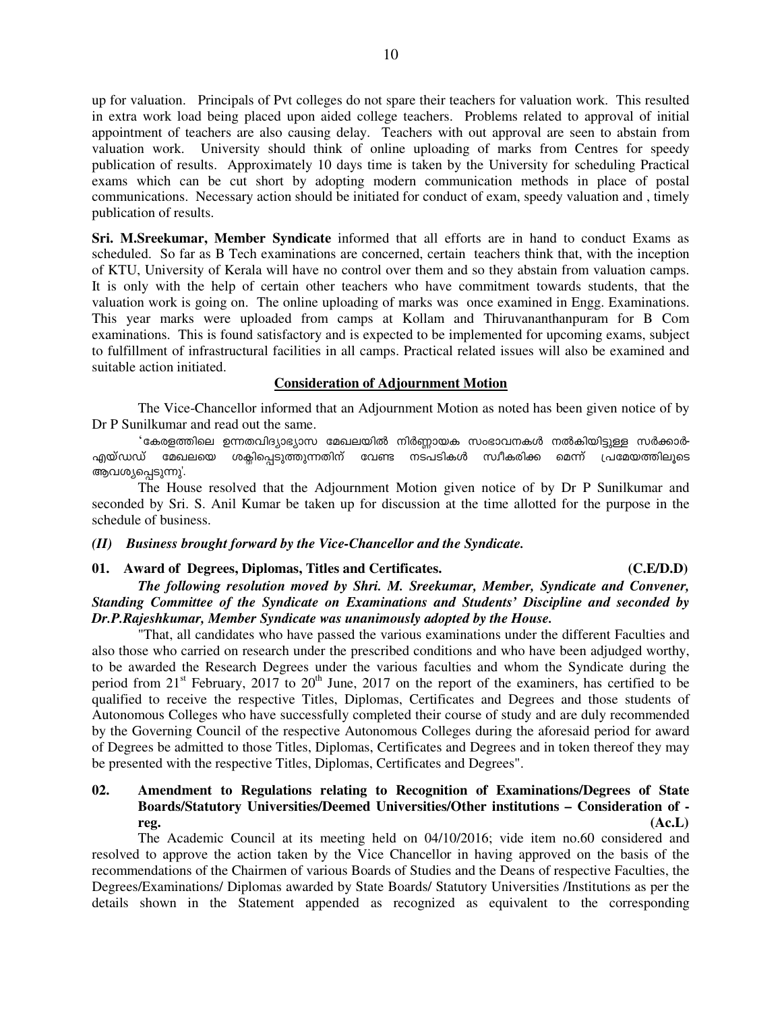up for valuation. Principals of Pvt colleges do not spare their teachers for valuation work. This resulted in extra work load being placed upon aided college teachers. Problems related to approval of initial appointment of teachers are also causing delay. Teachers with out approval are seen to abstain from valuation work. University should think of online uploading of marks from Centres for speedy publication of results. Approximately 10 days time is taken by the University for scheduling Practical exams which can be cut short by adopting modern communication methods in place of postal communications. Necessary action should be initiated for conduct of exam, speedy valuation and , timely publication of results.

**Sri. M.Sreekumar, Member Syndicate** informed that all efforts are in hand to conduct Exams as scheduled. So far as B Tech examinations are concerned, certain teachers think that, with the inception of KTU, University of Kerala will have no control over them and so they abstain from valuation camps. It is only with the help of certain other teachers who have commitment towards students, that the valuation work is going on. The online uploading of marks was once examined in Engg. Examinations. This year marks were uploaded from camps at Kollam and Thiruvananthanpuram for B Com examinations. This is found satisfactory and is expected to be implemented for upcoming exams, subject to fulfillment of infrastructural facilities in all camps. Practical related issues will also be examined and suitable action initiated.

### **Consideration of Adjournment Motion**

 The Vice-Chancellor informed that an Adjournment Motion as noted has been given notice of by Dr P Sunilkumar and read out the same.

<mark>'കേരളത്തിലെ ഉന്നതവിദ്യാഭ്യാസ മേഖലയിൽ നിർ</mark>ണ്ണായക സംഭാവനകൾ നൽകിയിട്ടുള്ള സർക്കാർ-<br>ധ് മേഖലയെ ശക്ലിപ്പെടുത്തുന്നതിന് വേണ്ട നടപടികൾ സ്വീകരിക്ക മെന്ന് പ്രമേയത്തിലൂടെ എയ്ഡഡ് മേഖലയെ ശക്ലിപ്പെടുത്തുന്നതിന് ആവശ്യപ്പെടുന്നു'.

The House resolved that the Adjournment Motion given notice of by Dr P Sunilkumar and seconded by Sri. S. Anil Kumar be taken up for discussion at the time allotted for the purpose in the schedule of business.

### *(II) Business brought forward by the Vice-Chancellor and the Syndicate.*

### **01.****Award of Degrees, Diplomas, Titles and Certificates. (C.E/D.D)**

# *The following resolution moved by Shri. M. Sreekumar, Member, Syndicate and Convener, Standing Committee of the Syndicate on Examinations and Students' Discipline and seconded by Dr.P.Rajeshkumar, Member Syndicate was unanimously adopted by the House.*

"That, all candidates who have passed the various examinations under the different Faculties and also those who carried on research under the prescribed conditions and who have been adjudged worthy, to be awarded the Research Degrees under the various faculties and whom the Syndicate during the period from  $21^{st}$  February,  $2017$  to  $20^{th}$  June,  $2017$  on the report of the examiners, has certified to be qualified to receive the respective Titles, Diplomas, Certificates and Degrees and those students of Autonomous Colleges who have successfully completed their course of study and are duly recommended by the Governing Council of the respective Autonomous Colleges during the aforesaid period for award of Degrees be admitted to those Titles, Diplomas, Certificates and Degrees and in token thereof they may be presented with the respective Titles, Diplomas, Certificates and Degrees".

# **02. Amendment to Regulations relating to Recognition of Examinations/Degrees of State Boards/Statutory Universities/Deemed Universities/Other institutions – Consideration of reg. (Ac.L)**

 The Academic Council at its meeting held on 04/10/2016; vide item no.60 considered and resolved to approve the action taken by the Vice Chancellor in having approved on the basis of the recommendations of the Chairmen of various Boards of Studies and the Deans of respective Faculties, the Degrees/Examinations/ Diplomas awarded by State Boards/ Statutory Universities /Institutions as per the details shown in the Statement appended as recognized as equivalent to the corresponding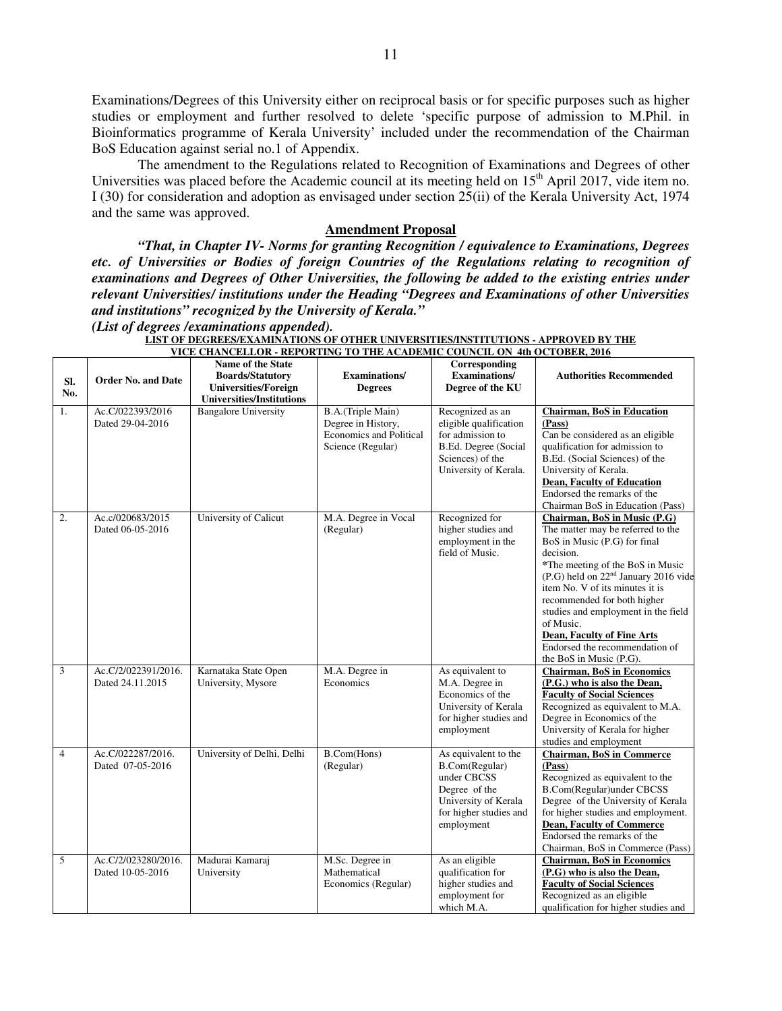Examinations/Degrees of this University either on reciprocal basis or for specific purposes such as higher studies or employment and further resolved to delete 'specific purpose of admission to M.Phil. in Bioinformatics programme of Kerala University' included under the recommendation of the Chairman BoS Education against serial no.1 of Appendix.

The amendment to the Regulations related to Recognition of Examinations and Degrees of other Universities was placed before the Academic council at its meeting held on  $15<sup>th</sup>$  April 2017, vide item no. I (30) for consideration and adoption as envisaged under section 25(ii) of the Kerala University Act, 1974 and the same was approved.

#### **Amendment Proposal**

*"That, in Chapter IV- Norms for granting Recognition / equivalence to Examinations, Degrees etc. of Universities or Bodies of foreign Countries of the Regulations relating to recognition of examinations and Degrees of Other Universities, the following be added to the existing entries under relevant Universities/ institutions under the Heading "Degrees and Examinations of other Universities and institutions" recognized by the University of Kerala."* 

*(List of degrees /examinations appended).*

|                |                                         | VICE CHARCELLOR • REI ORTHW TO THE ACADEMIC                                                                     |                                                                                         | COUNCIL ON HIM OCTOBER, 2010                                                                                                           |                                                                                                                                                                                                                                                                                                                                                                                                                                |
|----------------|-----------------------------------------|-----------------------------------------------------------------------------------------------------------------|-----------------------------------------------------------------------------------------|----------------------------------------------------------------------------------------------------------------------------------------|--------------------------------------------------------------------------------------------------------------------------------------------------------------------------------------------------------------------------------------------------------------------------------------------------------------------------------------------------------------------------------------------------------------------------------|
| SI.<br>No.     | <b>Order No. and Date</b>               | Name of the State<br><b>Boards/Statutory</b><br><b>Universities/Foreign</b><br><b>Universities/Institutions</b> | <b>Examinations</b> /<br><b>Degrees</b>                                                 | Corresponding<br><b>Examinations/</b><br>Degree of the KU                                                                              | <b>Authorities Recommended</b>                                                                                                                                                                                                                                                                                                                                                                                                 |
| 1.             | Ac.C/022393/2016<br>Dated 29-04-2016    | <b>Bangalore University</b>                                                                                     | B.A.(Triple Main)<br>Degree in History,<br>Economics and Political<br>Science (Regular) | Recognized as an<br>eligible qualification<br>for admission to<br>B.Ed. Degree (Social<br>Sciences) of the<br>University of Kerala.    | <b>Chairman, BoS in Education</b><br>(Pass)<br>Can be considered as an eligible<br>qualification for admission to<br>B.Ed. (Social Sciences) of the<br>University of Kerala.<br><b>Dean, Faculty of Education</b><br>Endorsed the remarks of the<br>Chairman BoS in Education (Pass)                                                                                                                                           |
| 2.             | Ac.c/020683/2015<br>Dated 06-05-2016    | University of Calicut                                                                                           | M.A. Degree in Vocal<br>(Regular)                                                       | Recognized for<br>higher studies and<br>employment in the<br>field of Music.                                                           | Chairman, BoS in Music (P.G)<br>The matter may be referred to the<br>BoS in Music (P.G) for final<br>decision.<br>*The meeting of the BoS in Music<br>(P.G) held on 22 <sup>nd</sup> January 2016 vide<br>item No. V of its minutes it is<br>recommended for both higher<br>studies and employment in the field<br>of Music.<br><b>Dean, Faculty of Fine Arts</b><br>Endorsed the recommendation of<br>the BoS in Music (P.G). |
| 3              | Ac.C/2/022391/2016.<br>Dated 24.11.2015 | Karnataka State Open<br>University, Mysore                                                                      | M.A. Degree in<br>Economics                                                             | As equivalent to<br>M.A. Degree in<br>Economics of the<br>University of Kerala<br>for higher studies and<br>employment                 | <b>Chairman, BoS in Economics</b><br>(P.G.) who is also the Dean,<br><b>Faculty of Social Sciences</b><br>Recognized as equivalent to M.A.<br>Degree in Economics of the<br>University of Kerala for higher<br>studies and employment                                                                                                                                                                                          |
| $\overline{4}$ | Ac.C/022287/2016.<br>Dated 07-05-2016   | University of Delhi, Delhi                                                                                      | B.Com(Hons)<br>(Regular)                                                                | As equivalent to the<br>B.Com(Regular)<br>under CBCSS<br>Degree of the<br>University of Kerala<br>for higher studies and<br>employment | <b>Chairman, BoS in Commerce</b><br>(Pass)<br>Recognized as equivalent to the<br><b>B.Com</b> (Regular)under CBCSS<br>Degree of the University of Kerala<br>for higher studies and employment.<br><b>Dean, Faculty of Commerce</b><br>Endorsed the remarks of the<br>Chairman, BoS in Commerce (Pass)                                                                                                                          |
| 5              | Ac.C/2/023280/2016.<br>Dated 10-05-2016 | Madurai Kamaraj<br>University                                                                                   | M.Sc. Degree in<br>Mathematical<br>Economics (Regular)                                  | As an eligible<br>qualification for<br>higher studies and<br>employment for<br>which M.A.                                              | <b>Chairman, BoS in Economics</b><br>(P.G) who is also the Dean,<br><b>Faculty of Social Sciences</b><br>Recognized as an eligible<br>qualification for higher studies and                                                                                                                                                                                                                                                     |

LIST OF DEGREES/EXAMINATIONS OF OTHER UNIVERSITIES/INSTITUTIONS - APPROVED BY THE **VICE CHANCELLOR - REPORTING TO THE ACADEMIC COUNCIL ON 4th OCTOBER, 2016**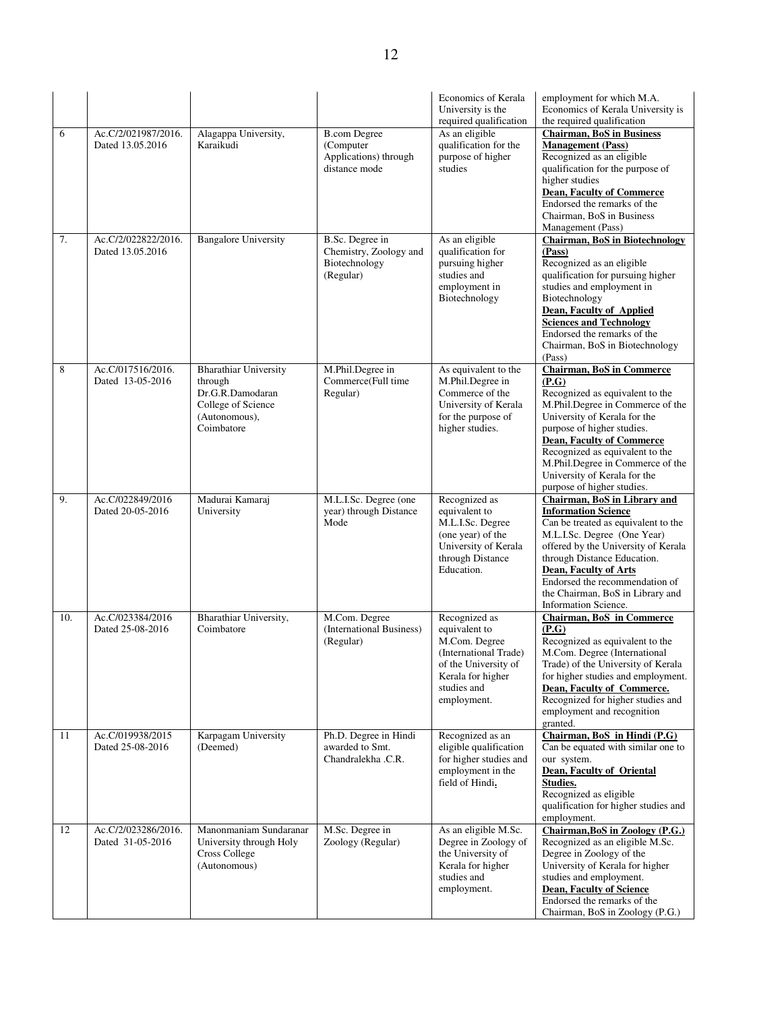|     |                                         |                                                                                                                  |                                                                            | <b>Economics of Kerala</b><br>University is the<br>required qualification                                                                           | employment for which M.A.<br>Economics of Kerala University is<br>the required qualification                                                                                                                                                                                                                                                            |
|-----|-----------------------------------------|------------------------------------------------------------------------------------------------------------------|----------------------------------------------------------------------------|-----------------------------------------------------------------------------------------------------------------------------------------------------|---------------------------------------------------------------------------------------------------------------------------------------------------------------------------------------------------------------------------------------------------------------------------------------------------------------------------------------------------------|
| 6   | Ac.C/2/021987/2016.<br>Dated 13.05.2016 | Alagappa University,<br>Karaikudi                                                                                | <b>B.com Degree</b><br>(Computer<br>Applications) through<br>distance mode | As an eligible<br>qualification for the<br>purpose of higher<br>studies                                                                             | <b>Chairman, BoS in Business</b><br><b>Management</b> (Pass)<br>Recognized as an eligible<br>qualification for the purpose of<br>higher studies<br><b>Dean, Faculty of Commerce</b><br>Endorsed the remarks of the<br>Chairman, BoS in Business<br>Management (Pass)                                                                                    |
| 7.  | Ac.C/2/022822/2016.<br>Dated 13.05.2016 | <b>Bangalore University</b>                                                                                      | B.Sc. Degree in<br>Chemistry, Zoology and<br>Biotechnology<br>(Regular)    | As an eligible<br>qualification for<br>pursuing higher<br>studies and<br>employment in<br>Biotechnology                                             | <b>Chairman, BoS in Biotechnology</b><br>(Pass)<br>Recognized as an eligible<br>qualification for pursuing higher<br>studies and employment in<br>Biotechnology<br>Dean, Faculty of Applied<br><b>Sciences and Technology</b><br>Endorsed the remarks of the<br>Chairman, BoS in Biotechnology<br>(Pass)                                                |
| 8   | Ac.C/017516/2016.<br>Dated 13-05-2016   | <b>Bharathiar University</b><br>through<br>Dr.G.R.Damodaran<br>College of Science<br>(Autonomous),<br>Coimbatore | M.Phil.Degree in<br>Commerce(Full time<br>Regular)                         | As equivalent to the<br>M.Phil.Degree in<br>Commerce of the<br>University of Kerala<br>for the purpose of<br>higher studies.                        | <b>Chairman, BoS in Commerce</b><br>(P.G)<br>Recognized as equivalent to the<br>M.Phil.Degree in Commerce of the<br>University of Kerala for the<br>purpose of higher studies.<br><b>Dean, Faculty of Commerce</b><br>Recognized as equivalent to the<br>M.Phil.Degree in Commerce of the<br>University of Kerala for the<br>purpose of higher studies. |
| 9.  | Ac.C/022849/2016<br>Dated 20-05-2016    | Madurai Kamaraj<br>University                                                                                    | M.L.I.Sc. Degree (one<br>year) through Distance<br>Mode                    | Recognized as<br>equivalent to<br>M.L.I.Sc. Degree<br>(one year) of the<br>University of Kerala<br>through Distance<br>Education.                   | Chairman, BoS in Library and<br><b>Information Science</b><br>Can be treated as equivalent to the<br>M.L.I.Sc. Degree (One Year)<br>offered by the University of Kerala<br>through Distance Education.<br><b>Dean, Faculty of Arts</b><br>Endorsed the recommendation of<br>the Chairman, BoS in Library and<br>Information Science.                    |
| 10. | Ac.C/023384/2016<br>Dated 25-08-2016    | Bharathiar University,<br>Coimbatore                                                                             | M.Com. Degree<br>(International Business)<br>(Regular)                     | Recognized as<br>equivalent to<br>M.Com. Degree<br>(International Trade)<br>of the University of<br>Kerala for higher<br>studies and<br>employment. | <b>Chairman, BoS in Commerce</b><br>(P.G)<br>Recognized as equivalent to the<br>M.Com. Degree (International<br>Trade) of the University of Kerala<br>for higher studies and employment.<br>Dean, Faculty of Commerce.<br>Recognized for higher studies and<br>employment and recognition<br>granted.                                                   |
| 11  | Ac.C/019938/2015<br>Dated 25-08-2016    | Karpagam University<br>(Deemed)                                                                                  | Ph.D. Degree in Hindi<br>awarded to Smt.<br>Chandralekha .C.R.             | Recognized as an<br>eligible qualification<br>for higher studies and<br>employment in the<br>field of Hindi.                                        | Chairman, BoS in Hindi (P.G)<br>Can be equated with similar one to<br>our system.<br>Dean, Faculty of Oriental<br>Studies.<br>Recognized as eligible<br>qualification for higher studies and<br>employment.                                                                                                                                             |
| 12  | Ac.C/2/023286/2016.<br>Dated 31-05-2016 | Manonmaniam Sundaranar<br>University through Holy<br><b>Cross College</b><br>(Autonomous)                        | M.Sc. Degree in<br>Zoology (Regular)                                       | As an eligible M.Sc.<br>Degree in Zoology of<br>the University of<br>Kerala for higher<br>studies and<br>employment.                                | Chairman, BoS in Zoology (P.G.)<br>Recognized as an eligible M.Sc.<br>Degree in Zoology of the<br>University of Kerala for higher<br>studies and employment.<br><b>Dean, Faculty of Science</b><br>Endorsed the remarks of the<br>Chairman, BoS in Zoology (P.G.)                                                                                       |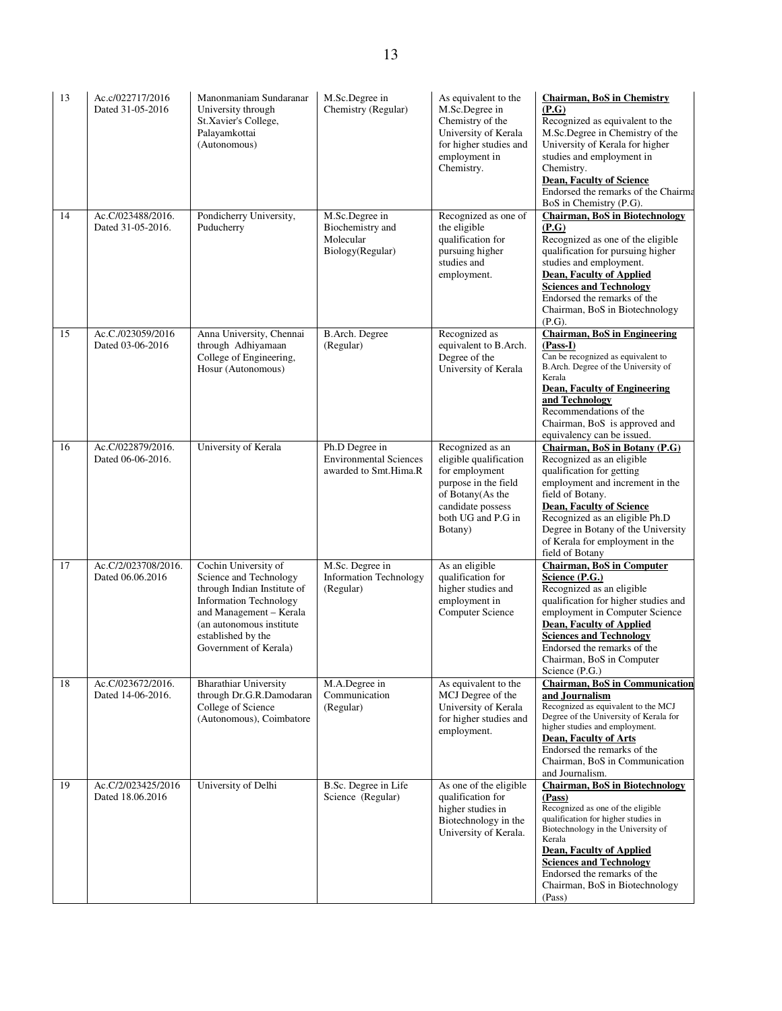| 13 | Ac.c/022717/2016<br>Dated 31-05-2016    | Manonmaniam Sundaranar<br>University through<br>St.Xavier's College,<br>Palayamkottai<br>(Autonomous)                                                                                                                 | M.Sc.Degree in<br>Chemistry (Regular)                                    | As equivalent to the<br>M.Sc.Degree in<br>Chemistry of the<br>University of Kerala<br>for higher studies and<br>employment in<br>Chemistry.                    | <b>Chairman, BoS in Chemistry</b><br>(P.G)<br>Recognized as equivalent to the<br>M.Sc.Degree in Chemistry of the<br>University of Kerala for higher<br>studies and employment in<br>Chemistry.<br><b>Dean, Faculty of Science</b><br>Endorsed the remarks of the Chairma<br>BoS in Chemistry (P.G).                         |
|----|-----------------------------------------|-----------------------------------------------------------------------------------------------------------------------------------------------------------------------------------------------------------------------|--------------------------------------------------------------------------|----------------------------------------------------------------------------------------------------------------------------------------------------------------|-----------------------------------------------------------------------------------------------------------------------------------------------------------------------------------------------------------------------------------------------------------------------------------------------------------------------------|
| 14 | Ac.C/023488/2016.<br>Dated 31-05-2016.  | Pondicherry University,<br>Puducherry                                                                                                                                                                                 | M.Sc.Degree in<br>Biochemistry and<br>Molecular<br>Biology(Regular)      | Recognized as one of<br>the eligible<br>qualification for<br>pursuing higher<br>studies and<br>employment.                                                     | <b>Chairman, BoS in Biotechnology</b><br>(P.G)<br>Recognized as one of the eligible<br>qualification for pursuing higher<br>studies and employment.<br><b>Dean, Faculty of Applied</b><br><b>Sciences and Technology</b><br>Endorsed the remarks of the<br>Chairman, BoS in Biotechnology<br>(P.G).                         |
| 15 | Ac.C./023059/2016<br>Dated 03-06-2016   | Anna University, Chennai<br>through Adhiyamaan<br>College of Engineering,<br>Hosur (Autonomous)                                                                                                                       | B.Arch. Degree<br>(Regular)                                              | Recognized as<br>equivalent to B.Arch.<br>Degree of the<br>University of Kerala                                                                                | <b>Chairman, BoS in Engineering</b><br>$(Pass-I)$<br>Can be recognized as equivalent to<br>B.Arch. Degree of the University of<br>Kerala<br><b>Dean, Faculty of Engineering</b><br>and Technology<br>Recommendations of the<br>Chairman, BoS is approved and<br>equivalency can be issued.                                  |
| 16 | Ac.C/022879/2016.<br>Dated 06-06-2016.  | University of Kerala                                                                                                                                                                                                  | Ph.D Degree in<br><b>Environmental Sciences</b><br>awarded to Smt.Hima.R | Recognized as an<br>eligible qualification<br>for employment<br>purpose in the field<br>of Botany(As the<br>candidate possess<br>both UG and P.G in<br>Botany) | Chairman, BoS in Botany (P.G)<br>Recognized as an eligible<br>qualification for getting<br>employment and increment in the<br>field of Botany.<br><b>Dean, Faculty of Science</b><br>Recognized as an eligible Ph.D<br>Degree in Botany of the University<br>of Kerala for employment in the<br>field of Botany             |
| 17 | Ac.C/2/023708/2016.<br>Dated 06.06.2016 | Cochin University of<br>Science and Technology<br>through Indian Institute of<br><b>Information Technology</b><br>and Management - Kerala<br>(an autonomous institute)<br>established by the<br>Government of Kerala) | M.Sc. Degree in<br><b>Information Technology</b><br>(Regular)            | As an eligible<br>qualification for<br>higher studies and<br>employment in<br>Computer Science                                                                 | <b>Chairman, BoS in Computer</b><br>Science (P.G.)<br>Recognized as an eligible<br>qualification for higher studies and<br>employment in Computer Science<br><b>Dean, Faculty of Applied</b><br><b>Sciences and Technology</b><br>Endorsed the remarks of the<br>Chairman, BoS in Computer<br>Science (P.G.)                |
| 18 | Ac.C/023672/2016.<br>Dated 14-06-2016.  | <b>Bharathiar University</b><br>through Dr.G.R.Damodaran<br>College of Science<br>(Autonomous), Coimbatore                                                                                                            | M.A.Degree in<br>Communication<br>(Regular)                              | As equivalent to the<br>MCJ Degree of the<br>University of Kerala<br>for higher studies and<br>employment.                                                     | <b>Chairman, BoS in Communication</b><br>and Journalism<br>Recognized as equivalent to the MCJ<br>Degree of the University of Kerala for<br>higher studies and employment.<br>Dean, Faculty of Arts<br>Endorsed the remarks of the<br>Chairman, BoS in Communication<br>and Journalism.                                     |
| 19 | Ac.C/2/023425/2016<br>Dated 18.06.2016  | University of Delhi                                                                                                                                                                                                   | B.Sc. Degree in Life<br>Science (Regular)                                | As one of the eligible<br>qualification for<br>higher studies in<br>Biotechnology in the<br>University of Kerala.                                              | <b>Chairman, BoS in Biotechnology</b><br>(Pass)<br>Recognized as one of the eligible<br>qualification for higher studies in<br>Biotechnology in the University of<br>Kerala<br><b>Dean, Faculty of Applied</b><br><b>Sciences and Technology</b><br>Endorsed the remarks of the<br>Chairman, BoS in Biotechnology<br>(Pass) |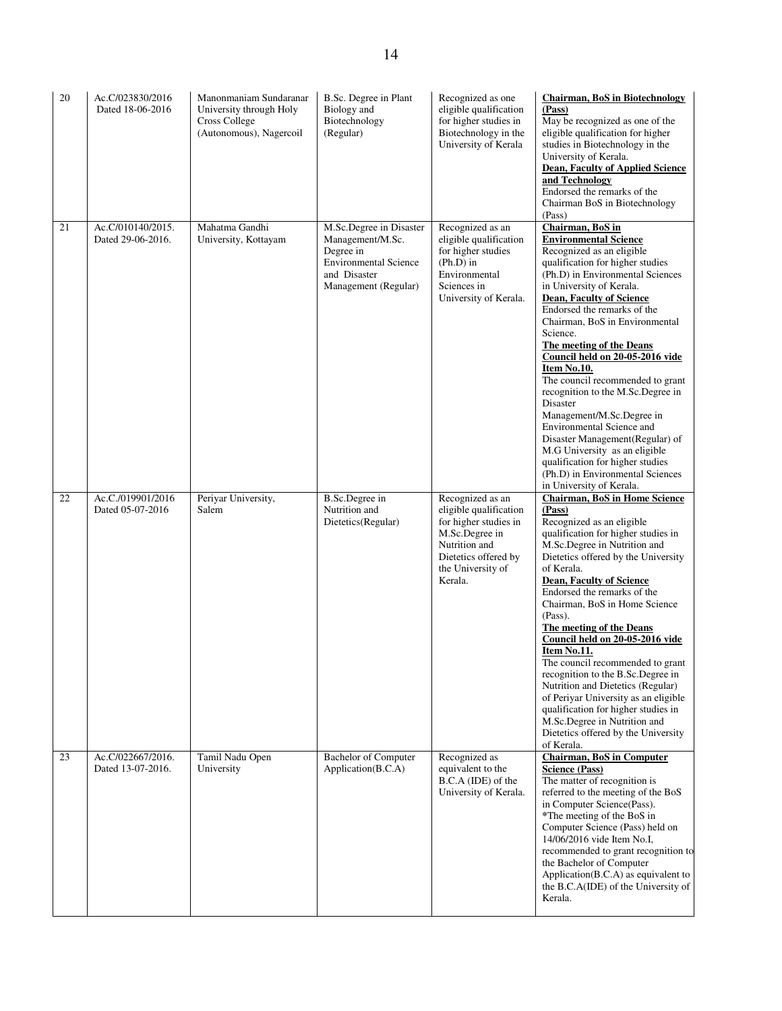| 20 | Ac.C/023830/2016<br>Dated 18-06-2016   | Manonmaniam Sundaranar<br>University through Holy<br><b>Cross College</b><br>(Autonomous), Nagercoil | B.Sc. Degree in Plant<br>Biology and<br>Biotechnology<br>(Regular)                                                               | Recognized as one<br>eligible qualification<br>for higher studies in<br>Biotechnology in the<br>University of Kerala                                           | <b>Chairman, BoS in Biotechnology</b><br>(Pass)<br>May be recognized as one of the<br>eligible qualification for higher<br>studies in Biotechnology in the<br>University of Kerala.<br><b>Dean, Faculty of Applied Science</b><br>and Technology<br>Endorsed the remarks of the<br>Chairman BoS in Biotechnology<br>(Pass)                                                                                                                                                                                                                                                                                                                                                                              |
|----|----------------------------------------|------------------------------------------------------------------------------------------------------|----------------------------------------------------------------------------------------------------------------------------------|----------------------------------------------------------------------------------------------------------------------------------------------------------------|---------------------------------------------------------------------------------------------------------------------------------------------------------------------------------------------------------------------------------------------------------------------------------------------------------------------------------------------------------------------------------------------------------------------------------------------------------------------------------------------------------------------------------------------------------------------------------------------------------------------------------------------------------------------------------------------------------|
| 21 | Ac.C/010140/2015.<br>Dated 29-06-2016. | Mahatma Gandhi<br>University, Kottayam                                                               | M.Sc.Degree in Disaster<br>Management/M.Sc.<br>Degree in<br><b>Environmental Science</b><br>and Disaster<br>Management (Regular) | Recognized as an<br>eligible qualification<br>for higher studies<br>$(Ph.D)$ in<br>Environmental<br>Sciences in<br>University of Kerala.                       | Chairman, BoS in<br><b>Environmental Science</b><br>Recognized as an eligible<br>qualification for higher studies<br>(Ph.D) in Environmental Sciences<br>in University of Kerala.<br><b>Dean, Faculty of Science</b><br>Endorsed the remarks of the<br>Chairman, BoS in Environmental<br>Science.<br>The meeting of the Deans<br>Council held on 20-05-2016 vide<br>Item No.10.<br>The council recommended to grant<br>recognition to the M.Sc.Degree in<br>Disaster<br>Management/M.Sc.Degree in<br>Environmental Science and<br>Disaster Management (Regular) of<br>M.G University as an eligible<br>qualification for higher studies<br>(Ph.D) in Environmental Sciences<br>in University of Kerala. |
| 22 | Ac.C./019901/2016<br>Dated 05-07-2016  | Periyar University,<br>Salem                                                                         | <b>B.Sc.Degree</b> in<br>Nutrition and<br>Dietetics(Regular)                                                                     | Recognized as an<br>eligible qualification<br>for higher studies in<br>M.Sc.Degree in<br>Nutrition and<br>Dietetics offered by<br>the University of<br>Kerala. | Chairman, BoS in Home Science<br>(Pass)<br>Recognized as an eligible<br>qualification for higher studies in<br>M.Sc.Degree in Nutrition and<br>Dietetics offered by the University<br>of Kerala.<br><b>Dean, Faculty of Science</b><br>Endorsed the remarks of the<br>Chairman, BoS in Home Science<br>(Pass).<br>The meeting of the Deans<br>Council held on 20-05-2016 vide<br>Item No.11.<br>The council recommended to grant<br>recognition to the B.Sc.Degree in<br>Nutrition and Dietetics (Regular)<br>of Periyar University as an eligible<br>qualification for higher studies in<br>M.Sc.Degree in Nutrition and<br>Dietetics offered by the University<br>of Kerala.                          |
| 23 | Ac.C/022667/2016.<br>Dated 13-07-2016. | Tamil Nadu Open<br>University                                                                        | <b>Bachelor</b> of Computer<br>Application(B.C.A)                                                                                | Recognized as<br>equivalent to the<br>B.C.A (IDE) of the<br>University of Kerala.                                                                              | <b>Chairman, BoS in Computer</b><br><b>Science (Pass)</b><br>The matter of recognition is<br>referred to the meeting of the BoS<br>in Computer Science(Pass).<br>*The meeting of the BoS in<br>Computer Science (Pass) held on<br>14/06/2016 vide Item No.I,<br>recommended to grant recognition to<br>the Bachelor of Computer<br>Application(B.C.A) as equivalent to<br>the B.C.A(IDE) of the University of<br>Kerala.                                                                                                                                                                                                                                                                                |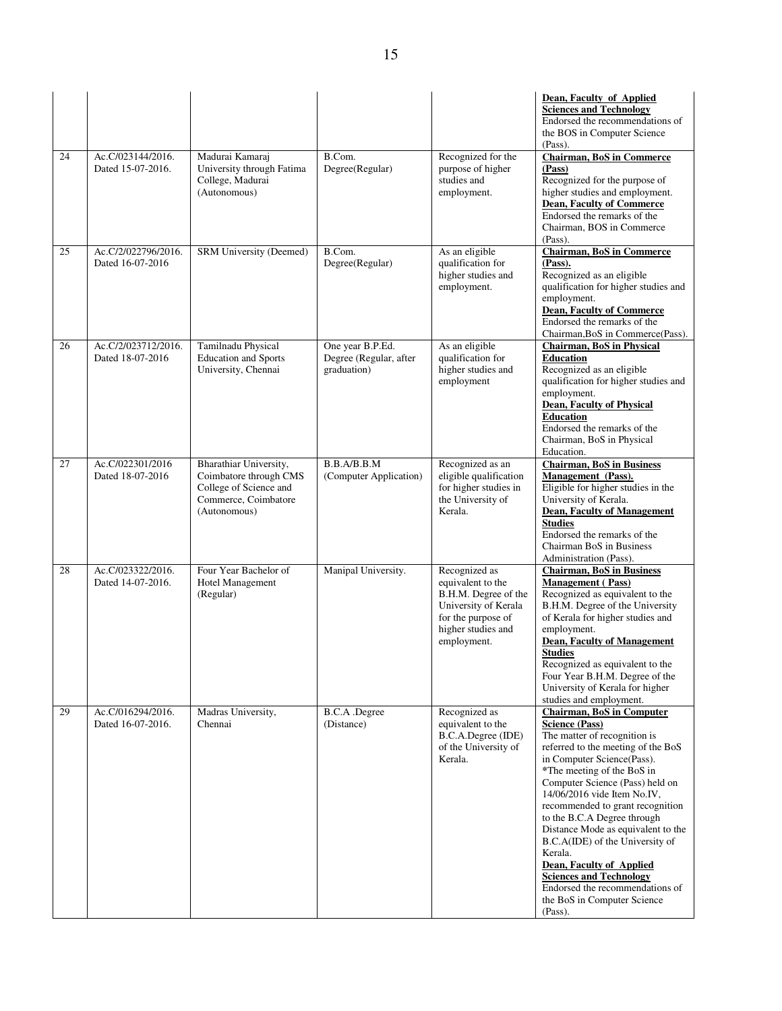|    |                                         |                                                                                                                    |                                                           |                                                                                                                                               | Dean, Faculty of Applied<br><b>Sciences and Technology</b><br>Endorsed the recommendations of<br>the BOS in Computer Science<br>(Pass).                                                                                                                                                                                                                                                                                                                                                                                                                                |
|----|-----------------------------------------|--------------------------------------------------------------------------------------------------------------------|-----------------------------------------------------------|-----------------------------------------------------------------------------------------------------------------------------------------------|------------------------------------------------------------------------------------------------------------------------------------------------------------------------------------------------------------------------------------------------------------------------------------------------------------------------------------------------------------------------------------------------------------------------------------------------------------------------------------------------------------------------------------------------------------------------|
| 24 | Ac.C/023144/2016.<br>Dated 15-07-2016.  | Madurai Kamaraj<br>University through Fatima<br>College, Madurai<br>(Autonomous)                                   | B.Com.<br>Degree(Regular)                                 | Recognized for the<br>purpose of higher<br>studies and<br>employment.                                                                         | <b>Chairman, BoS in Commerce</b><br>(Pass)<br>Recognized for the purpose of<br>higher studies and employment.<br><b>Dean, Faculty of Commerce</b><br>Endorsed the remarks of the<br>Chairman, BOS in Commerce<br>(Pass).                                                                                                                                                                                                                                                                                                                                               |
| 25 | Ac.C/2/022796/2016.<br>Dated 16-07-2016 | SRM University (Deemed)                                                                                            | B.Com.<br>Degree(Regular)                                 | As an eligible<br>qualification for<br>higher studies and<br>employment.                                                                      | <b>Chairman, BoS in Commerce</b><br>(Pass).<br>Recognized as an eligible<br>qualification for higher studies and<br>employment.<br><b>Dean, Faculty of Commerce</b><br>Endorsed the remarks of the<br>Chairman, BoS in Commerce(Pass).                                                                                                                                                                                                                                                                                                                                 |
| 26 | Ac.C/2/023712/2016.<br>Dated 18-07-2016 | Tamilnadu Physical<br><b>Education</b> and Sports<br>University, Chennai                                           | One year B.P.Ed.<br>Degree (Regular, after<br>graduation) | As an eligible<br>qualification for<br>higher studies and<br>employment                                                                       | <b>Chairman, BoS in Physical</b><br><b>Education</b><br>Recognized as an eligible<br>qualification for higher studies and<br>employment.<br><b>Dean, Faculty of Physical</b><br><b>Education</b><br>Endorsed the remarks of the<br>Chairman, BoS in Physical<br>Education.                                                                                                                                                                                                                                                                                             |
| 27 | Ac.C/022301/2016<br>Dated 18-07-2016    | Bharathiar University,<br>Coimbatore through CMS<br>College of Science and<br>Commerce, Coimbatore<br>(Autonomous) | B.B.A/B.B.M<br>(Computer Application)                     | Recognized as an<br>eligible qualification<br>for higher studies in<br>the University of<br>Kerala.                                           | <b>Chairman, BoS in Business</b><br>Management (Pass).<br>Eligible for higher studies in the<br>University of Kerala.<br><b>Dean, Faculty of Management</b><br><b>Studies</b><br>Endorsed the remarks of the<br>Chairman BoS in Business<br>Administration (Pass).                                                                                                                                                                                                                                                                                                     |
| 28 | Ac.C/023322/2016.<br>Dated 14-07-2016.  | Four Year Bachelor of<br>Hotel Management<br>(Regular)                                                             | Manipal University.                                       | Recognized as<br>equivalent to the<br>B.H.M. Degree of the<br>University of Kerala<br>for the purpose of<br>higher studies and<br>employment. | <b>Chairman, BoS in Business</b><br><b>Management</b> (Pass)<br>Recognized as equivalent to the<br>B.H.M. Degree of the University<br>of Kerala for higher studies and<br>employment.<br><b>Dean, Faculty of Management</b><br><b>Studies</b><br>Recognized as equivalent to the<br>Four Year B.H.M. Degree of the<br>University of Kerala for higher<br>studies and employment.                                                                                                                                                                                       |
| 29 | Ac.C/016294/2016.<br>Dated 16-07-2016.  | Madras University,<br>Chennai                                                                                      | <b>B.C.A</b> .Degree<br>(Distance)                        | Recognized as<br>equivalent to the<br>B.C.A.Degree (IDE)<br>of the University of<br>Kerala.                                                   | <b>Chairman, BoS in Computer</b><br><b>Science (Pass)</b><br>The matter of recognition is<br>referred to the meeting of the BoS<br>in Computer Science(Pass).<br>*The meeting of the BoS in<br>Computer Science (Pass) held on<br>14/06/2016 vide Item No.IV,<br>recommended to grant recognition<br>to the B.C.A Degree through<br>Distance Mode as equivalent to the<br>B.C.A(IDE) of the University of<br>Kerala.<br><b>Dean, Faculty of Applied</b><br><b>Sciences and Technology</b><br>Endorsed the recommendations of<br>the BoS in Computer Science<br>(Pass). |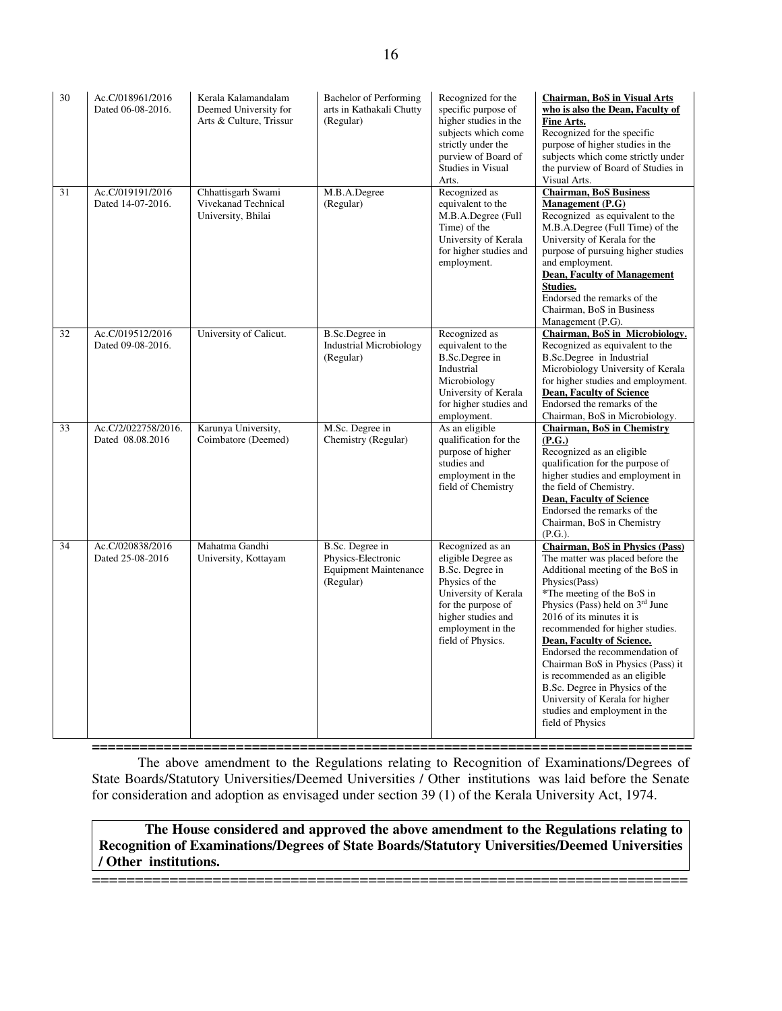| 30 | Ac.C/018961/2016<br>Dated 06-08-2016.   | Kerala Kalamandalam<br>Deemed University for<br>Arts & Culture, Trissur | Bachelor of Performing<br>arts in Kathakali Chutty<br>(Regular)                    | Recognized for the<br>specific purpose of<br>higher studies in the<br>subjects which come<br>strictly under the<br>purview of Board of<br><b>Studies in Visual</b><br>Arts.               | <b>Chairman, BoS in Visual Arts</b><br>who is also the Dean. Faculty of<br>Fine Arts.<br>Recognized for the specific<br>purpose of higher studies in the<br>subjects which come strictly under<br>the purview of Board of Studies in<br>Visual Arts.                                                                                                                                                                                                                                                                                        |
|----|-----------------------------------------|-------------------------------------------------------------------------|------------------------------------------------------------------------------------|-------------------------------------------------------------------------------------------------------------------------------------------------------------------------------------------|---------------------------------------------------------------------------------------------------------------------------------------------------------------------------------------------------------------------------------------------------------------------------------------------------------------------------------------------------------------------------------------------------------------------------------------------------------------------------------------------------------------------------------------------|
| 31 | Ac.C/019191/2016<br>Dated 14-07-2016.   | Chhattisgarh Swami<br>Vivekanad Technical<br>University, Bhilai         | M.B.A.Degree<br>(Regular)                                                          | Recognized as<br>equivalent to the<br>M.B.A.Degree (Full<br>Time) of the<br>University of Kerala<br>for higher studies and<br>employment.                                                 | <b>Chairman, BoS Business</b><br><b>Management</b> (P.G)<br>Recognized as equivalent to the<br>M.B.A.Degree (Full Time) of the<br>University of Kerala for the<br>purpose of pursuing higher studies<br>and employment.<br><b>Dean, Faculty of Management</b><br><b>Studies.</b><br>Endorsed the remarks of the<br>Chairman, BoS in Business<br>Management (P.G).                                                                                                                                                                           |
| 32 | Ac.C/019512/2016<br>Dated 09-08-2016.   | University of Calicut.                                                  | B.Sc.Degree in<br><b>Industrial Microbiology</b><br>(Regular)                      | Recognized as<br>equivalent to the<br>B.Sc.Degree in<br>Industrial<br>Microbiology<br>University of Kerala<br>for higher studies and<br>employment.                                       | Chairman, BoS in Microbiology.<br>Recognized as equivalent to the<br>B.Sc.Degree in Industrial<br>Microbiology University of Kerala<br>for higher studies and employment.<br><b>Dean, Faculty of Science</b><br>Endorsed the remarks of the<br>Chairman, BoS in Microbiology.                                                                                                                                                                                                                                                               |
| 33 | Ac.C/2/022758/2016.<br>Dated 08.08.2016 | Karunya University,<br>Coimbatore (Deemed)                              | M.Sc. Degree in<br>Chemistry (Regular)                                             | As an eligible<br>qualification for the<br>purpose of higher<br>studies and<br>employment in the<br>field of Chemistry                                                                    | <b>Chairman, BoS in Chemistry</b><br>(P.G.)<br>Recognized as an eligible<br>qualification for the purpose of<br>higher studies and employment in<br>the field of Chemistry.<br><b>Dean, Faculty of Science</b><br>Endorsed the remarks of the<br>Chairman, BoS in Chemistry<br>(P.G.).                                                                                                                                                                                                                                                      |
| 34 | Ac.C/020838/2016<br>Dated 25-08-2016    | Mahatma Gandhi<br>University, Kottayam                                  | B.Sc. Degree in<br>Physics-Electronic<br><b>Equipment Maintenance</b><br>(Regular) | Recognized as an<br>eligible Degree as<br>B.Sc. Degree in<br>Physics of the<br>University of Kerala<br>for the purpose of<br>higher studies and<br>employment in the<br>field of Physics. | <b>Chairman, BoS in Physics (Pass)</b><br>The matter was placed before the<br>Additional meeting of the BoS in<br>Physics(Pass)<br>*The meeting of the BoS in<br>Physics (Pass) held on 3 <sup>rd</sup> June<br>2016 of its minutes it is<br>recommended for higher studies.<br>Dean, Faculty of Science.<br>Endorsed the recommendation of<br>Chairman BoS in Physics (Pass) it<br>is recommended as an eligible<br>B.Sc. Degree in Physics of the<br>University of Kerala for higher<br>studies and employment in the<br>field of Physics |

**===========================================================================** The above amendment to the Regulations relating to Recognition of Examinations/Degrees of State Boards/Statutory Universities/Deemed Universities / Other institutions was laid before the Senate for consideration and adoption as envisaged under section 39 (1) of the Kerala University Act, 1974.

**The House considered and approved the above amendment to the Regulations relating to Recognition of Examinations/Degrees of State Boards/Statutory Universities/Deemed Universities / Other institutions.**

=====================================================================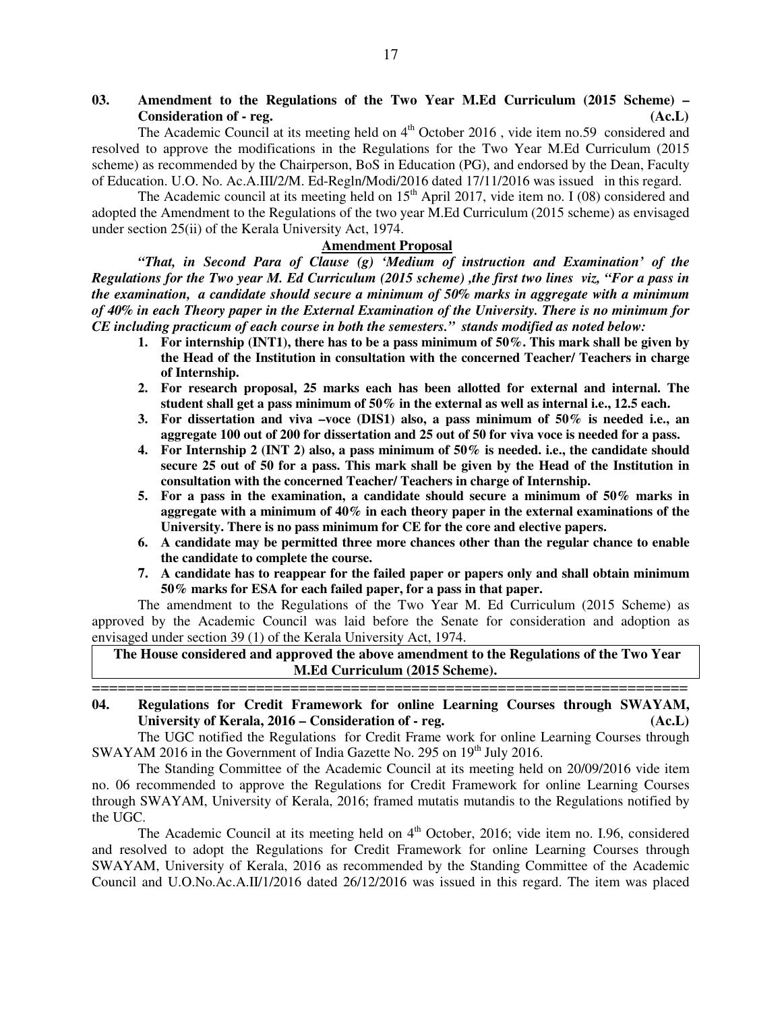# **03. Amendment to the Regulations of the Two Year M.Ed Curriculum (2015 Scheme) – Consideration of - reg. (Ac.L)**

The Academic Council at its meeting held on 4<sup>th</sup> October 2016, vide item no.59 considered and resolved to approve the modifications in the Regulations for the Two Year M.Ed Curriculum (2015 scheme) as recommended by the Chairperson, BoS in Education (PG), and endorsed by the Dean, Faculty of Education. U.O. No. Ac.A.III/2/M. Ed-Regln/Modi/2016 dated 17/11/2016 was issued in this regard.

The Academic council at its meeting held on  $15<sup>th</sup>$  April 2017, vide item no. I (08) considered and adopted the Amendment to the Regulations of the two year M.Ed Curriculum (2015 scheme) as envisaged under section 25(ii) of the Kerala University Act, 1974.

# **Amendment Proposal**

*"That, in Second Para of Clause (g) 'Medium of instruction and Examination' of the Regulations for the Two year M. Ed Curriculum (2015 scheme) ,the first two lines viz, "For a pass in the examination, a candidate should secure a minimum of 50% marks in aggregate with a minimum of 40% in each Theory paper in the External Examination of the University. There is no minimum for CE including practicum of each course in both the semesters." stands modified as noted below:* 

- **1. For internship (INT1), there has to be a pass minimum of 50%. This mark shall be given by the Head of the Institution in consultation with the concerned Teacher/ Teachers in charge of Internship.**
- **2. For research proposal, 25 marks each has been allotted for external and internal. The student shall get a pass minimum of 50% in the external as well as internal i.e., 12.5 each.**
- **3. For dissertation and viva –voce (DIS1) also, a pass minimum of 50% is needed i.e., an aggregate 100 out of 200 for dissertation and 25 out of 50 for viva voce is needed for a pass.**
- **4. For Internship 2 (INT 2) also, a pass minimum of 50% is needed. i.e., the candidate should secure 25 out of 50 for a pass. This mark shall be given by the Head of the Institution in consultation with the concerned Teacher/ Teachers in charge of Internship.**
- **5. For a pass in the examination, a candidate should secure a minimum of 50% marks in aggregate with a minimum of 40% in each theory paper in the external examinations of the University. There is no pass minimum for CE for the core and elective papers.**
- **6. A candidate may be permitted three more chances other than the regular chance to enable the candidate to complete the course.**
- **7. A candidate has to reappear for the failed paper or papers only and shall obtain minimum 50% marks for ESA for each failed paper, for a pass in that paper.**

 The amendment to the Regulations of the Two Year M. Ed Curriculum (2015 Scheme) as approved by the Academic Council was laid before the Senate for consideration and adoption as envisaged under section 39 (1) of the Kerala University Act, 1974.

**The House considered and approved the above amendment to the Regulations of the Two Year M.Ed Curriculum (2015 Scheme).** 

===================================================================== **04. Regulations for Credit Framework for online Learning Courses through SWAYAM, University of Kerala, 2016 – Consideration of - reg. (Ac.L)**

 The UGC notified the Regulations for Credit Frame work for online Learning Courses through SWAYAM 2016 in the Government of India Gazette No. 295 on 19<sup>th</sup> July 2016.

The Standing Committee of the Academic Council at its meeting held on 20/09/2016 vide item no. 06 recommended to approve the Regulations for Credit Framework for online Learning Courses through SWAYAM, University of Kerala, 2016; framed mutatis mutandis to the Regulations notified by the UGC.

The Academic Council at its meeting held on 4<sup>th</sup> October, 2016; vide item no. I.96, considered and resolved to adopt the Regulations for Credit Framework for online Learning Courses through SWAYAM, University of Kerala, 2016 as recommended by the Standing Committee of the Academic Council and U.O.No.Ac.A.II/1/2016 dated 26/12/2016 was issued in this regard. The item was placed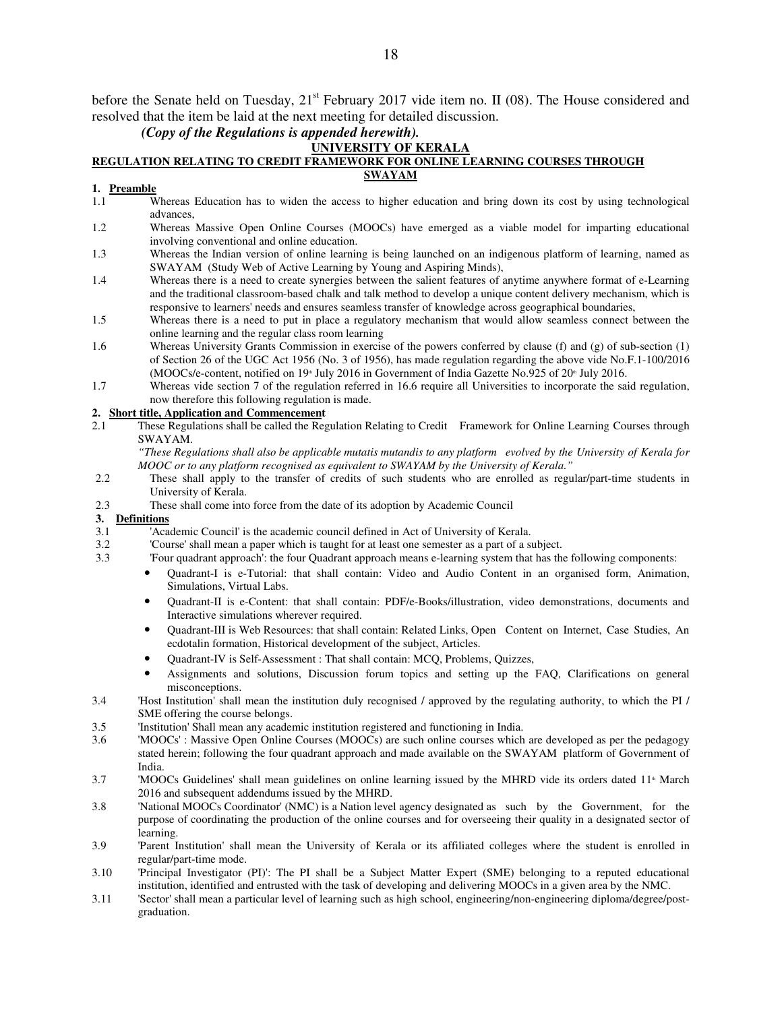before the Senate held on Tuesday,  $21<sup>st</sup>$  February 2017 vide item no. II (08). The House considered and resolved that the item be laid at the next meeting for detailed discussion.

# *(Copy of the Regulations is appended herewith).*

### **UNIVERSITY OF KERALA**

#### **REGULATION RELATING TO CREDIT FRAMEWORK FOR ONLINE LEARNING COURSES THROUGH SWAYAM**

### **1. Preamble**

- 1.1 Whereas Education has to widen the access to higher education and bring down its cost by using technological advances,
- 1.2 Whereas Massive Open Online Courses (MOOCs) have emerged as a viable model for imparting educational involving conventional and online education.
- 1.3 Whereas the Indian version of online learning is being launched on an indigenous platform of learning, named as SWAYAM (Study Web of Active Learning by Young and Aspiring Minds),
- 1.4 Whereas there is a need to create synergies between the salient features of anytime anywhere format of e-Learning and the traditional classroom-based chalk and talk method to develop a unique content delivery mechanism, which is responsive to learners' needs and ensures seamless transfer of knowledge across geographical boundaries,
- 1.5 Whereas there is a need to put in place a regulatory mechanism that would allow seamless connect between the online learning and the regular class room learning
- 1.6 Whereas University Grants Commission in exercise of the powers conferred by clause (f) and (g) of sub-section (1) of Section 26 of the UGC Act 1956 (No. 3 of 1956), has made regulation regarding the above vide No.F.1-100/2016 (MOOCs/e-content, notified on 19<sup>th</sup> July 2016 in Government of India Gazette No.925 of 20<sup>th</sup> July 2016.
- 1.7 Whereas vide section 7 of the regulation referred in 16.6 require all Universities to incorporate the said regulation, now therefore this following regulation is made.

# **2. Short title, Application and Commencement**<br>2.1 These Regulations shall be called the Reg

2.1 These Regulations shall be called the Regulation Relating to Credit Framework for Online Learning Courses through SWAYAM.

*"These Regulations shall also be applicable mutatis mutandis to any platform evolved by the University of Kerala for MOOC or to any platform recognised as equivalent to SWAYAM by the University of Kerala."*

- 2.2 These shall apply to the transfer of credits of such students who are enrolled as regular/part-time students in University of Kerala.
- 2.3 These shall come into force from the date of its adoption by Academic Council

### **3. Definitions**

- 3.1 'Academic Council' is the academic council defined in Act of University of Kerala.
- 3.2 'Course' shall mean a paper which is taught for at least one semester as a part of a subject.
- 3.3 'Four quadrant approach': the four Quadrant approach means e-learning system that has the following components:
	- Quadrant-I is e-Tutorial: that shall contain: Video and Audio Content in an organised form, Animation, Simulations, Virtual Labs.
	- Quadrant-II is e-Content: that shall contain: PDF/e-Books/illustration, video demonstrations, documents and Interactive simulations wherever required.
	- Quadrant-III is Web Resources: that shall contain: Related Links, Open Content on Internet, Case Studies, An ecdotalin formation, Historical development of the subject, Articles.
	- Quadrant-IV is Self-Assessment : That shall contain: MCQ, Problems, Quizzes,
	- Assignments and solutions, Discussion forum topics and setting up the FAQ, Clarifications on general misconceptions.
- 3.4 'Host Institution' shall mean the institution duly recognised / approved by the regulating authority, to which the PI / SME offering the course belongs.
- 3.5 'Institution' Shall mean any academic institution registered and functioning in India.
- 3.6 'MOOCs' : Massive Open Online Courses (MOOCs) are such online courses which are developed as per the pedagogy stated herein; following the four quadrant approach and made available on the SWAYAM platform of Government of India.
- 3.7 'MOOCs Guidelines' shall mean guidelines on online learning issued by the MHRD vide its orders dated 11<sup>th</sup> March 2016 and subsequent addendums issued by the MHRD.
- 3.8 'National MOOCs Coordinator' (NMC) is a Nation level agency designated as such by the Government, for the purpose of coordinating the production of the online courses and for overseeing their quality in a designated sector of learning.
- 3.9 'Parent Institution' shall mean the University of Kerala or its affiliated colleges where the student is enrolled in regular/part-time mode.
- 3.10 'Principal Investigator (PI)': The PI shall be a Subject Matter Expert (SME) belonging to a reputed educational institution, identified and entrusted with the task of developing and delivering MOOCs in a given area by the NMC.
- 3.11 'Sector' shall mean a particular level of learning such as high school, engineering/non-engineering diploma/degree/postgraduation.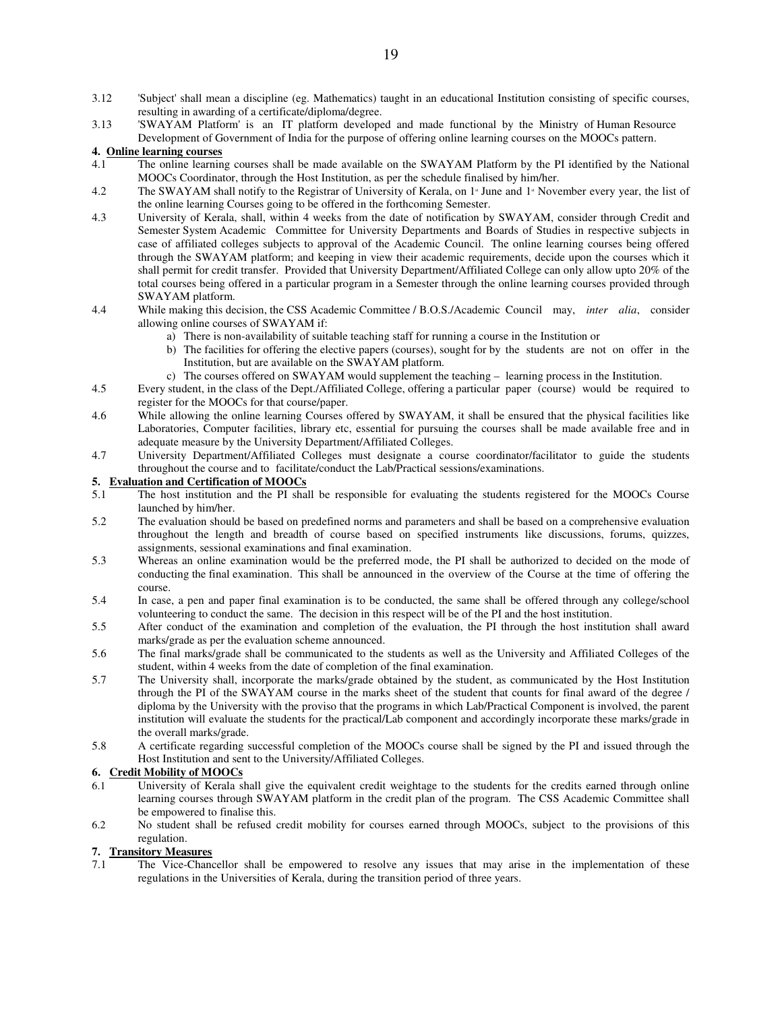- 3.12 'Subject' shall mean a discipline (eg. Mathematics) taught in an educational Institution consisting of specific courses, resulting in awarding of a certificate/diploma/degree.
- 3.13 'SWAYAM Platform' is an IT platform developed and made functional by the Ministry of Human Resource Development of Government of India for the purpose of offering online learning courses on the MOOCs pattern.

#### **4. Online learning courses**

- 4.1 The online learning courses shall be made available on the SWAYAM Platform by the PI identified by the National MOOCs Coordinator, through the Host Institution, as per the schedule finalised by him/her.
- 4.2 The SWAYAM shall notify to the Registrar of University of Kerala, on 1<sup>\*</sup> June and 1<sup>\*</sup> November every year, the list of the online learning Courses going to be offered in the forthcoming Semester.
- 4.3 University of Kerala, shall, within 4 weeks from the date of notification by SWAYAM, consider through Credit and Semester System Academic Committee for University Departments and Boards of Studies in respective subjects in case of affiliated colleges subjects to approval of the Academic Council. The online learning courses being offered through the SWAYAM platform; and keeping in view their academic requirements, decide upon the courses which it shall permit for credit transfer. Provided that University Department/Affiliated College can only allow upto 20% of the total courses being offered in a particular program in a Semester through the online learning courses provided through SWAYAM platform.
- 4.4 While making this decision, the CSS Academic Committee / B.O.S./Academic Council may, *inter alia*, consider allowing online courses of SWAYAM if:
	- a) There is non-availability of suitable teaching staff for running a course in the Institution or
	- b) The facilities for offering the elective papers (courses), sought for by the students are not on offer in the Institution, but are available on the SWAYAM platform.
	- c) The courses offered on SWAYAM would supplement the teaching learning process in the Institution.
- 4.5 Every student, in the class of the Dept./Affiliated College, offering a particular paper (course) would be required to register for the MOOCs for that course/paper.
- 4.6 While allowing the online learning Courses offered by SWAYAM, it shall be ensured that the physical facilities like Laboratories, Computer facilities, library etc, essential for pursuing the courses shall be made available free and in adequate measure by the University Department/Affiliated Colleges.
- 4.7 University Department/Affiliated Colleges must designate a course coordinator/facilitator to guide the students throughout the course and to facilitate/conduct the Lab/Practical sessions/examinations.

#### **5. Evaluation and Certification of MOOCs**

- 5.1 The host institution and the PI shall be responsible for evaluating the students registered for the MOOCs Course launched by him/her.
- 5.2 The evaluation should be based on predefined norms and parameters and shall be based on a comprehensive evaluation throughout the length and breadth of course based on specified instruments like discussions, forums, quizzes, assignments, sessional examinations and final examination.
- 5.3 Whereas an online examination would be the preferred mode, the PI shall be authorized to decided on the mode of conducting the final examination. This shall be announced in the overview of the Course at the time of offering the course.
- 5.4 In case, a pen and paper final examination is to be conducted, the same shall be offered through any college/school volunteering to conduct the same. The decision in this respect will be of the PI and the host institution.
- 5.5 After conduct of the examination and completion of the evaluation, the PI through the host institution shall award marks/grade as per the evaluation scheme announced.
- 5.6 The final marks/grade shall be communicated to the students as well as the University and Affiliated Colleges of the student, within 4 weeks from the date of completion of the final examination.
- 5.7 The University shall, incorporate the marks/grade obtained by the student, as communicated by the Host Institution through the PI of the SWAYAM course in the marks sheet of the student that counts for final award of the degree / diploma by the University with the proviso that the programs in which Lab/Practical Component is involved, the parent institution will evaluate the students for the practical/Lab component and accordingly incorporate these marks/grade in the overall marks/grade.
- 5.8 A certificate regarding successful completion of the MOOCs course shall be signed by the PI and issued through the Host Institution and sent to the University/Affiliated Colleges.

### **6. Credit Mobility of MOOCs**

- 6.1 University of Kerala shall give the equivalent credit weightage to the students for the credits earned through online learning courses through SWAYAM platform in the credit plan of the program. The CSS Academic Committee shall be empowered to finalise this.
- 6.2 No student shall be refused credit mobility for courses earned through MOOCs, subject to the provisions of this regulation.

### **7. Transitory Measures**

7.1 The Vice-Chancellor shall be empowered to resolve any issues that may arise in the implementation of these regulations in the Universities of Kerala, during the transition period of three years.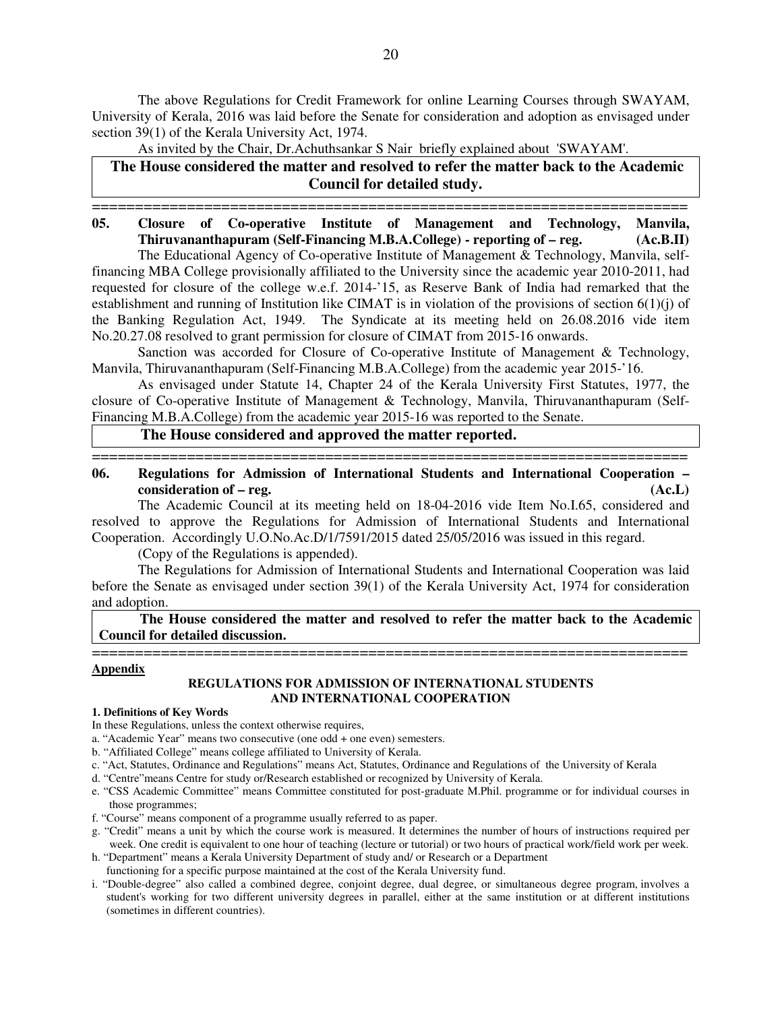The above Regulations for Credit Framework for online Learning Courses through SWAYAM, University of Kerala, 2016 was laid before the Senate for consideration and adoption as envisaged under section 39(1) of the Kerala University Act, 1974.

As invited by the Chair, Dr.Achuthsankar S Nair briefly explained about 'SWAYAM'.

**The House considered the matter and resolved to refer the matter back to the Academic Council for detailed study.**

# ===================================================================== **05. Closure of Co-operative Institute of Management and Technology, Manvila, Thiruvananthapuram (Self-Financing M.B.A.College) - reporting of – reg. (Ac.B.II)**

The Educational Agency of Co-operative Institute of Management & Technology, Manvila, selffinancing MBA College provisionally affiliated to the University since the academic year 2010-2011, had requested for closure of the college w.e.f. 2014-'15, as Reserve Bank of India had remarked that the establishment and running of Institution like CIMAT is in violation of the provisions of section 6(1)(j) of the Banking Regulation Act, 1949. The Syndicate at its meeting held on 26.08.2016 vide item No.20.27.08 resolved to grant permission for closure of CIMAT from 2015-16 onwards.

 Sanction was accorded for Closure of Co-operative Institute of Management & Technology, Manvila, Thiruvananthapuram (Self-Financing M.B.A.College) from the academic year 2015-'16.

 As envisaged under Statute 14, Chapter 24 of the Kerala University First Statutes, 1977, the closure of Co-operative Institute of Management & Technology, Manvila, Thiruvananthapuram (Self-Financing M.B.A.College) from the academic year 2015-16 was reported to the Senate.

### **The House considered and approved the matter reported.**

=====================================================================

# **06. Regulations for Admission of International Students and International Cooperation – consideration of – reg. (Ac.L)**

The Academic Council at its meeting held on 18-04-2016 vide Item No.I.65, considered and resolved to approve the Regulations for Admission of International Students and International Cooperation. Accordingly U.O.No.Ac.D/1/7591/2015 dated 25/05/2016 was issued in this regard.

(Copy of the Regulations is appended).

 The Regulations for Admission of International Students and International Cooperation was laid before the Senate as envisaged under section 39(1) of the Kerala University Act, 1974 for consideration and adoption.

 **The House considered the matter and resolved to refer the matter back to the Academic Council for detailed discussion.**

### ===================================================================== **Appendix**

### **REGULATIONS FOR ADMISSION OF INTERNATIONAL STUDENTS AND INTERNATIONAL COOPERATION**

### **1. Definitions of Key Words**

- In these Regulations, unless the context otherwise requires,
- a. "Academic Year" means two consecutive (one odd + one even) semesters.
- b. "Affiliated College" means college affiliated to University of Kerala.
- c. "Act, Statutes, Ordinance and Regulations" means Act, Statutes, Ordinance and Regulations of the University of Kerala
- d. "Centre"means Centre for study or/Research established or recognized by University of Kerala.
- e. "CSS Academic Committee" means Committee constituted for post-graduate M.Phil. programme or for individual courses in those programmes;
- f. "Course" means component of a programme usually referred to as paper.
- g. "Credit" means a unit by which the course work is measured. It determines the number of hours of instructions required per week. One credit is equivalent to one hour of teaching (lecture or tutorial) or two hours of practical work/field work per week.
- h. "Department" means a Kerala University Department of study and/ or Research or a Department
- functioning for a specific purpose maintained at the cost of the Kerala University fund.
- i. "Double-degree" also called a combined degree, conjoint degree, dual degree, or simultaneous degree program, involves a student's working for two different university degrees in parallel, either at the same institution or at different institutions (sometimes in different countries).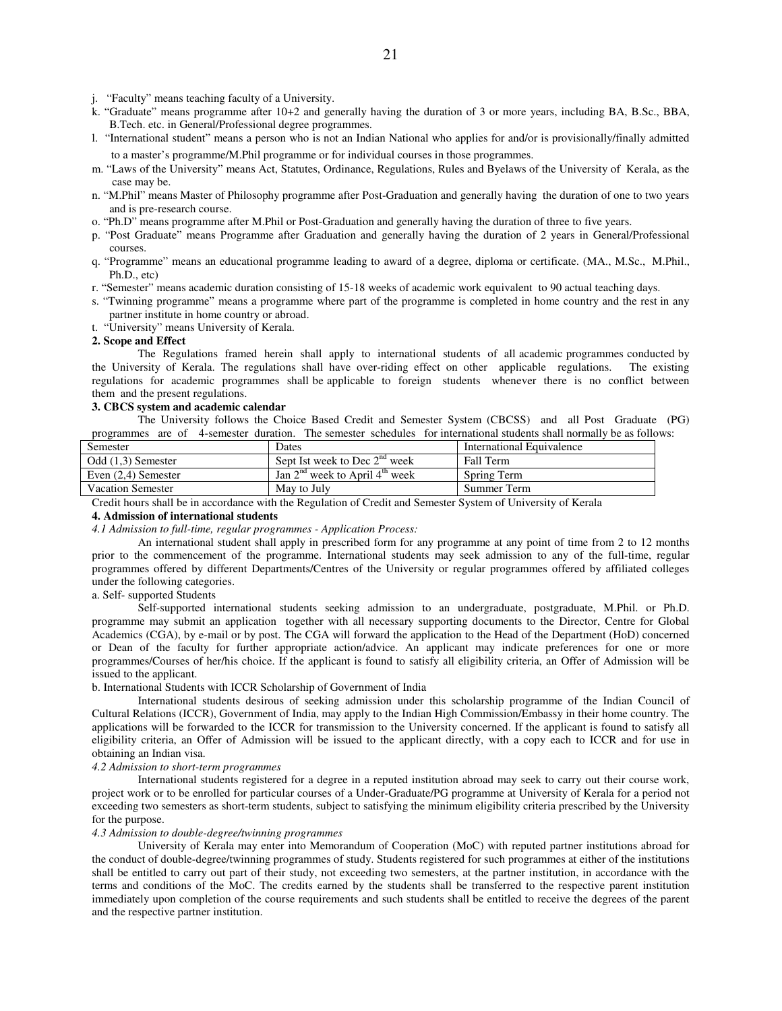j. "Faculty" means teaching faculty of a University.

- k. "Graduate" means programme after 10+2 and generally having the duration of 3 or more years, including BA, B.Sc., BBA, B.Tech. etc. in General/Professional degree programmes.
- l. "International student" means a person who is not an Indian National who applies for and/or is provisionally/finally admitted to a master's programme/M.Phil programme or for individual courses in those programmes.
- m. "Laws of the University" means Act, Statutes, Ordinance, Regulations, Rules and Byelaws of the University of Kerala, as the case may be.
- n. "M.Phil" means Master of Philosophy programme after Post-Graduation and generally having the duration of one to two years and is pre-research course.
- o. "Ph.D" means programme after M.Phil or Post-Graduation and generally having the duration of three to five years.
- p. "Post Graduate" means Programme after Graduation and generally having the duration of 2 years in General/Professional courses.
- q. "Programme" means an educational programme leading to award of a degree, diploma or certificate. (MA., M.Sc., M.Phil., Ph.D., etc)
- r. "Semester" means academic duration consisting of 15-18 weeks of academic work equivalent to 90 actual teaching days.
- s. "Twinning programme" means a programme where part of the programme is completed in home country and the rest in any partner institute in home country or abroad.
- t. "University" means University of Kerala.

#### **2. Scope and Effect**

The Regulations framed herein shall apply to international students of all academic programmes conducted by the University of Kerala. The regulations shall have over-riding effect on other applicable regulations. The existing regulations for academic programmes shall be applicable to foreign students whenever there is no conflict between them and the present regulations.

#### **3. CBCS system and academic calendar**

The University follows the Choice Based Credit and Semester System (CBCSS) and all Post Graduate (PG) programmes are of 4-semester duration. The semester schedules for international students shall normally be as follows:

| Semester                 | Dates                              | International Equivalence |
|--------------------------|------------------------------------|---------------------------|
| Odd (1,3) Semester       | Sept Ist week to Dec $2nd$ week    | Fall Term                 |
| Even $(2,4)$ Semester    | Jan $2nd$ week to April $4tn$ week | Spring Term               |
| <b>Vacation Semester</b> | May to July                        | Summer Term               |

Credit hours shall be in accordance with the Regulation of Credit and Semester System of University of Kerala

#### **4. Admission of international students**

*4.1 Admission to full-time, regular programmes - Application Process:*

An international student shall apply in prescribed form for any programme at any point of time from 2 to 12 months prior to the commencement of the programme. International students may seek admission to any of the full-time, regular programmes offered by different Departments/Centres of the University or regular programmes offered by affiliated colleges under the following categories.

a. Self- supported Students

Self-supported international students seeking admission to an undergraduate, postgraduate, M.Phil. or Ph.D. programme may submit an application together with all necessary supporting documents to the Director, Centre for Global Academics (CGA), by e-mail or by post. The CGA will forward the application to the Head of the Department (HoD) concerned or Dean of the faculty for further appropriate action/advice. An applicant may indicate preferences for one or more programmes/Courses of her/his choice. If the applicant is found to satisfy all eligibility criteria, an Offer of Admission will be issued to the applicant.

#### b. International Students with ICCR Scholarship of Government of India

International students desirous of seeking admission under this scholarship programme of the Indian Council of Cultural Relations (ICCR), Government of India, may apply to the Indian High Commission/Embassy in their home country. The applications will be forwarded to the ICCR for transmission to the University concerned. If the applicant is found to satisfy all eligibility criteria, an Offer of Admission will be issued to the applicant directly, with a copy each to ICCR and for use in obtaining an Indian visa.

#### *4.2 Admission to short-term programmes*

International students registered for a degree in a reputed institution abroad may seek to carry out their course work, project work or to be enrolled for particular courses of a Under-Graduate/PG programme at University of Kerala for a period not exceeding two semesters as short-term students, subject to satisfying the minimum eligibility criteria prescribed by the University for the purpose.

#### *4.3 Admission to double-degree/twinning programmes*

University of Kerala may enter into Memorandum of Cooperation (MoC) with reputed partner institutions abroad for the conduct of double-degree/twinning programmes of study. Students registered for such programmes at either of the institutions shall be entitled to carry out part of their study, not exceeding two semesters, at the partner institution, in accordance with the terms and conditions of the MoC. The credits earned by the students shall be transferred to the respective parent institution immediately upon completion of the course requirements and such students shall be entitled to receive the degrees of the parent and the respective partner institution.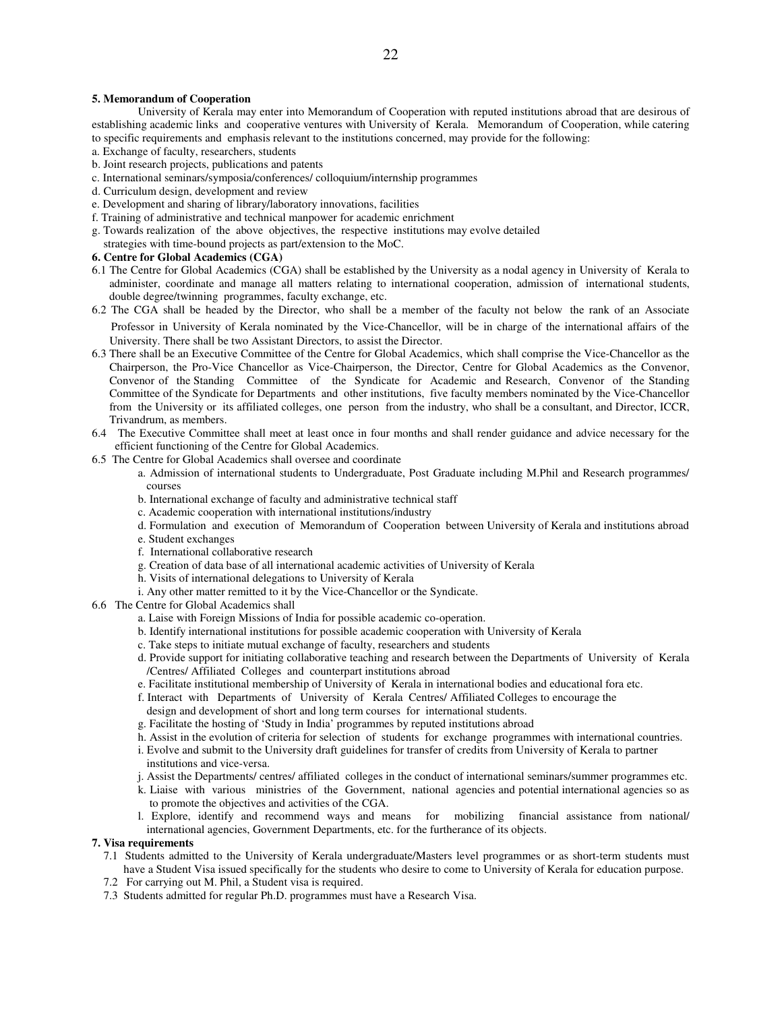#### **5. Memorandum of Cooperation**

University of Kerala may enter into Memorandum of Cooperation with reputed institutions abroad that are desirous of establishing academic links and cooperative ventures with University of Kerala. Memorandum of Cooperation, while catering to specific requirements and emphasis relevant to the institutions concerned, may provide for the following:

- a. Exchange of faculty, researchers, students
- b. Joint research projects, publications and patents
- c. International seminars/symposia/conferences/ colloquium/internship programmes
- d. Curriculum design, development and review
- e. Development and sharing of library/laboratory innovations, facilities
- f. Training of administrative and technical manpower for academic enrichment
- g. Towards realization of the above objectives, the respective institutions may evolve detailed
- strategies with time-bound projects as part/extension to the MoC.

### **6. Centre for Global Academics (CGA)**

- 6.1 The Centre for Global Academics (CGA) shall be established by the University as a nodal agency in University of Kerala to administer, coordinate and manage all matters relating to international cooperation, admission of international students, double degree/twinning programmes, faculty exchange, etc.
- 6.2 The CGA shall be headed by the Director, who shall be a member of the faculty not below the rank of an Associate Professor in University of Kerala nominated by the Vice-Chancellor, will be in charge of the international affairs of the University. There shall be two Assistant Directors, to assist the Director.
- 6.3 There shall be an Executive Committee of the Centre for Global Academics, which shall comprise the Vice-Chancellor as the Chairperson, the Pro-Vice Chancellor as Vice-Chairperson, the Director, Centre for Global Academics as the Convenor, Convenor of the Standing Committee of the Syndicate for Academic and Research, Convenor of the Standing Committee of the Syndicate for Departments and other institutions, five faculty members nominated by the Vice-Chancellor from the University or its affiliated colleges, one person from the industry, who shall be a consultant, and Director, ICCR, Trivandrum, as members.
- 6.4 The Executive Committee shall meet at least once in four months and shall render guidance and advice necessary for the efficient functioning of the Centre for Global Academics.
- 6.5 The Centre for Global Academics shall oversee and coordinate
	- a. Admission of international students to Undergraduate, Post Graduate including M.Phil and Research programmes/ courses
	- b. International exchange of faculty and administrative technical staff
	- c. Academic cooperation with international institutions/industry
	- d. Formulation and execution of Memorandum of Cooperation between University of Kerala and institutions abroad
	- e. Student exchanges
	- f. International collaborative research
	- g. Creation of data base of all international academic activities of University of Kerala
	- h. Visits of international delegations to University of Kerala
	- i. Any other matter remitted to it by the Vice-Chancellor or the Syndicate.
- 6.6 The Centre for Global Academics shall
	- a. Laise with Foreign Missions of India for possible academic co-operation.
	- b. Identify international institutions for possible academic cooperation with University of Kerala
	- c. Take steps to initiate mutual exchange of faculty, researchers and students
	- d. Provide support for initiating collaborative teaching and research between the Departments of University of Kerala /Centres/ Affiliated Colleges and counterpart institutions abroad
	- e. Facilitate institutional membership of University of Kerala in international bodies and educational fora etc.
	- f. Interact with Departments of University of Kerala Centres/ Affiliated Colleges to encourage the design and development of short and long term courses for international students.
	- g. Facilitate the hosting of 'Study in India' programmes by reputed institutions abroad
	- h. Assist in the evolution of criteria for selection of students for exchange programmes with international countries.
	- i. Evolve and submit to the University draft guidelines for transfer of credits from University of Kerala to partner institutions and vice-versa.
	- j. Assist the Departments/ centres/ affiliated colleges in the conduct of international seminars/summer programmes etc.
	- k. Liaise with various ministries of the Government, national agencies and potential international agencies so as to promote the objectives and activities of the CGA.
	- l. Explore, identify and recommend ways and means for mobilizing financial assistance from national/ international agencies, Government Departments, etc. for the furtherance of its objects.

#### **7. Visa requirements**

- 7.1 Students admitted to the University of Kerala undergraduate/Masters level programmes or as short-term students must have a Student Visa issued specifically for the students who desire to come to University of Kerala for education purpose.
- 7.2 For carrying out M. Phil, a Student visa is required.
- 7.3 Students admitted for regular Ph.D. programmes must have a Research Visa.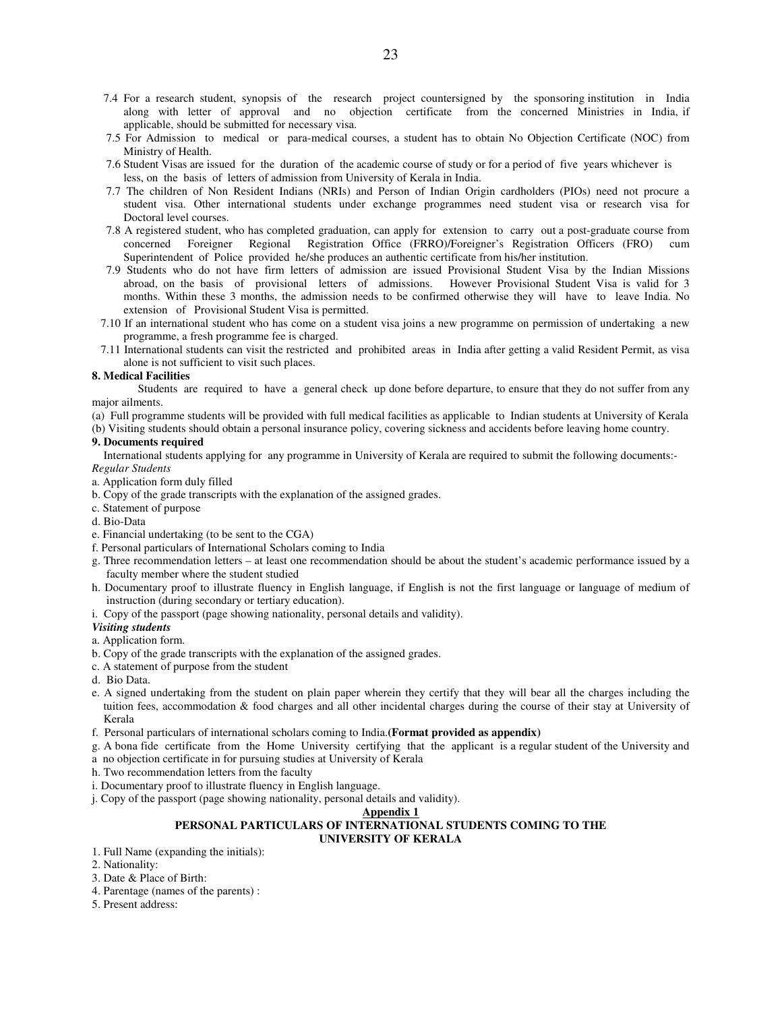- 7.4 For a research student, synopsis of the research project countersigned by the sponsoring institution in India along with letter of approval and no objection certificate from the concerned Ministries in India, if applicable, should be submitted for necessary visa.
- 7.5 For Admission to medical or para-medical courses, a student has to obtain No Objection Certificate (NOC) from Ministry of Health.
- 7.6 Student Visas are issued for the duration of the academic course of study or for a period of five years whichever is less, on the basis of letters of admission from University of Kerala in India.
- 7.7 The children of Non Resident Indians (NRIs) and Person of Indian Origin cardholders (PIOs) need not procure a student visa. Other international students under exchange programmes need student visa or research visa for Doctoral level courses.
- 7.8 A registered student, who has completed graduation, can apply for extension to carry out a post-graduate course from concerned Foreigner Regional Registration Office (FRRO)/Foreigner's Registration Officers (FRO) cum Superintendent of Police provided he/she produces an authentic certificate from his/her institution.
- 7.9 Students who do not have firm letters of admission are issued Provisional Student Visa by the Indian Missions abroad, on the basis of provisional letters of admissions. However Provisional Student Visa is valid for 3 months. Within these 3 months, the admission needs to be confirmed otherwise they will have to leave India. No extension of Provisional Student Visa is permitted.
- 7.10 If an international student who has come on a student visa joins a new programme on permission of undertaking a new programme, a fresh programme fee is charged.
- 7.11 International students can visit the restricted and prohibited areas in India after getting a valid Resident Permit, as visa alone is not sufficient to visit such places.

#### **8. Medical Facilities**

Students are required to have a general check up done before departure, to ensure that they do not suffer from any major ailments.

(a) Full programme students will be provided with full medical facilities as applicable to Indian students at University of Kerala (b) Visiting students should obtain a personal insurance policy, covering sickness and accidents before leaving home country.

#### **9. Documents required**

 International students applying for any programme in University of Kerala are required to submit the following documents:- *Regular Students*

- a. Application form duly filled
- b. Copy of the grade transcripts with the explanation of the assigned grades.
- c. Statement of purpose
- d. Bio-Data
- e. Financial undertaking (to be sent to the CGA)
- f. Personal particulars of International Scholars coming to India
- g. Three recommendation letters at least one recommendation should be about the student's academic performance issued by a faculty member where the student studied
- h. Documentary proof to illustrate fluency in English language, if English is not the first language or language of medium of instruction (during secondary or tertiary education).
- i. Copy of the passport (page showing nationality, personal details and validity).

#### *Visiting students*

- a. Application form.
- b. Copy of the grade transcripts with the explanation of the assigned grades.
- c. A statement of purpose from the student
- d. Bio Data.
- e. A signed undertaking from the student on plain paper wherein they certify that they will bear all the charges including the tuition fees, accommodation & food charges and all other incidental charges during the course of their stay at University of Kerala
- f. Personal particulars of international scholars coming to India.**(Format provided as appendix)**
- g. A bona fide certificate from the Home University certifying that the applicant is a regular student of the University and a no objection certificate in for pursuing studies at University of Kerala
- h. Two recommendation letters from the faculty
- i. Documentary proof to illustrate fluency in English language.
- j. Copy of the passport (page showing nationality, personal details and validity).

#### **Appendix 1**

#### **PERSONAL PARTICULARS OF INTERNATIONAL STUDENTS COMING TO THE UNIVERSITY OF KERALA**

- 1. Full Name (expanding the initials):
- 2. Nationality:
- 3. Date & Place of Birth:
- 4. Parentage (names of the parents) :
- 5. Present address: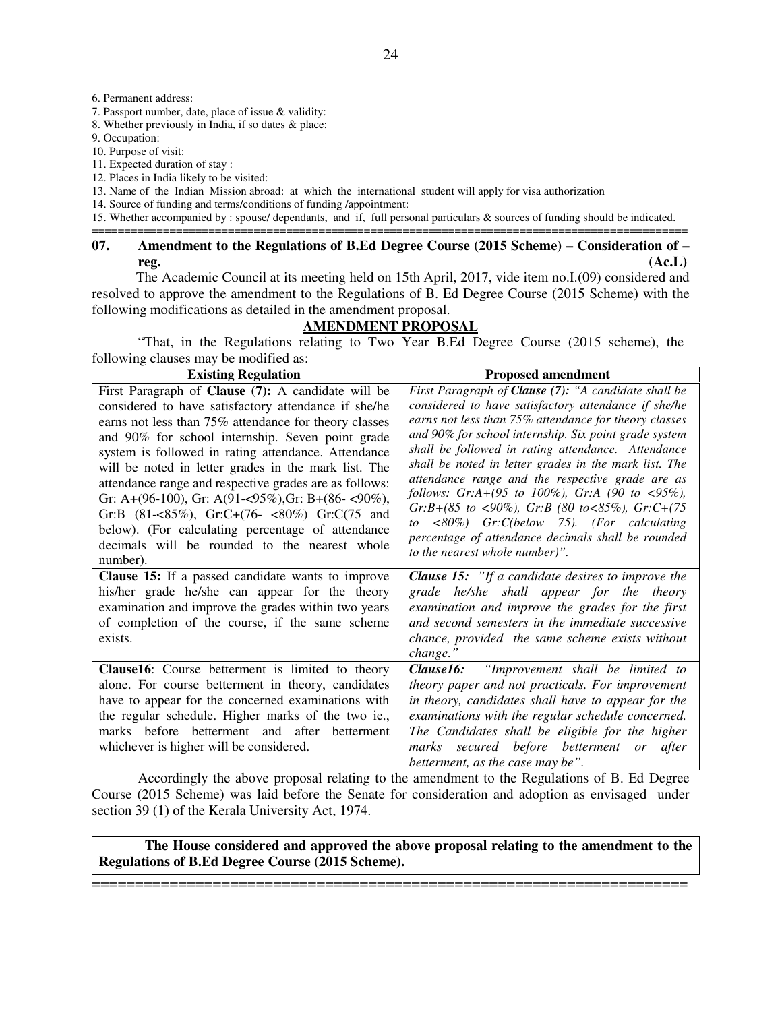6. Permanent address:

7. Passport number, date, place of issue & validity:

8. Whether previously in India, if so dates & place:

9. Occupation:

10. Purpose of visit:

11. Expected duration of stay :

12. Places in India likely to be visited:

13. Name of the Indian Mission abroad: at which the international student will apply for visa authorization

14. Source of funding and terms/conditions of funding /appointment:

15. Whether accompanied by : spouse/ dependants, and if, full personal particulars & sources of funding should be indicated. ============================================================================================

# **07. Amendment to the Regulations of B.Ed Degree Course (2015 Scheme) – Consideration of – reg. (Ac.L)**

The Academic Council at its meeting held on 15th April, 2017, vide item no.I.(09) considered and resolved to approve the amendment to the Regulations of B. Ed Degree Course (2015 Scheme) with the following modifications as detailed in the amendment proposal.

# **AMENDMENT PROPOSAL**

 "That, in the Regulations relating to Two Year B.Ed Degree Course (2015 scheme), the following clauses may be modified as:

| <b>Existing Regulation</b>                                                                            | <b>Proposed amendment</b>                                                                                 |
|-------------------------------------------------------------------------------------------------------|-----------------------------------------------------------------------------------------------------------|
| First Paragraph of Clause (7): A candidate will be                                                    | First Paragraph of Clause (7): "A candidate shall be                                                      |
| considered to have satisfactory attendance if she/he                                                  | considered to have satisfactory attendance if she/he                                                      |
| earns not less than 75% attendance for theory classes                                                 | earns not less than 75% attendance for theory classes                                                     |
| and 90% for school internship. Seven point grade                                                      | and 90% for school internship. Six point grade system                                                     |
| system is followed in rating attendance. Attendance                                                   | shall be followed in rating attendance. Attendance                                                        |
| will be noted in letter grades in the mark list. The                                                  | shall be noted in letter grades in the mark list. The<br>attendance range and the respective grade are as |
| attendance range and respective grades are as follows:                                                | follows: $Gr: A+(95 \text{ to } 100\%)$ , $Gr: A (90 \text{ to } 595\%)$ ,                                |
| Gr: A+(96-100), Gr: A(91-<95%), Gr: B+(86-<90%),                                                      | $Gr:B+(85 \text{ to } <90\%)$ , $Gr:B$ (80 to $<85\%$ ), $Gr:C+(75 \text{$                                |
| Gr:B $(81 - 85\%)$ , Gr:C+ $(76 - 80\%)$ Gr:C $(75 \text{ and } 10\%)$                                | $\langle 80\% \rangle$ Gr:C(below 75). (For calculating<br>to                                             |
| below). (For calculating percentage of attendance                                                     | percentage of attendance decimals shall be rounded                                                        |
| decimals will be rounded to the nearest whole                                                         | to the nearest whole number)".                                                                            |
| number).                                                                                              |                                                                                                           |
| <b>Clause 15:</b> If a passed candidate wants to improve                                              | <b>Clause 15:</b> "If a candidate desires to improve the                                                  |
| his/her grade he/she can appear for the theory<br>examination and improve the grades within two years | grade he/she shall appear for the theory<br>examination and improve the grades for the first              |
| of completion of the course, if the same scheme                                                       | and second semesters in the immediate successive                                                          |
| exists.                                                                                               | chance, provided the same scheme exists without                                                           |
|                                                                                                       | change."                                                                                                  |
| Clause16: Course betterment is limited to theory                                                      | <b>Clause16:</b> "Improvement shall be limited to                                                         |
| alone. For course betterment in theory, candidates                                                    | theory paper and not practicals. For improvement                                                          |
| have to appear for the concerned examinations with                                                    | in theory, candidates shall have to appear for the                                                        |
| the regular schedule. Higher marks of the two ie.,                                                    | examinations with the regular schedule concerned.                                                         |
| marks before betterment and after<br>betterment                                                       | The Candidates shall be eligible for the higher                                                           |
| whichever is higher will be considered.                                                               | secured before betterment or<br>after<br>marks                                                            |
|                                                                                                       | betterment, as the case may be".                                                                          |

 Accordingly the above proposal relating to the amendment to the Regulations of B. Ed Degree Course (2015 Scheme) was laid before the Senate for consideration and adoption as envisaged under section 39 (1) of the Kerala University Act, 1974.

**The House considered and approved the above proposal relating to the amendment to the Regulations of B.Ed Degree Course (2015 Scheme).**

=====================================================================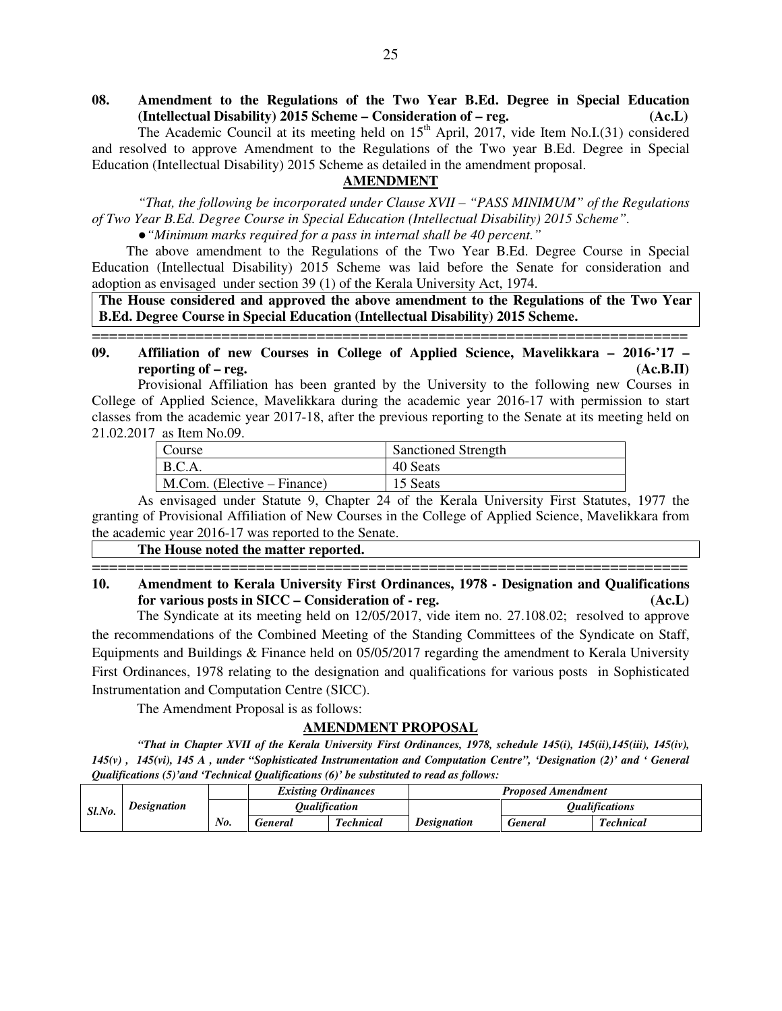25

# **08. Amendment to the Regulations of the Two Year B.Ed. Degree in Special Education (Intellectual Disability) 2015 Scheme – Consideration of – reg. (Ac.L)**

The Academic Council at its meeting held on  $15<sup>th</sup>$  April, 2017, vide Item No.I.(31) considered and resolved to approve Amendment to the Regulations of the Two year B.Ed. Degree in Special Education (Intellectual Disability) 2015 Scheme as detailed in the amendment proposal.

# **AMENDMENT**

*"That, the following be incorporated under Clause XVII – "PASS MINIMUM" of the Regulations of Two Year B.Ed. Degree Course in Special Education (Intellectual Disability) 2015 Scheme".* 

●*"Minimum marks required for a pass in internal shall be 40 percent."* 

The above amendment to the Regulations of the Two Year B.Ed. Degree Course in Special Education (Intellectual Disability) 2015 Scheme was laid before the Senate for consideration and adoption as envisaged under section 39 (1) of the Kerala University Act, 1974.

**The House considered and approved the above amendment to the Regulations of the Two Year B.Ed. Degree Course in Special Education (Intellectual Disability) 2015 Scheme.**

# ===================================================================== **09. Affiliation of new Courses in College of Applied Science, Mavelikkara – 2016-'17 – reporting of – reg.** (Ac.B.II)

Provisional Affiliation has been granted by the University to the following new Courses in College of Applied Science, Mavelikkara during the academic year 2016-17 with permission to start classes from the academic year 2017-18, after the previous reporting to the Senate at its meeting held on 21.02.2017 as Item No.09.

| Course                                | <b>Sanctioned Strength</b> |
|---------------------------------------|----------------------------|
| B.C.A.                                | 40 Seats                   |
| $M_{\cdot}$ Com. (Elective – Finance) | 15 Seats                   |

 As envisaged under Statute 9, Chapter 24 of the Kerala University First Statutes, 1977 the granting of Provisional Affiliation of New Courses in the College of Applied Science, Mavelikkara from the academic year 2016-17 was reported to the Senate.

 **The House noted the matter reported.**

===================================================================== **10. Amendment to Kerala University First Ordinances, 1978 - Designation and Qualifications for various posts in SICC – Consideration of - reg. (Ac.L)**

The Syndicate at its meeting held on 12/05/2017, vide item no. 27.108.02; resolved to approve the recommendations of the Combined Meeting of the Standing Committees of the Syndicate on Staff, Equipments and Buildings & Finance held on 05/05/2017 regarding the amendment to Kerala University First Ordinances, 1978 relating to the designation and qualifications for various posts in Sophisticated Instrumentation and Computation Centre (SICC).

The Amendment Proposal is as follows:

# **AMENDMENT PROPOSAL**

 *"That in Chapter XVII of the Kerala University First Ordinances, 1978, schedule 145(i), 145(ii),145(iii), 145(iv), 145(v) , 145(vi), 145 A , under "Sophisticated Instrumentation and Computation Centre", 'Designation (2)' and ' General Qualifications (5)'and 'Technical Qualifications (6)' be substituted to read as follows:*

|                |                    |                  |                           | <b>Existing Ordinances</b> |                  | <b>Proposed Amendment</b> |                              |
|----------------|--------------------|------------------|---------------------------|----------------------------|------------------|---------------------------|------------------------------|
| Sl.No.         | <b>Designation</b> |                  | Oualification             |                            |                  |                           | <i><b>Oualifications</b></i> |
| No.<br>General |                    | <b>Technical</b> | <i><b>Designation</b></i> | General                    | <b>Technical</b> |                           |                              |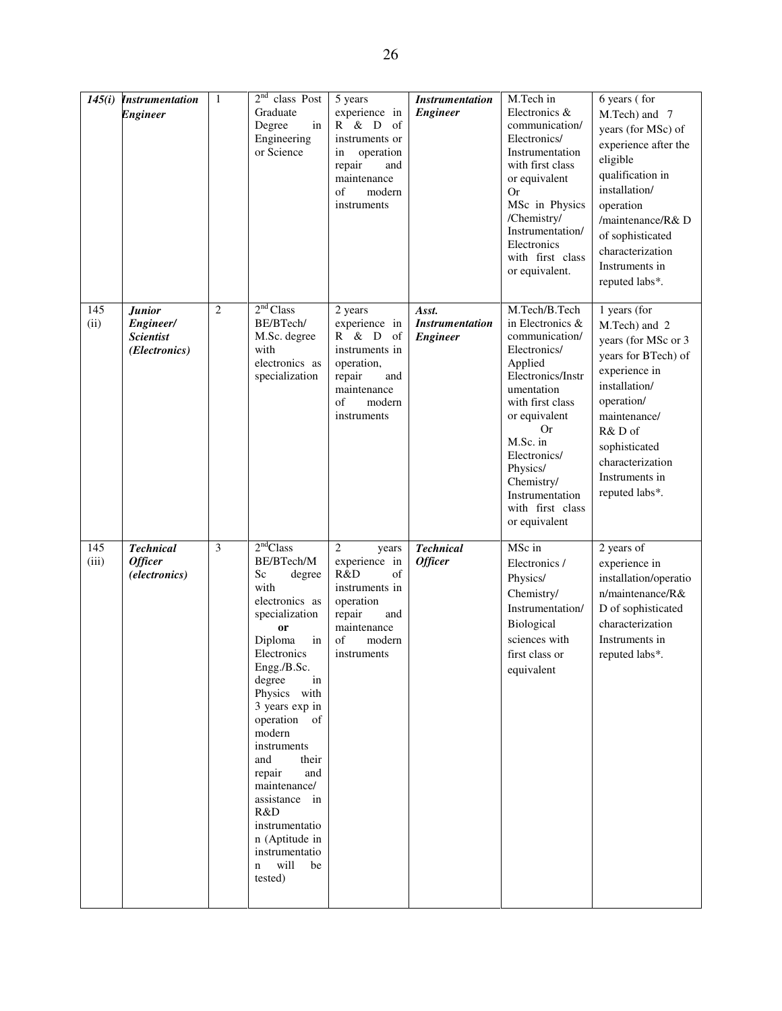| 145(i)       | <b>Instrumentation</b><br><b>Engineer</b>                       | $\mathbf{1}$   | 2 <sup>nd</sup><br>class Post<br>Graduate<br>Degree<br>in<br>Engineering<br>or Science                                                                                                                                                                                                                                                                                                                              | 5 years<br>experience in<br>R & D<br>- of<br>instruments or<br>operation<br>in<br>repair<br>and<br>maintenance<br>of<br>modern<br>instruments       | <b>Instrumentation</b><br><b>Engineer</b>          | M.Tech in<br>Electronics &<br>communication/<br>Electronics/<br>Instrumentation<br>with first class<br>or equivalent<br>Or<br>MSc in Physics<br>/Chemistry/<br>Instrumentation/<br>Electronics<br>with first class<br>or equivalent.                                       | 6 years (for<br>M.Tech) and 7<br>years (for MSc) of<br>experience after the<br>eligible<br>qualification in<br>installation/<br>operation<br>/maintenance/R&D<br>of sophisticated<br>characterization<br>Instruments in<br>reputed labs*. |
|--------------|-----------------------------------------------------------------|----------------|---------------------------------------------------------------------------------------------------------------------------------------------------------------------------------------------------------------------------------------------------------------------------------------------------------------------------------------------------------------------------------------------------------------------|-----------------------------------------------------------------------------------------------------------------------------------------------------|----------------------------------------------------|----------------------------------------------------------------------------------------------------------------------------------------------------------------------------------------------------------------------------------------------------------------------------|-------------------------------------------------------------------------------------------------------------------------------------------------------------------------------------------------------------------------------------------|
| 145<br>(ii)  | <b>Junior</b><br>Engineer/<br><b>Scientist</b><br>(Electronics) | $\overline{c}$ | 2 <sup>nd</sup> Class<br>BE/BTech/<br>M.Sc. degree<br>with<br>electronics as<br>specialization                                                                                                                                                                                                                                                                                                                      | 2 years<br>experience in<br>R & D of<br>instruments in<br>operation,<br>repair<br>and<br>maintenance<br>of<br>modern<br>instruments                 | Asst.<br><b>Instrumentation</b><br><b>Engineer</b> | M.Tech/B.Tech<br>in Electronics &<br>communication/<br>Electronics/<br>Applied<br>Electronics/Instr<br>umentation<br>with first class<br>or equivalent<br>Or<br>M.Sc. in<br>Electronics/<br>Physics/<br>Chemistry/<br>Instrumentation<br>with first class<br>or equivalent | 1 years (for<br>M.Tech) and 2<br>years (for MSc or 3<br>years for BTech) of<br>experience in<br>installation/<br>operation/<br>maintenance/<br>R&D of<br>sophisticated<br>characterization<br>Instruments in<br>reputed labs*.            |
| 145<br>(iii) | <b>Technical</b><br><b>Officer</b><br>(electronics)             | 3              | 2 <sup>nd</sup> Class<br>BE/BTech/M<br>Sc<br>degree<br>with<br>electronics as<br>specialization<br><b>or</b><br>Diploma<br>in<br>Electronics<br>Engg./B.Sc.<br>degree<br>in<br>Physics with<br>3 years exp in<br>operation of<br>modern<br>instruments<br>and<br>their<br>repair<br>and<br>maintenance/<br>assistance in<br>R&D<br>instrumentatio<br>n (Aptitude in<br>instrumentatio<br>will<br>be<br>n<br>tested) | $\overline{2}$<br>years<br>experience in<br>R&D<br>of<br>instruments in<br>operation<br>repair<br>and<br>maintenance<br>of<br>modern<br>instruments | <b>Technical</b><br><b>Officer</b>                 | MSc in<br>Electronics /<br>Physics/<br>Chemistry/<br>Instrumentation/<br>Biological<br>sciences with<br>first class or<br>equivalent                                                                                                                                       | 2 years of<br>experience in<br>installation/operatio<br>n/maintenance/R &<br>D of sophisticated<br>characterization<br>Instruments in<br>reputed labs*.                                                                                   |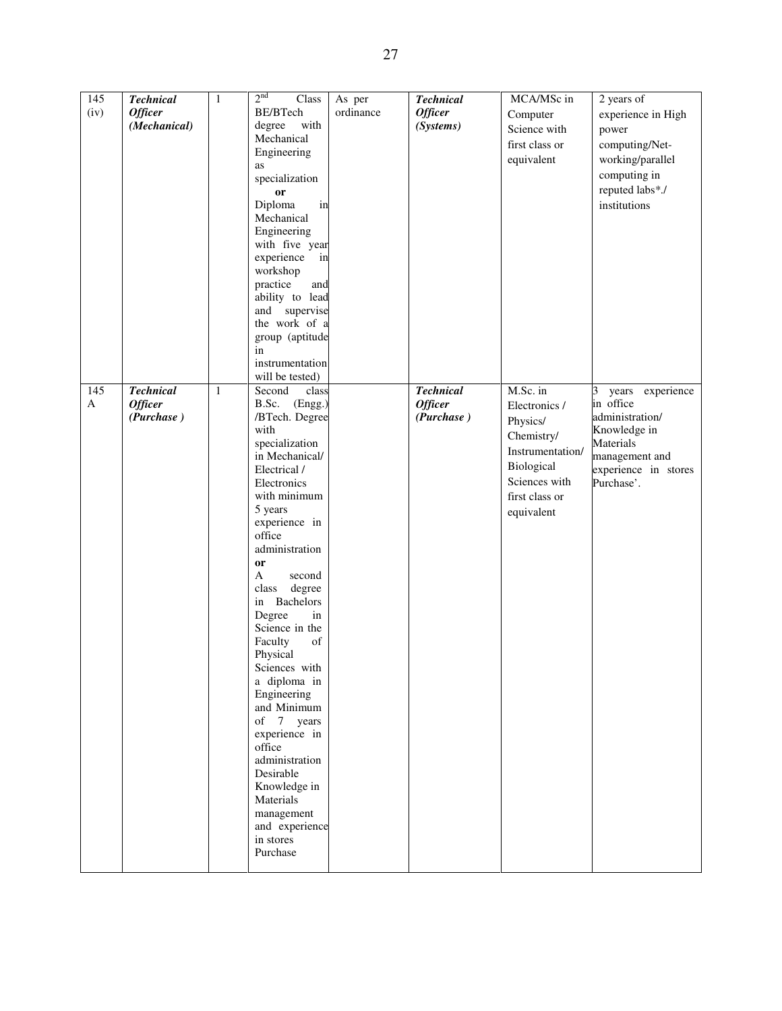| 145          | <b>Technical</b> | $\mathbf{1}$ | 2 <sup>nd</sup><br>Class       | As per    | <b>Technical</b> | MCA/MSc in       | 2 years of            |
|--------------|------------------|--------------|--------------------------------|-----------|------------------|------------------|-----------------------|
| (iv)         | <b>Officer</b>   |              | BE/BTech                       | ordinance | <b>Officer</b>   | Computer         | experience in High    |
|              | (Mechanical)     |              | degree<br>with                 |           | (Systems)        | Science with     |                       |
|              |                  |              | Mechanical                     |           |                  |                  | power                 |
|              |                  |              | Engineering                    |           |                  | first class or   | computing/Net-        |
|              |                  |              | as                             |           |                  | equivalent       | working/parallel      |
|              |                  |              |                                |           |                  |                  | computing in          |
|              |                  |              | specialization                 |           |                  |                  | reputed labs*./       |
|              |                  |              | or                             |           |                  |                  |                       |
|              |                  |              | in<br>Diploma                  |           |                  |                  | institutions          |
|              |                  |              | Mechanical                     |           |                  |                  |                       |
|              |                  |              | Engineering                    |           |                  |                  |                       |
|              |                  |              | with five year                 |           |                  |                  |                       |
|              |                  |              | experience<br>in               |           |                  |                  |                       |
|              |                  |              | workshop                       |           |                  |                  |                       |
|              |                  |              | practice<br>and                |           |                  |                  |                       |
|              |                  |              | ability to lead                |           |                  |                  |                       |
|              |                  |              | and supervise                  |           |                  |                  |                       |
|              |                  |              | the work of a                  |           |                  |                  |                       |
|              |                  |              | group (aptitude                |           |                  |                  |                       |
|              |                  |              | in                             |           |                  |                  |                       |
|              |                  |              | instrumentation                |           |                  |                  |                       |
|              |                  |              | will be tested)                |           |                  |                  |                       |
| 145          | <b>Technical</b> | $\mathbf{1}$ | Second<br>class                |           | <b>Technical</b> | M.Sc. in         | years experience<br>3 |
| $\mathbf{A}$ | <b>Officer</b>   |              | B.Sc.<br>(Engg.)               |           | <b>Officer</b>   | Electronics /    | in office             |
|              | (Purchase)       |              | /BTech. Degree                 |           | (Purchase)       | Physics/         | administration/       |
|              |                  |              | with                           |           |                  |                  | Knowledge in          |
|              |                  |              | specialization                 |           |                  | Chemistry/       | Materials             |
|              |                  |              | in Mechanical/                 |           |                  | Instrumentation/ | management and        |
|              |                  |              | Electrical /                   |           |                  | Biological       | experience in stores  |
|              |                  |              | Electronics                    |           |                  | Sciences with    | Purchase'.            |
|              |                  |              | with minimum                   |           |                  | first class or   |                       |
|              |                  |              | 5 years                        |           |                  |                  |                       |
|              |                  |              | experience in                  |           |                  | equivalent       |                       |
|              |                  |              | office                         |           |                  |                  |                       |
|              |                  |              | administration                 |           |                  |                  |                       |
|              |                  |              |                                |           |                  |                  |                       |
|              |                  |              | or<br>$\mathbf{A}$<br>second   |           |                  |                  |                       |
|              |                  |              | $\rm degree$<br>class          |           |                  |                  |                       |
|              |                  |              | in Bachelors                   |           |                  |                  |                       |
|              |                  |              |                                |           |                  |                  |                       |
|              |                  |              | Degree<br>in<br>Science in the |           |                  |                  |                       |
|              |                  |              |                                |           |                  |                  |                       |
|              |                  |              | Faculty<br>of                  |           |                  |                  |                       |
|              |                  |              | Physical                       |           |                  |                  |                       |
|              |                  |              | Sciences with                  |           |                  |                  |                       |
|              |                  |              | a diploma in                   |           |                  |                  |                       |
|              |                  |              | Engineering                    |           |                  |                  |                       |
|              |                  |              | and Minimum                    |           |                  |                  |                       |
|              |                  |              | of 7 years                     |           |                  |                  |                       |
|              |                  |              | experience in                  |           |                  |                  |                       |
|              |                  |              | office                         |           |                  |                  |                       |
|              |                  |              | administration                 |           |                  |                  |                       |
|              |                  |              | Desirable                      |           |                  |                  |                       |
|              |                  |              | Knowledge in                   |           |                  |                  |                       |
|              |                  |              | Materials                      |           |                  |                  |                       |
|              |                  |              | management                     |           |                  |                  |                       |
|              |                  |              | and experience                 |           |                  |                  |                       |
|              |                  |              | in stores                      |           |                  |                  |                       |
|              |                  |              | Purchase                       |           |                  |                  |                       |
|              |                  |              |                                |           |                  |                  |                       |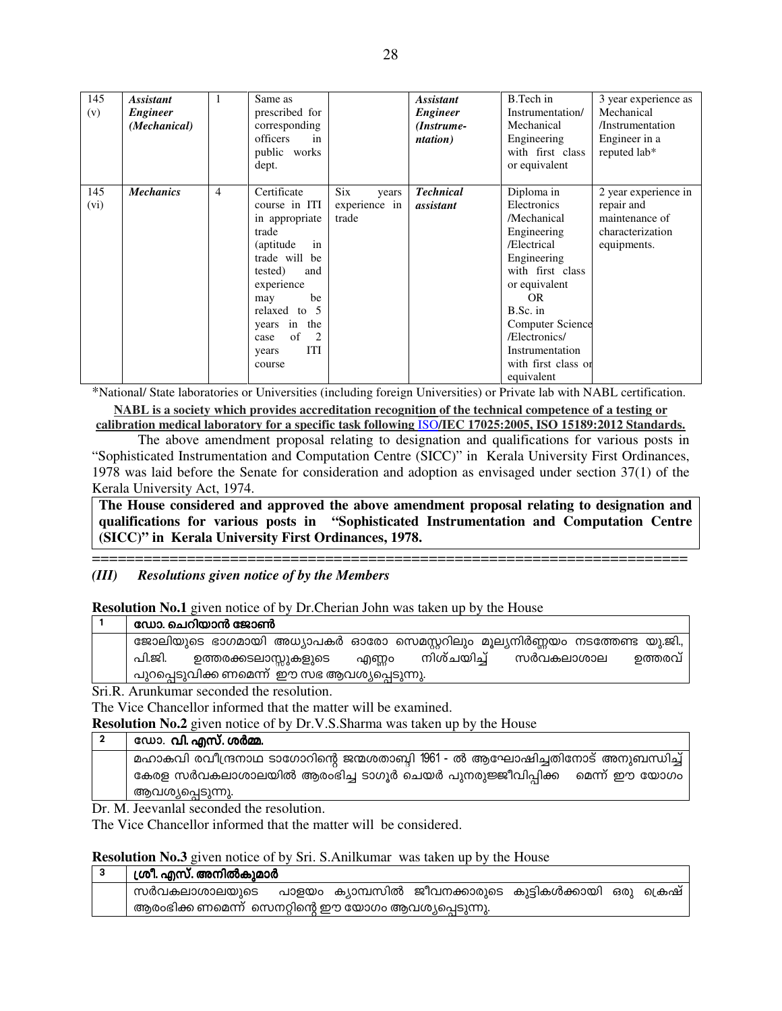| 145<br>(v)  | <b>Assistant</b><br><b>Engineer</b><br>(Mechanical) | 1              | Same as<br>prescribed for<br>corresponding<br>officers<br>in<br>public works<br>dept.                                                                                                                                                         |                                               | <b>Assistant</b><br><b>Engineer</b><br>(Instrume-<br><i>ntation</i> ) | B.Tech in<br>Instrumentation/<br>Mechanical<br>Engineering<br>with first class<br>or equivalent                                                                                                                                                   | 3 year experience as<br>Mechanical<br>/Instrumentation<br>Engineer in a<br>reputed lab* |
|-------------|-----------------------------------------------------|----------------|-----------------------------------------------------------------------------------------------------------------------------------------------------------------------------------------------------------------------------------------------|-----------------------------------------------|-----------------------------------------------------------------------|---------------------------------------------------------------------------------------------------------------------------------------------------------------------------------------------------------------------------------------------------|-----------------------------------------------------------------------------------------|
| 145<br>(vi) | <b>Mechanics</b>                                    | $\overline{4}$ | Certificate<br>course in ITI<br>in appropriate<br>trade<br>(aptitude)<br>in<br>trade will be<br>tested)<br>and<br>experience<br>be<br>may<br>relaxed to 5<br>in the<br>years<br>of<br>$\overline{2}$<br>case<br><b>ITI</b><br>years<br>course | <b>Six</b><br>years<br>experience in<br>trade | <b>Technical</b><br>assistant                                         | Diploma in<br>Electronics<br>/Mechanical<br>Engineering<br>/Electrical<br>Engineering<br>with first class<br>or equivalent<br>OR.<br>B.Sc. in<br><b>Computer Science</b><br>/Electronics/<br>Instrumentation<br>with first class or<br>equivalent | 2 year experience in<br>repair and<br>maintenance of<br>characterization<br>equipments. |

\*National/ State laboratories or Universities (including foreign Universities) or Private lab with NABL certification.

NABL is a society which provides accreditation recognition of the technical competence of a testing or calibration medical laboratory for a specific task following ISO/IEC 17025:2005, ISO 15189:2012 Standards.

The above amendment proposal relating to designation and qualifications for various posts in "Sophisticated Instrumentation and Computation Centre (SICC)" in Kerala University First Ordinances, 1978 was laid before the Senate for consideration and adoption as envisaged under section  $37(1)$  of the Kerala University Act, 1974.

The House considered and approved the above amendment proposal relating to designation and qualifications for various posts in "Sophisticated Instrumentation and Computation Centre (SICC)" in Kerala University First Ordinances, 1978.

#### $(III)$ **Resolutions given notice of by the Members**

**Resolution No.1** given notice of by Dr. Cherian John was taken up by the House

|       | ഡോ. ചെറിയാൻ ജോൺ                                                             |
|-------|-----------------------------------------------------------------------------|
|       | ജോലിയുടെ ഭാഗമായി അധ്യാപകർ ഓരോ സെമസ്റ്ററിലും മൂല്യനിർണ്ണയം നടത്തേണ്ട യു.ജി., |
|       | നിശ്ചയിച്<br>സർവകലാശാല<br>പി.ജി.<br>ഉത്തരവ്<br>ഉത്തരക്കടലാസ്സുകളുടെ എണ്ണം   |
|       | പുറപ്പെടുവിക്ക ണമെന്ന്  ഈ സഭ ആവശ്യപ്പെടുന്നു.                               |
| _____ |                                                                             |

Sri.R. Arunkumar seconded the resolution.

The Vice Chancellor informed that the matter will be examined.

**Resolution No.2** given notice of by Dr.V.S.Sharma was taken up by the House

| ഡോ. വി. എസ്. ശർമ്മ.                                                            |
|--------------------------------------------------------------------------------|
| മഹാകവി രവീന്ദ്രനാഥ ടാഗോറിന്റെ ജന്മശതാബ്ബി 1961 - ൽ ആഘോഷിച്ചതിനോട് അനുബന്ധിച്ച് |
| കേരള സർവകലാശാലയിൽ ആരംഭിച്ച ടാഗൂർ ചെയർ പുനരുജ്ജീവിപ്പിക്ക   മെന്ന് ഈ യോഗം       |
| ആവശ്യപ്പെടുന്നു.                                                               |

Dr. M. Jeevanlal seconded the resolution.

The Vice Chancellor informed that the matter will be considered.

**Resolution No.3** given notice of by Sri. S.Anilkumar was taken up by the House

| ശ്രീ. എസ്. അനിൽകുമാർ                                                   |  |  |  |
|------------------------------------------------------------------------|--|--|--|
| സർവകലാശാലയുടെ  പാളയം ക്യാമ്പസിൽ ജീവനക്കാരുടെ കുട്ടികൾക്കായി ഒരു ക്രെഷ് |  |  |  |
| , ആരംഭിക്ക ണമെന്ന്  സെനറ്റിന്റെ ഈ യോഗം ആവശ്യപ്പെടുന്നു.                |  |  |  |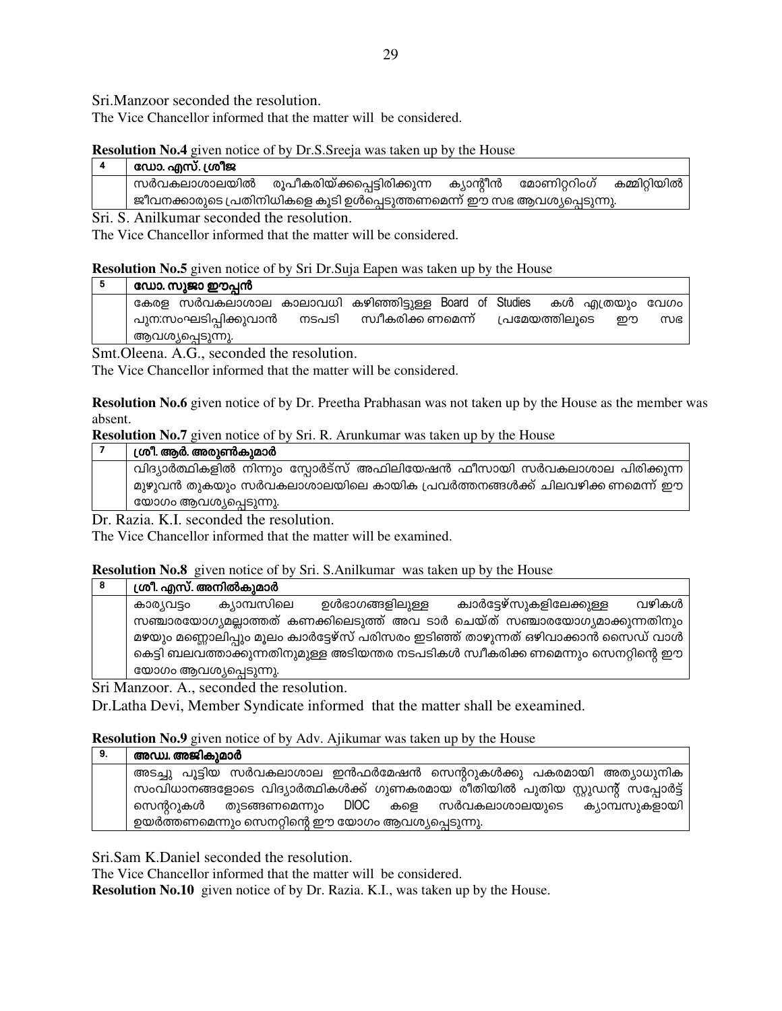Sri.Manzoor seconded the resolution.

The Vice Chancellor informed that the matter will be considered.

# **Resolution No.4** given notice of by Dr.S.Sreeja was taken up by the House

| ഡോ. എസ്. ശ്രീജ |                                                                            |                        |              |
|----------------|----------------------------------------------------------------------------|------------------------|--------------|
| സർവകലാശാലയിൽ   | രൂപീകരിയ്ക്കപ്പെട്ടിരിക്കുന്ന                                              | ക്യാന്റീൻ മോണിറ്ററിംഗ് | കമ്മിറ്റിയിൽ |
|                | ,  ജീവനക്കാരുടെ പ്രതിനിധികളെ കൂടി ഉൾപ്പെടുത്തണമെന്ന് ഈ സഭ ആവശ്യപ്പെടുന്നു. |                        |              |

Sri. S. Anilkumar seconded the resolution.

The Vice Chancellor informed that the matter will be considered.

# **Resolution No.5** given notice of by Sri Dr.Suja Eapen was taken up by the House

|  | ഡോ. സുജാ ഈപ്പൻ |
|--|----------------|
|--|----------------|

| $\cdots$ $\cdots$ $\cdots$ $\cdots$ $\cdots$           |       |                    |  |                |                 |    |
|--------------------------------------------------------|-------|--------------------|--|----------------|-----------------|----|
| കേരള സർവകലാശാല കാലാവധി കഴിഞ്ഞിട്ടുള്ള Board of Studies |       |                    |  |                | കൾ എത്രയും വേഗം |    |
| പുന:സംഘടിപ്പിക്കുവാൻ                                   | നടപടി | സ്വീകരിക്ക ണമെന്ന് |  | പ്രമേയത്തിലുടെ | ഈ               | സഭ |
| ആവശ്യപ്പെടുന്നു.                                       |       |                    |  |                |                 |    |

Smt.Oleena. A.G., seconded the resolution.

The Vice Chancellor informed that the matter will be considered.

**Resolution No.6** given notice of by Dr. Preetha Prabhasan was not taken up by the House as the member was absent.

**Resolution No.7** given notice of by Sri. R. Arunkumar was taken up by the House

| ശ്രീ. ആർ. അരുൺകുമാർ                                                      |
|--------------------------------------------------------------------------|
| വിദ്യാർത്ഥികളിൽ നിന്നും സ്പോർട്സ് അഫിലിയേഷൻ ഫീസായി സർവകലാശാല പിരിക്കുന്ന |
| മുഴുവൻ തുകയും സർവകലാശാലയിലെ കായിക പ്രവർത്തനങ്ങൾക്ക് ചിലവഴിക്ക ണമെന്ന് ഈ  |
| യോഗം ആവശ്യപ്പെടുന്നു.                                                    |
|                                                                          |

Dr. Razia. K.I. seconded the resolution.

The Vice Chancellor informed that the matter will be examined.

# **Resolution No.8** given notice of by Sri. S.Anilkumar was taken up by the House

|            | ശ്രീ. എസ്. അനിൽകുമാർ  |                 |                                                                                    |       |
|------------|-----------------------|-----------------|------------------------------------------------------------------------------------|-------|
| കാര്യവട്ടം | ക്യാമ്പസിലെ           | ഉൾഭാഗങ്ങളിലുള്ള | ക്വാർട്ടേഴ്സുകളിലേക്കുള്ള                                                          | വഴികൾ |
|            |                       |                 | സഞ്ചാരയോഗ്യമല്ലാത്തത് കണക്കിലെടുത്ത് അവ ടാർ ചെയ്ത് സഞ്ചാരയോഗ്യമാക്കുന്നതിനും       |       |
|            |                       |                 | മഴയും മണ്ണൊലിപ്പും മൂലം ക്വാർട്ടേഴ്സ് പരിസരം ഇടിഞ്ഞ് താഴുന്നത് ഒഴിവാക്കാൻ സൈഡ് വാൾ |       |
|            |                       |                 | കെട്ടി ബലവത്താക്കുന്നതിനുമുള്ള അടിയന്തര നടപടികൾ സ്ഥീകരിക്ക ണമെന്നും സെനറ്റിന്റെ ഈ  |       |
|            | യോഗം ആവശ്യപ്പെടുന്നു. |                 |                                                                                    |       |

Sri Manzoor. A., seconded the resolution.

Dr.Latha Devi, Member Syndicate informed that the matter shall be exeamined.

# **Resolution No.9** given notice of by Adv. Ajikumar was taken up by the House

| 9. | അഡ്വ. അജികുമാർ                                                                   |
|----|----------------------------------------------------------------------------------|
|    | അടച്ചു പൂട്ടിയ സർവകലാശാല ഇൻഫർമേഷൻ സെന്ററുകൾക്കു പകരമായി അത്യാധുനിക               |
|    | സംവിധാനങ്ങളോടെ വിദ്യാർത്ഥികൾക്ക് ഗുണകരമായ രീതിയിൽ പുതിയ സ്റ്റുഡന്റ് സപ്പോർട്ട് ' |
|    | സെന്ററുകൾ തുടങ്ങണമെന്നും DIOC കളെ സർവകലാശാലയുടെ ക്യാമ്പസുകളായി                   |
|    | ഉയർത്തണമെന്നും സെനറ്റിന്റെ ഈ യോഗം ആവശ്യപ്പെടുന്നു.                               |

Sri.Sam K.Daniel seconded the resolution.

The Vice Chancellor informed that the matter will be considered.

**Resolution No.10** given notice of by Dr. Razia. K.I., was taken up by the House.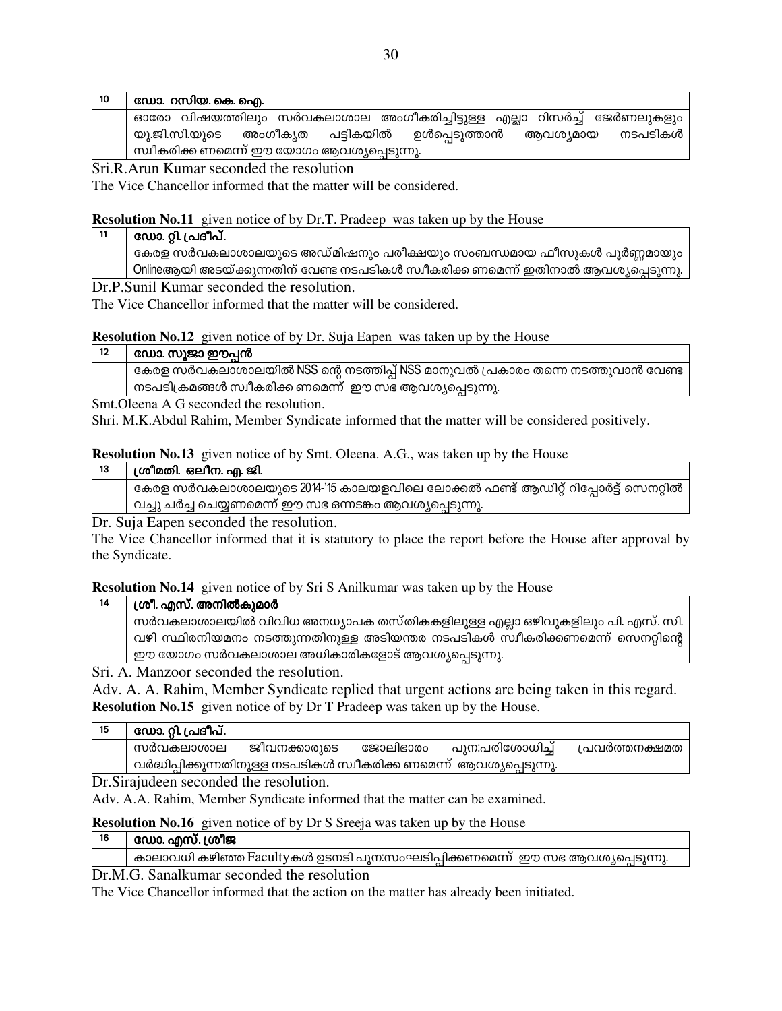| 10 | ഡോ. റസിയ. കെ. ഐ.                                                        |  |  |  |  |  |
|----|-------------------------------------------------------------------------|--|--|--|--|--|
|    | ഓരോ വിഷയത്തിലും സർവകലാശാല അംഗീകരിച്ചിട്ടുള്ള എല്ലാ റിസർച്ച് ജേർണലുകളും  |  |  |  |  |  |
|    | അംഗീകൃത പട്ടികയിൽ ഉൾപ്പെടുത്താൻ<br>നടപടികൾ<br>യു.ജി.സി.യുടെ<br>ആവശ്യമായ |  |  |  |  |  |
|    | , സ്വീകരിക്ക ണമെന്ന് ഈ യോഗം ആവശ്യപ്പെടുന്നു.                            |  |  |  |  |  |

Sri.R.Arun Kumar seconded the resolution

The Vice Chancellor informed that the matter will be considered.

**Resolution No.11** given notice of by Dr.T. Pradeep was taken up by the House

| ഡോ. റ്റി. പ്രദീപ്.                                                                              |
|-------------------------------------------------------------------------------------------------|
| കേരള സർവകലാശാലയുടെ അഡ്മിഷനും പരീക്ഷയും സംബന്ധമായ ഫീസുകൾ പൂർണ്ണമായും                             |
| Onlineആയി അടയ്ക്കുന്നതിന് വേണ്ട നടപടികൾ സ്വീകരിക്ക ണമെന്ന് ഇതിനാൽ ആവശ്യപ്പെടുന്നു. <sup>1</sup> |

Dr.P. Sunil Kumar seconded the resolution

The Vice Chancellor informed that the matter will be considered.

**Resolution No.12** given notice of by Dr. Suja Eapen was taken up by the House

| 12                     | ഡോ. സുജാ ഈപ്പൻ                                                                 |
|------------------------|--------------------------------------------------------------------------------|
|                        | കേരള സർവകലാശാലയിൽ NSS ന്റെ നടത്തിപ്പ് NSS മാനുവൽ പ്രകാരം തന്നെ നടത്തുവാൻ വേണ്ട |
|                        | . നടപടിക്രമങ്ങൾ സ്വീകരിക്ക ണമെന്ന്  ഈ സഭ ആവശ്യപ്പെടുന്നു.                      |
| $\sim$ $\sim$ $\sim$ 1 |                                                                                |

Smt. Oleena A G seconded the resolution.

Shri. M.K.Abdul Rahim, Member Syndicate informed that the matter will be considered positively.

### **Resolution No.13** given notice of by Smt. Oleena, A.G., was taken up by the House

| 13 | ശ്രീമതി. ഒലീന. എ. ജി.                                                           |
|----|---------------------------------------------------------------------------------|
|    | കേരള സർവകലാശാലയുടെ 2014-'15 കാലയളവിലെ ലോക്കൽ ഫണ്ട് ആഡിറ്റ് റിപ്പോർട്ട് സെനറ്റിൽ |
|    | വച്ചു ചർച്ച ചെയ്യണമെന്ന് ഈ സഭ ഒന്നടങ്കം ആവശ്യപ്പെടുന്നു.                        |
|    | <u>היח</u>                                                                      |

Dr. Suja Eapen seconded the resolution.

The Vice Chancellor informed that it is statutory to place the report before the House after approval by the Syndicate.

**Resolution No.14** given notice of by Sri S Anilkumar was taken up by the House

| -14 |                                                                           | ശ്രീ. എസ്. അനിൽകുമാർ                                                            |  |  |  |  |  |
|-----|---------------------------------------------------------------------------|---------------------------------------------------------------------------------|--|--|--|--|--|
|     | സർവകലാശാലയിൽ വിവിധ അനധ്യാപക തസ്തികകളിലുള്ള എല്ലാ ഒഴിവുകളിലും പി. എസ്. സി. |                                                                                 |  |  |  |  |  |
|     |                                                                           | വഴി സ്ഥിരനിയമനം നടത്തുന്നതിനുള്ള അടിയന്തര നടപടികൾ സ്വീകരിക്കണമെന്ന് സെനറ്റിന്റെ |  |  |  |  |  |
|     |                                                                           | ഈ യോഗം സർവകലാശാല അധികാരികളോട് ആവശ്യപ്പെടുന്നു.                                  |  |  |  |  |  |
|     |                                                                           | $C_{\mu\nu}$ $\Lambda$ Mongoon accounded the mass lution                        |  |  |  |  |  |

Sri. A. Manzoor seconded the resolution.

Adv. A. A. Rahim, Member Syndicate replied that urgent actions are being taken in this regard. **Resolution No.15** given notice of by Dr T Pradeep was taken up by the House.

| 15 | ഡോ. റ്റി. പ്രദീപ്.                                                    |              |          |                 |                |  |  |
|----|-----------------------------------------------------------------------|--------------|----------|-----------------|----------------|--|--|
|    | സർവകലാശാല                                                             | ജീവനക്കാരുടെ | ജോലിഭാരം | പുന:പരിശോധിച്ച് | പ്രവർത്തനക്ഷമത |  |  |
|    | വർദ്ധിപ്പിക്കുന്നതിനുള്ള നടപടികൾ സ്വീകരിക്ക ണമെന്ന്  ആവശ്യപ്പെടുന്നു. |              |          |                 |                |  |  |
|    |                                                                       |              |          |                 |                |  |  |

Dr. Sirajudeen seconded the resolution.

Adv. A.A. Rahim, Member Syndicate informed that the matter can be examined.

**Resolution No.16** given notice of by Dr S Sreeja was taken up by the House

- ഡോ. എസ്. ശ്രീജ 16
	- കാലാവധി കഴിഞ്ഞ Facultyകൾ ഉടനടി പുന:സംഘടിപ്പിക്കണമെന്ന് ഈ സഭ ആവശ്യപ്പെടുന്നു.

Dr.M.G. Sanalkumar seconded the resolution

The Vice Chancellor informed that the action on the matter has already been initiated.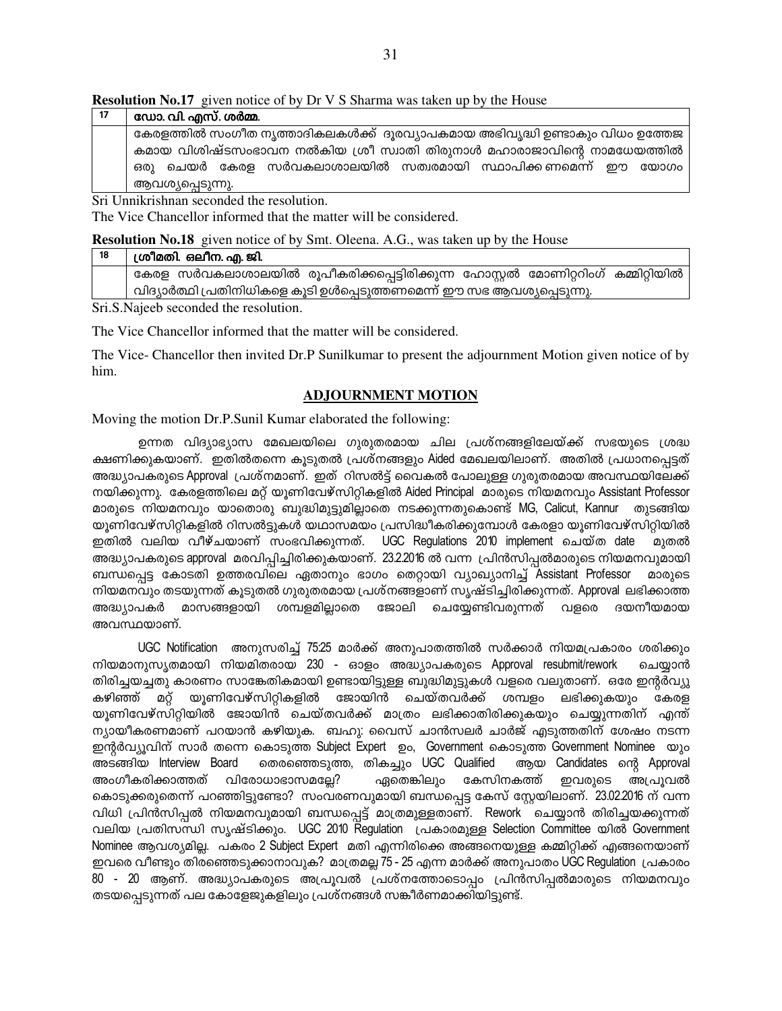| 17 | ഡോ. വി. എസ്. ശർമ്മ.                                                           |
|----|-------------------------------------------------------------------------------|
|    | കേരളത്തിൽ സംഗീത നൃത്താദികലകൾക്ക്  ദൂരവ്യാപകമായ അഭിവൃദ്ധി ഉണ്ടാകും വിധം ഉത്തേജ |
|    | കമായ വിശിഷ്ടസംഭാവന നൽകിയ ശ്രീ സ്വാതി തിരുനാൾ മഹാരാജാവിന്റെ നാമധേയത്തിൽ        |
|    | ഒരു ചെയർ കേരള സർവകലാശാലയിൽ സത്വരമായി സ്ഥാപിക്കണമെന്ന് ഈ യോഗം                  |
|    | ആവശ്യപ്പെടുന്നു.                                                              |

Sri Unnikrishnan seconded the resolution.

The Vice Chancellor informed that the matter will be considered.

| Resolution No.18 given notice of by Smt. Oleena. A.G., was taken up by the House |  |  |  |  |
|----------------------------------------------------------------------------------|--|--|--|--|
|----------------------------------------------------------------------------------|--|--|--|--|

| 18 | ശ്രീമതി. ഒലീന. എ. ജി.                                                            |  |  |  |  |  |  |
|----|----------------------------------------------------------------------------------|--|--|--|--|--|--|
|    | കേരള സർവകലാശാലയിൽ രൂപീകരിക്കപ്പെട്ടിരിക്കുന്ന ഹോസ്റ്റൽ മോണിറ്ററിംഗ് കമ്മിറ്റിയിൽ |  |  |  |  |  |  |
|    | വിദ്യാർത്ഥി പ്രതിനിധികളെ കൂടി ഉൾപ്പെടുത്തണമെന്ന് ഈ സഭ ആവശ്യപ്പെടുന്നു.           |  |  |  |  |  |  |

Sri.S.Najeeb seconded the resolution.

The Vice Chancellor informed that the matter will be considered.

The Vice-Chancellor then invited Dr.P Sunilkumar to present the adjournment Motion given notice of by him.

# **ADJOURNMENT MOTION**

Moving the motion Dr.P.Sunil Kumar elaborated the following:

ഉന്നത വിദ്യാഭ്യാസ മേഖലയിലെ ഗുരുതരമായ ചില പ്രശ്നങ്ങളിലേയ്ക്ക് സഭയുടെ ശ്രദ്ധ ക്ഷണിക്കുകയാണ്. ഇതിൽതന്നെ കൂടുതൽ പ്രശ്നങ്ങളും Aided മേഖലയിലാണ്. അതിൽ പ്രധാനപ്പെട്ടത് അദ്ധ്യാപകരുടെ Approval പ്രശ്നമാണ്. ഇത് റിസൽട്ട് വൈകൽ പോലുള്ള ഗുരുതരമായ അവസ്ഥയിലേക്ക് നയിക്കുന്നു. കേരളത്തിലെ മറ്റ് യൂണിവേഴ്സിറ്റികളിൽ Aided Principal മാരുടെ നിയമനവും Assistant Professor മാരുടെ നിയമനവും യാതൊരു ബുദ്ധിമുട്ടുമില്ലാതെ നടക്കുന്നതുകൊണ്ട് MG, Calicut, Kannur തുടങ്ങിയ യൂണിവേഴ്സിറ്റികളിൽ റിസൽട്ടുകൾ യഥാസമയം പ്രസിദ്ധീകരിക്കുമ്പോൾ കേരളാ യൂണിവേഴ്സിറ്റിയിൽ ഇതിൽ വലിയ വീഴ്ചയാണ് സംഭവിക്കുന്നത്. UGC Regulations 2010 implement ചെയ്ത date മുതൽ അദ്ധ്യാപകരുടെ approval മരവിപ്പിച്ചിരിക്കുകയാണ്. 23.2.2016 ൽ വന്ന പ്രിൻസിപ്പൽമാരുടെ നിയമനവുമായി ബന്ധപ്പെട്ട കോടതി ഉത്തരവിലെ ഏതാനും ഭാഗം തെറ്റായി വ്യാഖ്യാനിച്ച് Assistant Professor മാരുടെ നിയമനവും തടയുന്നത് കൂടുതൽ ഗുരുതരമായ പ്രശ്നങ്ങളാണ് സൃഷ്ടിച്ചിരിക്കുന്നത്. Approval ലഭിക്കാത്ത അദ്ധ്യാപകർ മാസങ്ങളായി ശമ്പളമില്ലാതെ ജോലി ചെയ്യേണ്ടിവരുന്നത് വളരെ ദയനീയമായ അവസ്ഥയാണ്.

UGC Notification അനുസരിച്ച് 75:25 മാർക്ക് അനുപാതത്തിൽ സർക്കാർ നിയമപ്രകാരം ശരിക്കും നിയമാനുസൃതമായി നിയമിതരായ 230 - ഓളം അദ്ധ്യാപകരുടെ Approval resubmit/rework ചെയ്യാൻ തിരിച്ചയച്ചതു കാരണം സാങ്കേതികമായി ഉണ്ടായിട്ടുള്ള ബുദ്ധിമുട്ടുകൾ വളരെ വലുതാണ്. ഒരേ ഇന്റർവ്യു യുണിവേഴ്സിറ്റികളിൽ ജോയിൻ ചെയ്തവർക്ക് ശമ്പളം ലഭിക്കുകയും കേരള കഴിഞ്ഞ് മറ്റ് യൂണിവേഴ്സിറ്റിയിൽ ജോയിൻ ചെയ്തവർക്ക് മാത്രം ലഭിക്കാതിരിക്കുകയും ചെയ്യുന്നതിന് എന്ത് ന്യായീകരണമാണ് പറയാൻ കഴിയുക. ബഹു: വൈസ് ചാൻസലർ ചാർജ് എടുത്തതിന് ശേഷം നടന്ന ഇന്റർവ്യുവിന് സാർ തന്നെ കൊടുത്ത Subject Expert ഉം, Government കൊടുത്ത Government Nominee യും തെരഞ്ഞെടുത്ത, തികച്ചും UGC Qualified അടങ്ങിയ Interview Board ആയ Candidates ന്റെ Approval അംഗീകരിക്കാത്തത് വിരോധാഭാസമല്ലേ? ഏതെങ്കിലും കേസിനകത്ത് ഇവരുടെ അപ്രൂവൽ കൊടുക്കരുതെന്ന് പറഞ്ഞിട്ടുണ്ടോ? സംവരണവുമായി ബന്ധപ്പെട്ട കേസ് സ്റ്റേയിലാണ്. 23.02.2016 ന് വന്ന വിധി പ്രിൻസിപ്പൽ നിയമനവുമായി ബന്ധപ്പെട്ട് മാത്രമുള്ളതാണ്. Rework ചെയ്യാൻ തിരിച്ചയക്കുന്നത് വലിയ പ്രതിസന്ധി സൃഷ്ടിക്കും. UGC 2010 Regulation പ്രകാരമുള്ള Selection Committee യിൽ Government Nominee ആവശ്യമില്ല. പകരം 2 Subject Expert മതി എന്നിരിക്കെ അങ്ങനെയുള്ള കമ്മിറ്റിക്ക് എങ്ങനെയാണ് ഇവരെ വീണ്ടും തിരഞ്ഞെടുക്കാനാവുക? മാത്രമല്ല 75 - 25 എന്ന മാർക്ക് അനുപാതം UGC Regulation പ്രകാരം 80 - 20 ആണ്. അദ്ധ്യാപകരുടെ അപ്രൂവൽ പ്രശ്നത്തോടൊപ്പം പ്രിൻസിപ്പൽമാരുടെ നിയമനവും തടയപ്പെടുന്നത് പല കോളേജുകളിലും പ്രശ്നങ്ങൾ സങ്കീർണമാക്കിയിട്ടുണ്ട്.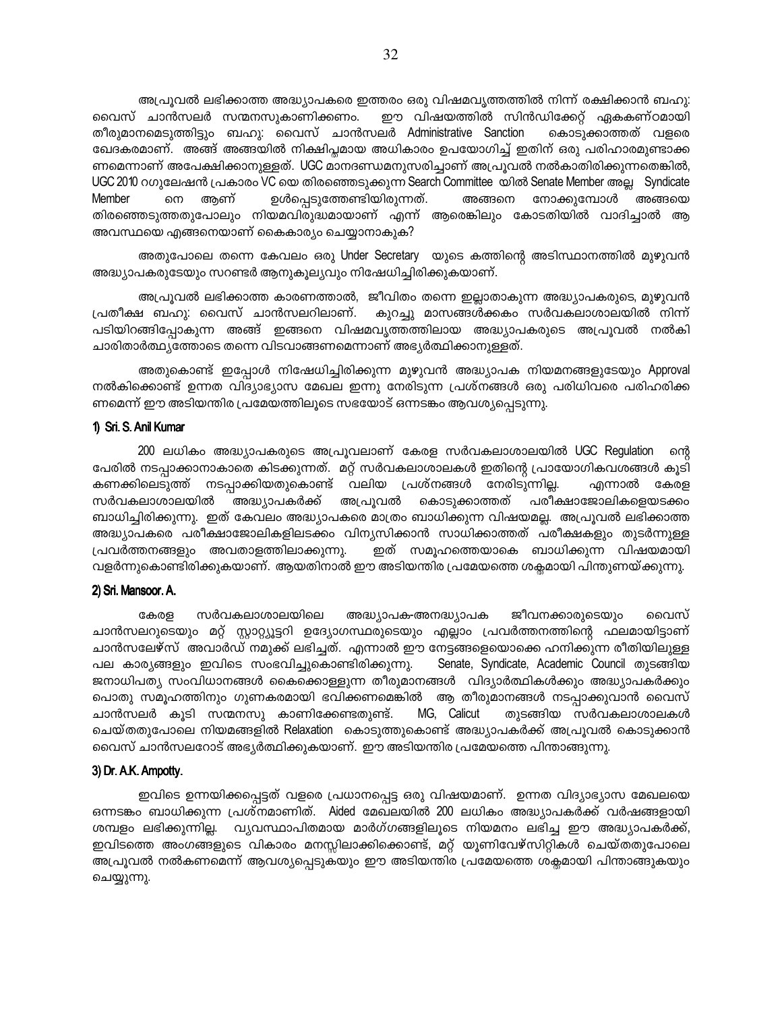അപ്രൂവൽ ലഭിക്കാത്ത അദ്ധ്യാപകരെ ഇത്തരം ഒരു വിഷമവൃത്തത്തിൽ നിന്ന് രക്ഷിക്കാൻ ബഹു: വൈസ് ചാൻസലർ സന്മനസുകാണിക്കണം. ഈ വിഷയത്തിൽ സിൻഡിക്കേറ്റ് ഏകകണ്ഠമായി തീരുമാനമെടുത്തിട്ടും ബഹു: വൈസ് ചാൻസലർ Administrative Sanction കൊടുക്കാത്തത് വളരെ ഖേദകരമാണ്. അങ്ങ് അങ്ങയിൽ നിക്ഷിപ്ലമായ അധികാരം ഉപയോഗിച്ച് ഇതിന് ഒരു പരിഹാരമുണ്ടാക്ക ണമെന്നാണ് അപേക്ഷിക്കാനുള്ളത്. UGC മാനദണ്ഡമനുസരിച്ചാണ് അപ്രൂവൽ നൽകാതിരിക്കുന്നതെങ്കിൽ, UGC 2010 റഗുലേഷൻ പ്രകാരം VC യെ തിരഞ്ഞെടുക്കുന്ന Search Committee യിൽ Senate Member അല്ല Syndicate Member നെ അണ് ഉൾപ്പെടുത്തേണ്ടിയിരുന്നത്. അങ്ങനെ നോക്കുമ്പോൾ അങ്ങയെ തിരഞ്ഞെടുത്തതുപോലും നിയമവിരുദ്ധമായാണ് എന്ന് ആരെങ്കിലും കോടതിയിൽ വാദിച്ചാൽ ആ അവസ്ഥയെ എങ്ങനെയാണ് കൈകാര്യം ചെയ്യാനാകുക?

അതുപോലെ തന്നെ കേവലം ഒരു Under Secretary യുടെ കത്തിന്റെ അടിസ്ഥാനത്തിൽ മുഴുവൻ അദ്ധ്യാപകരുടേയും സറണ്ടർ ആനുകൂല്യവും നിഷേധിച്ചിരിക്കുകയാണ്.

അപ്രൂവൽ ലഭിക്കാത്ത കാരണത്താൽ, ജീവിതം തന്നെ ഇല്ലാതാകുന്ന അദ്ധ്യാപകരുടെ, മുഴുവൻ കുറച്ചു മാസങ്ങൾക്കകം സർവകലാശാലയിൽ നിന്ന് പ്രതീക്ഷ ബഹു: വൈസ് ചാൻസലറിലാണ്. പടിയിറങ്ങിപ്പോകുന്ന അങ്ങ് ഇങ്ങനെ വിഷമവൃത്തത്തിലായ അദ്ധ്യാപകരുടെ അപ്രൂവൽ നൽകി ചാരിതാർത്ഥ്യത്തോടെ തന്നെ വിടവാങ്ങണമെന്നാണ് അഭ്യർത്ഥിക്കാനുള്ളത്.

അതുകൊണ്ട് ഇപ്പോൾ നിഷേധിച്ചിരിക്കുന്ന മുഴുവൻ അദ്ധ്യാപക നിയമനങ്ങളുടേയും Approval നൽകിക്കൊണ്ട് ഉന്നത വിദ്യാഭ്യാസ മേഖല ഇന്നു നേരിടുന്ന പ്രശ്നങ്ങൾ ഒരു പരിധിവരെ പരിഹരിക്ക ണമെന്ന് ഈ അടിയന്തിര പ്രമേയത്തിലുടെ സഭയോട് ഒന്നടങ്കം ആവശ്യപ്പെടുന്നു.

### 1) Sri. S. Anil Kumar

200 ലധികം അദ്ധ്യാപകരുടെ അപ്രൂവലാണ് കേരള സർവകലാശാലയിൽ UGC Regulation ന്റെ പേരിൽ നടപ്പാക്കാനാകാതെ കിടക്കുന്നത്. മറ്റ് സർവകലാശാലകൾ ഇതിന്റെ പ്രായോഗികവശങ്ങൾ കൂടി കണക്കിലെടുത്ത് നടപ്പാക്കിയതുകൊണ്ട് വലിയ പ്രശ്നങ്ങൾ നേരിടുന്നില്ല. എന്നാൽ കേരള സർവകലാശാലയിൽ അദ്ധ്യാപകർക്ക് അപ്രുവൽ കൊടുക്കാത്തത് പരീക്ഷാജോലികളെയടക്കം ബാധിച്ചിരിക്കുന്നു. ഇത് കേവലം അദ്ധ്യാപകരെ മാത്രം ബാധിക്കുന്ന വിഷയമല്ല. അപ്രൂവൽ ലഭിക്കാത്ത അദ്ധ്യാപകരെ പരീക്ഷാജോലികളിലടക്കം വിന്യസിക്കാൻ സാധിക്കാത്തത് പരീക്ഷകളും തുടർന്നുള്ള പ്രവർത്തനങ്ങളും അവതാളത്തിലാക്കുന്നു. ഇത് സമൂഹത്തെയാകെ ബാധിക്കുന്ന വിഷയമായി വളർന്നുകൊണ്ടിരിക്കുകയാണ്. ആയതിനാൽ ഈ അടിയന്തിര പ്രമേയത്തെ ശക്ലമായി പിന്തുണയ്ക്കുന്നു.

### 2) Sri. Mansoor. A.

കേരള സർവകലാശാലയിലെ അദ്ധ്യാപക-അനദ്ധ്യാപക ജീവനക്കാരുടെയും വൈസ് ചാൻസലറുടെയും മറ്റ് സ്റ്റാറ്റ്യൂട്ടറി ഉദ്യോഗസ്ഥരുടെയും എല്ലാം പ്രവർത്തനത്തിന്റെ ഫലമായിട്ടാണ് ചാൻസലേഴ്സ് അവാർഡ് നമുക്ക് ലഭിച്ചത്. എന്നാൽ ഈ നേട്ടങ്ങളെയൊക്കെ ഹനിക്കുന്ന രീതിയിലുള്ള പല കാര്യങ്ങളും ഇവിടെ സംഭവിച്ചുകൊണ്ടിരിക്കുന്നു. Senate, Syndicate, Academic Council തുടങ്ങിയ ജനാധിപത്യ സംവിധാനങ്ങൾ കൈക്കൊള്ളുന്ന തീരുമാനങ്ങൾ വിദ്യാർത്ഥികൾക്കും അദ്ധ്യാപകർക്കും പൊതു സമൂഹത്തിനും ഗുണകരമായി ഭവിക്കണമെങ്കിൽ ആ തീരുമാനങ്ങൾ നടപ്പാക്കുവാൻ വൈസ് ചാൻസലർ കൂടി സന്മനസു കാണിക്കേണ്ടതുണ്ട്. MG, Calicut തുടങ്ങിയ സർവകലാശാലകൾ ചെയ്തതുപോലെ നിയമങ്ങളിൽ Relaxation കൊടുത്തുകൊണ്ട് അദ്ധ്യാപകർക്ക് അപ്രൂവൽ കൊടുക്കാൻ വൈസ് ചാൻസലറോട് അഭ്യർത്ഥിക്കുകയാണ്. ഈ അടിയന്തിര പ്രമേയത്തെ പിന്താങ്ങുന്നു.

### 3) Dr. A.K. Ampotty.

ഇവിടെ ഉന്നയിക്കപ്പെട്ടത് വളരെ പ്രധാനപ്പെട്ട ഒരു വിഷയമാണ്. ഉന്നത വിദ്യാഭ്യാസ മേഖലയെ ഒന്നടങ്കം ബാധിക്കുന്ന പ്രശ്നമാണിത്. Aided മേഖലയിൽ 200 ലധികം അദ്ധ്യാപകർക്ക് വർഷങ്ങളായി ശമ്പളം ലഭിക്കുന്നില്ല. വ്യവസ്ഥാപിതമായ മാർഗ്ഗങ്ങളിലൂടെ നിയമനം ലഭിച്ച ഈ അദ്ധ്യാപകർക്ക്, ഇവിടത്തെ അംഗങ്ങളുടെ വികാരം മനസ്സിലാക്കിക്കൊണ്ട്, മറ്റ് യുണിവേഴ്സിറ്റികൾ ചെയ്തതുപോലെ അപ്രൂവൽ നൽകണമെന്ന് ആവശ്യപ്പെടുകയും ഈ അടിയന്തിര പ്രമേയത്തെ ശക്ലമായി പിന്താങ്ങുകയും ചെയ്യുന്നു.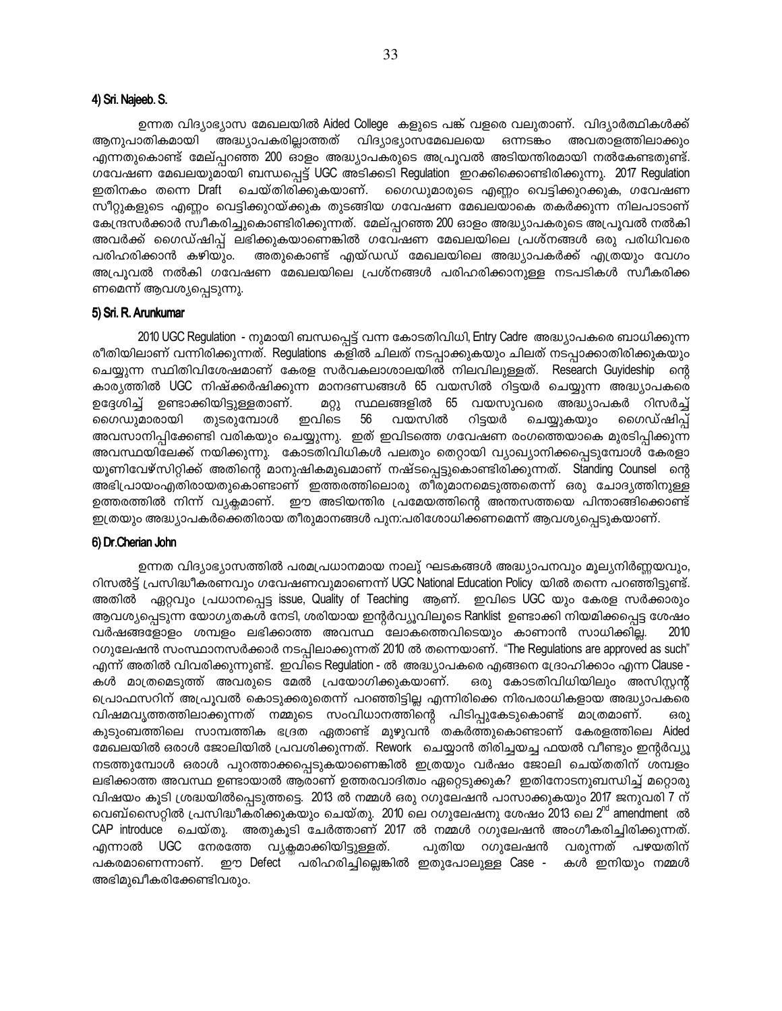### 4) Sri. Najeeb. S.

ഉന്നത വിദ്യാഭ്യാസ മേഖലയിൽ Aided College കളുടെ പങ്ക് വളരെ വലുതാണ്. വിദ്യാർത്ഥികൾക്ക് ആനുപാതികമായി അദ്ധ്യാപകരില്ലാത്തത് വിദ്യാഭ്യാസമേഖലയെ ഒന്നടങ്കം അവതാളത്തിലാക്കും എന്നതുകൊണ്ട് മേല്പ്പറഞ്ഞ 200 ഓളം അദ്ധ്യാപകരുടെ അപ്രുവൽ അടിയന്തിരമായി നൽകേണ്ടതുണ്ട്. ഗവേഷണ മേഖലയുമായി ബന്ധപ്പെട്ട് UGC അടിക്കടി Regulation ഇറക്കിക്കൊണ്ടിരിക്കുന്നു. 2017 Regulation ഇതിനകം തന്നെ Draft ചെയ്തിരിക്കുകയാണ്. ഗൈഡുമാരുടെ എണ്ണം വെട്ടിക്കുറക്കുക, ഗവേഷണ സീറ്റുകളുടെ എണ്ണം വെട്ടിക്കുറയ്ക്കുക തുടങ്ങിയ ഗവേഷണ മേഖലയാകെ തകർക്കുന്ന നിലപാടാണ് കേന്ദ്രസർക്കാർ സ്വീകരിച്ചുകൊണ്ടിരിക്കുന്നത്. മേല്പ്പറഞ്ഞ 200 ഓളം അദ്ധ്യാപകരുടെ അപ്രൂവൽ നൽകി അവർക്ക് ഗൈഡ്ഷിപ്പ് ലഭിക്കുകയാണെങ്കിൽ ഗവേഷണ മേഖലയിലെ പ്രശ്നങ്ങൾ ഒരു പരിധിവരെ പരിഹരിക്കാൻ കഴിയും. അതുകൊണ്ട് എയ്ഡഡ് മേഖലയിലെ അദ്ധ്യാപകർക്ക് എത്രയും വേഗം അപ്രൂവൽ നൽകി ഗവേഷണ മേഖലയിലെ പ്രശ്നങ്ങൾ പരിഹരിക്കാനുള്ള നടപടികൾ സ്വീകരിക്ക ണമെന്ന് ആവശ്യപ്പെടുന്നു.

### 5) Sri. R. Arunkumar

2010 UGC Regulation - നുമായി ബന്ധപ്പെട്ട് വന്ന കോടതിവിധി, Entry Cadre അദ്ധ്യാപകരെ ബാധിക്കുന്ന രീതിയിലാണ് വന്നിരിക്കുന്നത്. Regulations കളിൽ ചിലത് നടപ്പാക്കുകയും ചിലത് നടപ്പാക്കാതിരിക്കുകയും ചെയ്യുന്ന സ്ഥിതിവിശേഷമാണ് കേരള സർവകലാശാലയിൽ നിലവിലുള്ളത്. Research Guyideship ന്റെ കാര്യത്തിൽ UGC നിഷ്ക്കർഷിക്കുന്ന മാനദണ്ഡങ്ങൾ 65 വയസിൽ റിട്ടയർ ചെയ്യുന്ന അദ്ധ്യാപകരെ ഉദ്ദേശിച്ച് ഉണ്ടാക്കിയിട്ടുള്ളതാണ്. സ്ഥലങ്ങളിൽ 65 വയസുവരെ അദ്ധ്യാപകർ റിസർച്ച് **AQ)** ഗൈഡുമാരായി തുടരുമ്പോൾ ഇവിടെ 56 വയസിൽ റിട്ടയർ ചെയ്യുകയും ഗൈഡ്ഷിപ്പ് അവസാനിപ്പിക്കേണ്ടി വരികയും ചെയ്യുന്നു. ഇത് ഇവിടത്തെ ഗവേഷണ രംഗത്തെയാകെ മുരടിപ്പിക്കുന്ന അവസ്ഥയിലേക്ക് നയിക്കുന്നു. കോടതിവിധികൾ പലതും തെറ്റായി വ്യാഖ്യാനിക്കപ്പെടുമ്പോൾ കേരളാ യൂണിവേഴ്സിറ്റിക്ക് അതിന്റെ മാനുഷികമുഖമാണ് നഷ്ടപ്പെട്ടുകൊണ്ടിരിക്കുന്നത്. Standing Counsel ന്റെ അഭിപ്രായംഎതിരായതുകൊണ്ടാണ് ഇത്തരത്തിലൊരു തീരുമാനമെടുത്തതെന്ന് ഒരു ചോദ്യത്തിനുള്ള ഉത്തരത്തിൽ നിന്ന് വ്യക്ലമാണ്. ഇൗ അടിയന്തിര പ്രമേയത്തിന്റെ അന്തസത്തയെ പിന്താങ്ങിക്കൊണ്ട് ഇത്രയും അദ്ധ്യാപകർക്കെതിരായ തീരുമാനങ്ങൾ പുന:പരിശോധിക്കണമെന്ന് ആവശ്യപ്പെടുകയാണ്.

### 6) Dr.Cherian John

ഉന്നത വിദ്യാഭ്യാസത്തിൽ പരമപ്രധാനമായ നാലു് ഘടകങ്ങൾ അദ്ധ്യാപനവും മൂല്യനിർണ്ണയവും, റിസൽട്ട് പ്രസിദ്ധീകരണവും ഗവേഷണവുമാണെന്ന് UGC National Education Policy യിൽ തന്നെ പറഞ്ഞിട്ടുണ്ട്. അതിൽ ഏറ്റവും പ്രധാനപ്പെട്ട issue, Quality of Teaching ആണ്. ഇവിടെ UGC യും കേരള സർക്കാരും ആവശ്യപ്പെടുന്ന യോഗ്യതകൾ നേടി, ശരിയായ ഇന്റർവ്യൂവിലൂടെ Ranklist ഉണ്ടാക്കി നിയമിക്കപ്പെട്ട ശേഷം വർഷങ്ങളോളം ശമ്പളം ലഭിക്കാത്ത അവസ്ഥ ലോകത്തെവിടെയും കാണാൻ സാധിക്കില്ല. 2010 റഗുലേഷൻ സംസ്ഥാനസർക്കാർ നടപ്പിലാക്കുന്നത് 2010 ൽ തന്നെയാണ്. "The Regulations are approved as such" എന്ന് അതിൽ വിവരിക്കുന്നുണ്ട്. ഇവിടെ Regulation - ൽ അദ്ധ്യാപകരെ എങ്ങനെ ദ്രോഹിക്കാം എന്ന Clause -കൾ മാത്രമെടുത്ത് അവരുടെ മേൽ പ്രയോഗിക്കുകയാണ്. ഒരു കോടതിവിധിയിലും അസിസ്റ്റന്റ് പ്രൊഫസറിന് അപ്രൂവൽ കൊടുക്കരുതെന്ന് പറഞ്ഞിട്ടില്ല എന്നിരിക്കെ നിരപരാധികളായ അദ്ധ്യാപകരെ വിഷമവൃത്തത്തിലാക്കുന്നത് നമ്മുടെ സംവിധാനത്തിന്റെ പിടിപ്പുകേടുകൊണ്ട് മാത്രമാണ്. ഒരു കുടുംബത്തിലെ സാമ്പത്തിക ഭദ്രത ഏതാണ്ട് മുഴുവൻ തകർത്തുകൊണ്ടാണ് കേരളത്തിലെ Aided മേഖലയിൽ ഒരാൾ ജോലിയിൽ പ്രവശിക്കുന്നത്. Rework ചെയ്യാൻ തിരിച്ചയച്ച ഫയൽ വീണ്ടും ഇന്റർവ്യൂ നടത്തുമ്പോൾ ഒരാൾ പുറത്താക്കപ്പെടുകയാണെങ്കിൽ ഇത്രയും വർഷം ജോലി ചെയ്തതിന് ശമ്പളം ലഭിക്കാത്ത അവസ്ഥ ഉണ്ടായാൽ ആരാണ് ഉത്തരവാദിത്വം ഏറ്റെടുക്കുക? ഇതിനോടനുബന്ധിച്ച് മറ്റൊരു വിഷയം കൂടി ശ്രദ്ധയിൽപ്പെടുത്തട്ടെ. 2013 ൽ നമ്മൾ ഒരു റഗുലേഷൻ പാസാക്കുകയും 2017 ജനുവരി 7 ന് വെബ്സൈറ്റിൽ പ്രസിദ്ധീകരിക്കുകയും ചെയ്തു. 2010 ലെ റഗുലേഷനു ശേഷം 2013 ലെ 2<sup>nd</sup> amendment ൽ CAP introduce ചെയ്തു. അതുകൂടി ചേർത്താണ് 2017 ൽ നമ്മൾ റഗുലേഷൻ അംഗീകരിച്ചിരിക്കുന്നത്. എന്നാൽ UGC നേരത്തേ വ്യക്ലമാക്കിയിട്ടുള്ളത്. വരുന്നത് പുതിയ റഗുലേഷൻ പഴയതിന് ഈ Defect പരിഹരിച്ചില്ലെങ്കിൽ ഇതുപോലുള്ള Case -പകരമാണെന്നാണ്. കൾ ഇനിയും നമ്മൾ അഭിമുഖീകരിക്കേണ്ടിവരും.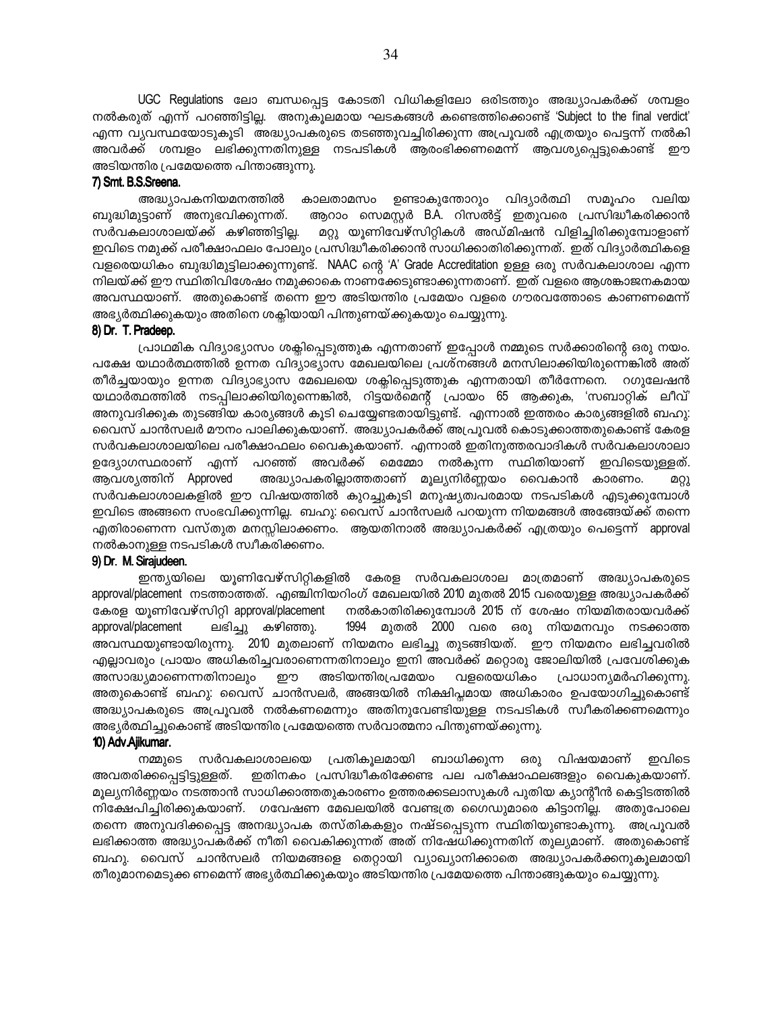UGC Regulations ലോ ബന്ധപ്പെട്ട കോടതി വിധികളിലോ ഒരിടത്തും അദ്ധ്യാപകർക്ക് ശമ്പളം നൽകരുത് എന്ന് പറഞ്ഞിട്ടില്ല. അനുകൂലമായ ഘടകങ്ങൾ കണ്ടെത്തിക്കൊണ്ട് 'Subject to the final verdict' എന്ന വ്യവസ്ഥയോടുകൂടി അദ്ധ്യാപകരുടെ തടഞ്ഞുവച്ചിരിക്കുന്ന അപ്രൂവൽ എത്രയും പെട്ടന്ന് നൽകി അവർക്ക് ശമ്പളം ലഭിക്കുന്നതിനുള്ള നടപടികൾ ആരംഭിക്കണമെന്ന് ആവശ്യപ്പെട്ടുകൊണ്ട് ഈ അടിയന്തിര പ്രമേയത്തെ പിന്താങ്ങുന്നു.

### 7) Smt. B.S.Sreena.

അദ്ധ്യാപകനിയമനത്തിൽ കാലതാമസം ഉണ്ടാകുന്തോറും വിദ്യാർത്ഥി സമൂഹം വലിയ ബുദ്ധിമുട്ടാണ് അനുഭവിക്കുന്നത്. ആറാം സെമസ്റ്റർ B.A. റിസൽട്ട് ഇതുവരെ പ്രസിദ്ധീകരിക്കാൻ സർവകലാശാലയ്ക്ക് കഴിഞ്ഞിട്ടില്ല. മറ്റു യൂണിവേഴ്സിറ്റികൾ അഡ്മിഷൻ വിളിച്ചിരിക്കുമ്പോളാണ് ഇവിടെ നമുക്ക് പരീക്ഷാഫലം പോലും പ്രസിദ്ധീകരിക്കാൻ സാധിക്കാതിരിക്കുന്നത്. ഇത് വിദ്യാർത്ഥികളെ വളരെയധികം ബുദ്ധിമുട്ടിലാക്കുന്നുണ്ട്. NAAC ന്റെ 'A' Grade Accreditation ഉള്ള ഒരു സർവകലാശാല എന്ന നിലയ്ക്ക് ഈ സ്ഥിതിവിശേഷം നമുക്കാകെ നാണക്കേടുണ്ടാക്കുന്നതാണ്. ഇത് വളരെ ആശങ്കാജനകമായ അവസ്ഥയാണ്. അതുകൊണ്ട് തന്നെ ഈ അടിയന്തിര പ്രമേയം വളരെ ഗൗരവത്തോടെ കാണണമെന്ന് അഭ്യർത്ഥിക്കുകയും അതിനെ ശക്ലിയായി പിന്തുണയ്ക്കുകയും ചെയ്യുന്നു.

### 8) Dr. T. Pradeep.

പ്രാഥമിക വിദ്യാഭ്യാസം ശക്ലിപ്പെടുത്തുക എന്നതാണ് ഇപ്പോൾ നമ്മുടെ സർക്കാരിന്റെ ഒരു നയം. പക്ഷേ യഥാർത്ഥത്തിൽ ഉന്നത വിദ്യാഭ്യാസ മേഖലയിലെ പ്രശ്നങ്ങൾ മനസിലാക്കിയിരുന്നെങ്കിൽ അത് തീർച്ചയായും ഉന്നത വിദ്യാഭ്യാസ മേഖലയെ ശക്ലിപ്പെടുത്തുക എന്നതായി തീർന്നേനെ. റഗുലേഷൻ യഥാർത്ഥത്തിൽ നടപ്പിലാക്കിയിരുന്നെങ്കിൽ, റിട്ടയർമെന്റ് പ്രായം 65 ആക്കുക, 'സബാറ്റിക് ലീവ്' അനുവദിക്കുക തുടങ്ങിയ കാര്യങ്ങൾ കൂടി ചെയ്യേണ്ടതായിട്ടുണ്ട്. എന്നാൽ ഇത്തരം കാര്യങ്ങളിൽ ബഹു: വൈസ് ചാൻസലർ മൗനം പാലിക്കുകയാണ്. അദ്ധ്യാപകർക്ക് അപ്രൂവൽ കൊടുക്കാത്തതുകൊണ്ട് കേരള സർവകലാശാലയിലെ പരീക്ഷാഫലം വൈകുകയാണ്. എന്നാൽ ഇതിനുത്തരവാദികൾ സർവകലാശാലാ ഉദ്യോഗസ്ഥരാണ് എന്ന് പറഞ്ഞ് അവർക്ക് മെമ്മോ നൽകുന്ന സ്ഥിതിയാണ് ഇവിടെയുള്ളത്. അദ്ധ്യാപകരില്ലാത്തതാണ് മൂല്യനിർണ്ണയം വൈകാൻ കാരണം. ആവശ്യത്തിന് Approved ወርነ സർവകലാശാലകളിൽ ഈ വിഷയത്തിൽ കുറച്ചുകൂടി മനുഷ്യത്വപരമായ നടപടികൾ എടുക്കുമ്പോൾ ഇവിടെ അങ്ങനെ സംഭവിക്കുന്നില്ല. ബഹു: വൈസ് ചാൻസലർ പറയുന്ന നിയമങ്ങൾ അങ്ങേയ്ക്ക് തന്നെ എതിരാണെന്ന വസ്തുത മനസ്സിലാക്കണം. ആയതിനാൽ അദ്ധ്യാപകർക്ക് എത്രയും പെട്ടെന്ന് approval നൽകാനുള്ള നടപടികൾ സ്വീകരിക്കണം.

### 9) Dr. M. Sirajudeen.

ഇന്ത്യയിലെ യൂണിവേഴ്സിറ്റികളിൽ കേരള സർവകലാശാല മാത്രമാണ് അദ്ധ്യാപകരുടെ approval/placement നടത്താത്തത്. എഞ്ചിനിയറിംഗ് മേഖലയിൽ 2010 മുതൽ 2015 വരെയുള്ള അദ്ധ്യാപകർക്ക് കേരള യൂണിവേഴ്സിറ്റി approval/placement നൽകാതിരിക്കുമ്പോൾ 2015 ന് ശേഷം നിയമിതരായവർക്ക് approval/placement ലഭിച്ചു കഴിഞ്ഞു. 1994 മുതൽ 2000 വരെ ഒരു നിയമനവും നടക്കാത്ത അവസ്ഥയുണ്ടായിരുന്നു. 2010 മുതലാണ് നിയമനം ലഭിച്ചു തുടങ്ങിയത്. ഈ നിയമനം ലഭിച്ചവരിൽ എല്ലാവരും പ്രായം അധികരിച്ചവരാണെന്നതിനാലും ഇനി അവർക്ക് മറ്റൊരു ജോലിയിൽ പ്രവേശിക്കുക അസാദ്ധ്യമാണെന്നതിനാലും അടിയന്തിരപ്രമേയം വളരെയധികം പ്രാധാന്യമർഹിക്കുന്നു. ഈ അതുകൊണ്ട് ബഹു: വൈസ് ചാൻസലർ, അങ്ങയിൽ നിക്ഷിപ്പമായ അധികാരം ഉപയോഗിച്ചുകൊണ്ട് അദ്ധ്യാപകരുടെ അപ്രൂവൽ നൽകണമെന്നും അതിനുവേണ്ടിയുള്ള നടപടികൾ സ്വീകരിക്കണമെന്നും അഭ്യർത്ഥിച്ചുകൊണ്ട് അടിയന്തിര പ്രമേയത്തെ സർവാത്മനാ പിന്തുണയ്ക്കുന്നു.

### 10) Adv. Ajikumar.

സർവകലാശാലയെ പ്രതികൂലമായി ബാധിക്കുന്ന ഒരു വിഷയമാണ് ഇവിടെ നമ്മുടെ ഇതിനകം പ്രസിദ്ധീകരിക്കേണ്ട പല പരീക്ഷാഫലങ്ങളും വൈകുകയാണ്. അവതരിക്കപ്പെട്ടിട്ടുള്ളത്. മൂല്യനിർണ്ണയം നടത്താൻ സാധിക്കാത്തതുകാരണം ഉത്തരക്കടലാസുകൾ പുതിയ ക്യാന്റീൻ കെട്ടിടത്തിൽ നിക്ഷേപിച്ചിരിക്കുകയാണ്. ഗവേഷണ മേഖലയിൽ വേണ്ടത്ര ഗൈഡുമാരെ കിട്ടാനില്ല. അതുപോലെ തന്നെ അനുവദിക്കപ്പെട്ട അനദ്ധ്യാപക തസ്തികകളും നഷ്ടപ്പെടുന്ന സ്ഥിതിയുണ്ടാകുന്നു. അപ്രൂവൽ ലഭിക്കാത്ത അദ്ധ്യാപകർക്ക് നീതി വൈകിക്കുന്നത് അത് നിഷേധിക്കുന്നതിന് തുല്യമാണ്. അതുകൊണ്ട് ബഹു. വൈസ് ചാൻസലർ നിയമങ്ങളെ തെറ്റായി വ്യാഖ്യാനിക്കാതെ അദ്ധ്യാപകർക്കനുകുലമായി തീരുമാനമെടുക്ക ണമെന്ന് അഭ്യർത്ഥിക്കുകയും അടിയന്തിര പ്രമേയത്തെ പിന്താങ്ങുകയും ചെയ്യുന്നു.